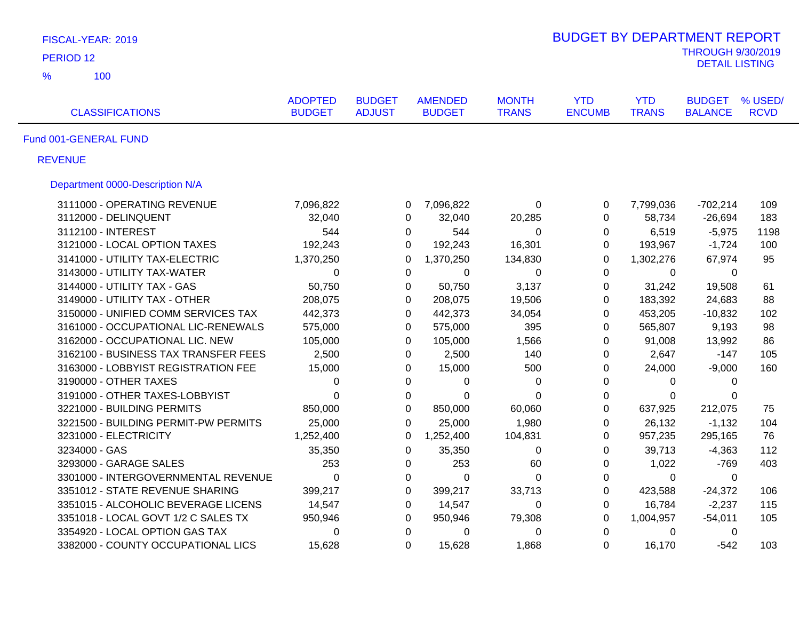| FISCAL-YEAR: 2019                    |                                 |                                |                                 |                              | <b>BUDGET BY DEPARTMENT REPORT</b> |                            |                                                   |                        |
|--------------------------------------|---------------------------------|--------------------------------|---------------------------------|------------------------------|------------------------------------|----------------------------|---------------------------------------------------|------------------------|
| PERIOD <sub>12</sub>                 |                                 |                                |                                 |                              |                                    |                            | <b>THROUGH 9/30/2019</b><br><b>DETAIL LISTING</b> |                        |
| $\frac{9}{6}$<br>100                 |                                 |                                |                                 |                              |                                    |                            |                                                   |                        |
| <b>CLASSIFICATIONS</b>               | <b>ADOPTED</b><br><b>BUDGET</b> | <b>BUDGET</b><br><b>ADJUST</b> | <b>AMENDED</b><br><b>BUDGET</b> | <b>MONTH</b><br><b>TRANS</b> | <b>YTD</b><br><b>ENCUMB</b>        | <b>YTD</b><br><b>TRANS</b> | <b>BUDGET</b><br><b>BALANCE</b>                   | % USED/<br><b>RCVD</b> |
| Fund 001-GENERAL FUND                |                                 |                                |                                 |                              |                                    |                            |                                                   |                        |
| <b>REVENUE</b>                       |                                 |                                |                                 |                              |                                    |                            |                                                   |                        |
| Department 0000-Description N/A      |                                 |                                |                                 |                              |                                    |                            |                                                   |                        |
| 3111000 - OPERATING REVENUE          | 7,096,822                       | 0                              | 7,096,822                       | 0                            | 0                                  | 7,799,036                  | $-702,214$                                        | 109                    |
| 3112000 - DELINQUENT                 | 32,040                          | 0                              | 32,040                          | 20,285                       | 0                                  | 58,734                     | $-26,694$                                         | 183                    |
| 3112100 - INTEREST                   | 544                             |                                | 0<br>544                        | 0                            | 0                                  | 6,519                      | $-5,975$                                          | 1198                   |
| 3121000 - LOCAL OPTION TAXES         | 192,243                         | $\Omega$                       | 192,243                         | 16,301                       | 0                                  | 193,967                    | $-1,724$                                          | 100                    |
| 3141000 - UTILITY TAX-ELECTRIC       | 1,370,250                       | 0                              | 1,370,250                       | 134,830                      | $\mathbf 0$                        | 1,302,276                  | 67,974                                            | 95                     |
| 3143000 - UTILITY TAX-WATER          | $\mathbf 0$                     | $\Omega$                       | $\Omega$                        | $\Omega$                     | 0                                  | $\Omega$                   | $\mathbf{0}$                                      |                        |
| 3144000 - UTILITY TAX - GAS          | 50,750                          | 0                              | 50,750                          | 3,137                        | $\mathbf 0$                        | 31,242                     | 19,508                                            | 61                     |
| 3149000 - UTILITY TAX - OTHER        | 208,075                         |                                | 0<br>208,075                    | 19,506                       | 0                                  | 183,392                    | 24,683                                            | 88                     |
| 3150000 - UNIFIED COMM SERVICES TAX  | 442,373                         | $\mathbf 0$                    | 442,373                         | 34,054                       | $\mathbf 0$                        | 453,205                    | $-10,832$                                         | 102                    |
| 3161000 - OCCUPATIONAL LIC-RENEWALS  | 575,000                         | $\Omega$                       | 575,000                         | 395                          | $\Omega$                           | 565,807                    | 9,193                                             | 98                     |
| 3162000 - OCCUPATIONAL LIC. NEW      | 105,000                         | $\Omega$                       | 105,000                         | 1,566                        | $\Omega$                           | 91,008                     | 13,992                                            | 86                     |
| 3162100 - BUSINESS TAX TRANSFER FEES | 2,500                           |                                | 0<br>2,500                      | 140                          | 0                                  | 2,647                      | $-147$                                            | 105                    |
| 3163000 - LOBBYIST REGISTRATION FEE  | 15,000                          | 0                              | 15,000                          | 500                          | 0                                  | 24,000                     | $-9,000$                                          | 160                    |
| 3190000 - OTHER TAXES                | 0                               | 0                              | 0                               | 0                            | 0                                  | 0                          | $\mathbf{0}$                                      |                        |
| 3191000 - OTHER TAXES-LOBBYIST       | $\Omega$                        | $\Omega$                       | $\Omega$                        | $\Omega$                     | 0                                  | $\Omega$                   | $\Omega$                                          |                        |
| 3221000 - BUILDING PERMITS           | 850,000                         | 0                              | 850,000                         | 60,060                       | $\mathbf 0$                        | 637,925                    | 212,075                                           | 75                     |
| 3221500 - BUILDING PERMIT-PW PERMITS | 25,000                          | $\Omega$                       | 25,000                          | 1,980                        | $\Omega$                           | 26,132                     | $-1,132$                                          | 104                    |
| 3231000 - ELECTRICITY                | 1,252,400                       | $\Omega$                       | 1,252,400                       | 104,831                      | 0                                  | 957,235                    | 295,165                                           | 76                     |
| 3234000 - GAS                        | 35,350                          | 0                              | 35,350                          | 0                            | $\mathbf 0$                        | 39,713                     | $-4,363$                                          | 112                    |
| 3293000 - GARAGE SALES               | 253                             | 0                              | 253                             | 60                           | $\boldsymbol{0}$                   | 1,022                      | $-769$                                            | 403                    |
| 3301000 - INTERGOVERNMENTAL REVENUE  | $\mathbf 0$                     | 0                              | $\mathbf 0$                     | 0                            | $\mathbf 0$                        | $\mathbf 0$                | 0                                                 |                        |
| 3351012 - STATE REVENUE SHARING      | 399,217                         | 0                              | 399,217                         | 33,713                       | 0                                  | 423,588                    | $-24,372$                                         | 106                    |
| 3351015 - ALCOHOLIC BEVERAGE LICENS  | 14,547                          | 0                              | 14,547                          | 0                            | 0                                  | 16,784                     | $-2,237$                                          | 115                    |
| 3351018 - LOCAL GOVT 1/2 C SALES TX  | 950,946                         | 0                              | 950,946                         | 79,308                       | 0                                  | 1,004,957                  | $-54,011$                                         | 105                    |
| 3354920 - LOCAL OPTION GAS TAX       | 0                               | $\mathbf 0$                    | 0                               | 0                            | $\mathbf 0$                        | 0                          | $\mathbf 0$                                       |                        |
| 3382000 - COUNTY OCCUPATIONAL LICS   | 15,628                          | $\Omega$                       | 15,628                          | 1,868                        | $\Omega$                           | 16,170                     | $-542$                                            | 103                    |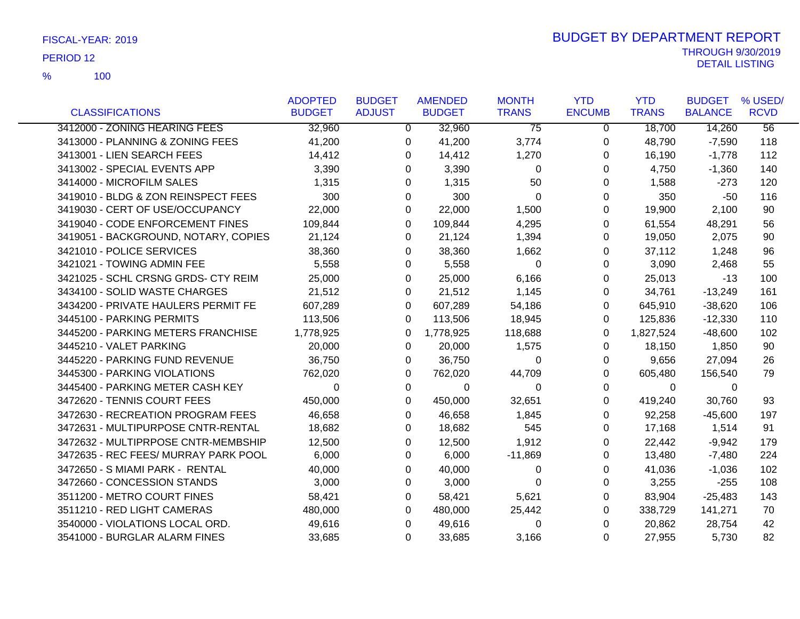|                                      | <b>ADOPTED</b> | <b>BUDGET</b>  | <b>AMENDED</b> | <b>MONTH</b>    | <b>YTD</b>    | <b>YTD</b>   | <b>BUDGET</b>  | % USED/         |
|--------------------------------------|----------------|----------------|----------------|-----------------|---------------|--------------|----------------|-----------------|
| <b>CLASSIFICATIONS</b>               | <b>BUDGET</b>  | <b>ADJUST</b>  | <b>BUDGET</b>  | <b>TRANS</b>    | <b>ENCUMB</b> | <b>TRANS</b> | <b>BALANCE</b> | <b>RCVD</b>     |
| 3412000 - ZONING HEARING FEES        | 32,960         | $\overline{0}$ | 32,960         | $\overline{75}$ | $\Omega$      | 18,700       | 14,260         | $\overline{56}$ |
| 3413000 - PLANNING & ZONING FEES     | 41,200         | 0              | 41,200         | 3,774           | 0             | 48,790       | $-7,590$       | 118             |
| 3413001 - LIEN SEARCH FEES           | 14,412         | 0              | 14,412         | 1,270           | 0             | 16,190       | $-1,778$       | 112             |
| 3413002 - SPECIAL EVENTS APP         | 3,390          | 0              | 3,390          | $\mathbf{0}$    | 0             | 4,750        | $-1,360$       | 140             |
| 3414000 - MICROFILM SALES            | 1,315          | 0              | 1,315          | 50              | 0             | 1,588        | $-273$         | 120             |
| 3419010 - BLDG & ZON REINSPECT FEES  | 300            | 0              | 300            | $\mathbf 0$     | 0             | 350          | -50            | 116             |
| 3419030 - CERT OF USE/OCCUPANCY      | 22,000         | 0              | 22,000         | 1,500           | 0             | 19,900       | 2,100          | 90              |
| 3419040 - CODE ENFORCEMENT FINES     | 109,844        | $\Omega$       | 109,844        | 4,295           | 0             | 61,554       | 48,291         | 56              |
| 3419051 - BACKGROUND, NOTARY, COPIES | 21,124         | 0              | 21,124         | 1,394           | 0             | 19,050       | 2,075          | 90              |
| 3421010 - POLICE SERVICES            | 38,360         | 0              | 38,360         | 1,662           | 0             | 37,112       | 1,248          | 96              |
| 3421021 - TOWING ADMIN FEE           | 5,558          | 0              | 5,558          | 0               | 0             | 3,090        | 2,468          | 55              |
| 3421025 - SCHL CRSNG GRDS- CTY REIM  | 25,000         | 0              | 25,000         | 6,166           | 0             | 25,013       | $-13$          | 100             |
| 3434100 - SOLID WASTE CHARGES        | 21,512         | 0              | 21,512         | 1,145           | 0             | 34,761       | $-13,249$      | 161             |
| 3434200 - PRIVATE HAULERS PERMIT FE  | 607,289        | $\Omega$       | 607,289        | 54,186          | 0             | 645,910      | $-38,620$      | 106             |
| 3445100 - PARKING PERMITS            | 113,506        | 0              | 113,506        | 18,945          | 0             | 125,836      | $-12,330$      | 110             |
| 3445200 - PARKING METERS FRANCHISE   | 1,778,925      | 0              | 1,778,925      | 118,688         | 0             | 1,827,524    | $-48,600$      | 102             |
| 3445210 - VALET PARKING              | 20,000         | 0              | 20,000         | 1,575           | 0             | 18,150       | 1,850          | 90              |
| 3445220 - PARKING FUND REVENUE       | 36,750         | 0              | 36,750         | 0               | 0             | 9,656        | 27,094         | 26              |
| 3445300 - PARKING VIOLATIONS         | 762,020        | $\Omega$       | 762,020        | 44,709          | 0             | 605,480      | 156,540        | 79              |
| 3445400 - PARKING METER CASH KEY     | 0              | 0              | 0              | 0               | 0             | $\Omega$     | 0              |                 |
| 3472620 - TENNIS COURT FEES          | 450,000        | $\Omega$       | 450,000        | 32,651          | 0             | 419,240      | 30,760         | 93              |
| 3472630 - RECREATION PROGRAM FEES    | 46,658         | 0              | 46,658         | 1,845           | 0             | 92,258       | $-45,600$      | 197             |
| 3472631 - MULTIPURPOSE CNTR-RENTAL   | 18,682         | 0              | 18,682         | 545             | 0             | 17,168       | 1,514          | 91              |
| 3472632 - MULTIPRPOSE CNTR-MEMBSHIP  | 12,500         | 0              | 12,500         | 1,912           | 0             | 22,442       | $-9,942$       | 179             |
| 3472635 - REC FEES/ MURRAY PARK POOL | 6,000          | 0              | 6,000          | $-11,869$       | 0             | 13,480       | $-7,480$       | 224             |
| 3472650 - S MIAMI PARK - RENTAL      | 40,000         | $\Omega$       | 40,000         | 0               | 0             | 41,036       | $-1,036$       | 102             |
| 3472660 - CONCESSION STANDS          | 3,000          | 0              | 3,000          | 0               | 0             | 3,255        | $-255$         | 108             |
| 3511200 - METRO COURT FINES          | 58,421         | 0              | 58,421         | 5,621           | 0             | 83,904       | $-25,483$      | 143             |
| 3511210 - RED LIGHT CAMERAS          | 480,000        | 0              | 480,000        | 25,442          | 0             | 338,729      | 141,271        | 70              |
| 3540000 - VIOLATIONS LOCAL ORD.      | 49,616         | $\Omega$       | 49,616         | 0               | 0             | 20,862       | 28,754         | 42              |
| 3541000 - BURGLAR ALARM FINES        | 33,685         | 0              | 33,685         | 3,166           | 0             | 27,955       | 5,730          | 82              |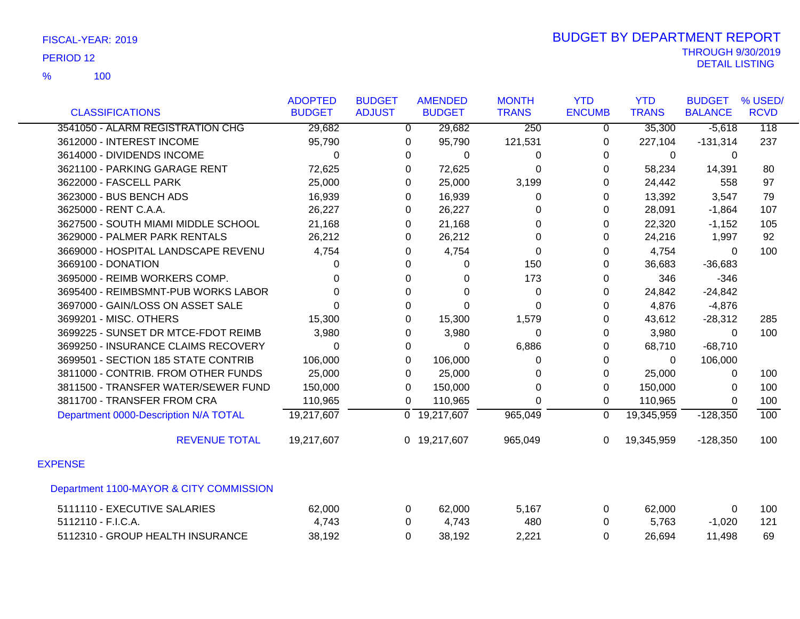100 %

|                                         | <b>ADOPTED</b> | <b>BUDGET</b>  | <b>AMENDED</b>            | <b>MONTH</b>     | <b>YTD</b>     | <b>YTD</b>   | <b>BUDGET</b>  | % USED/          |
|-----------------------------------------|----------------|----------------|---------------------------|------------------|----------------|--------------|----------------|------------------|
| <b>CLASSIFICATIONS</b>                  | <b>BUDGET</b>  | <b>ADJUST</b>  | <b>BUDGET</b>             | <b>TRANS</b>     | <b>ENCUMB</b>  | <b>TRANS</b> | <b>BALANCE</b> | <b>RCVD</b>      |
| 3541050 - ALARM REGISTRATION CHG        | 29,682         | $\overline{0}$ | 29,682                    | $\overline{250}$ | $\overline{0}$ | 35,300       | $-5,618$       | $\overline{118}$ |
| 3612000 - INTEREST INCOME               | 95,790         | 0              | 95,790                    | 121,531          | 0              | 227,104      | $-131,314$     | 237              |
| 3614000 - DIVIDENDS INCOME              | $\Omega$       | 0              | $\Omega$                  | 0                | $\Omega$       | $\Omega$     | $\Omega$       |                  |
| 3621100 - PARKING GARAGE RENT           | 72,625         | 0              | 72,625                    | $\Omega$         | $\Omega$       | 58,234       | 14,391         | 80               |
| 3622000 - FASCELL PARK                  | 25,000         | 0              | 25,000                    | 3,199            | 0              | 24,442       | 558            | 97               |
| 3623000 - BUS BENCH ADS                 | 16,939         | 0              | 16,939                    | 0                | $\Omega$       | 13,392       | 3,547          | 79               |
| 3625000 - RENT C.A.A.                   | 26,227         | 0              | 26,227                    | 0                | $\Omega$       | 28,091       | $-1,864$       | 107              |
| 3627500 - SOUTH MIAMI MIDDLE SCHOOL     | 21,168         | 0              | 21,168                    | 0                | 0              | 22,320       | $-1,152$       | 105              |
| 3629000 - PALMER PARK RENTALS           | 26,212         | 0              | 26,212                    | 0                | $\Omega$       | 24,216       | 1,997          | 92               |
| 3669000 - HOSPITAL LANDSCAPE REVENU     | 4,754          | 0              | 4,754                     | 0                | 0              | 4,754        | $\Omega$       | 100              |
| 3669100 - DONATION                      | 0              | 0              | 0                         | 150              | $\Omega$       | 36,683       | $-36,683$      |                  |
| 3695000 - REIMB WORKERS COMP.           | 0              | 0              | 0                         | 173              | 0              | 346          | $-346$         |                  |
| 3695400 - REIMBSMNT-PUB WORKS LABOR     | 0              | 0              | 0                         | $\Omega$         | $\Omega$       | 24,842       | $-24,842$      |                  |
| 3697000 - GAIN/LOSS ON ASSET SALE       | 0              | 0              | $\Omega$                  | $\Omega$         | 0              | 4,876        | $-4,876$       |                  |
| 3699201 - MISC. OTHERS                  | 15,300         | 0              | 15,300                    | 1,579            | $\Omega$       | 43,612       | $-28,312$      | 285              |
| 3699225 - SUNSET DR MTCE-FDOT REIMB     | 3,980          | 0              | 3,980                     | 0                | 0              | 3,980        | $\Omega$       | 100              |
| 3699250 - INSURANCE CLAIMS RECOVERY     | $\Omega$       | 0              | 0                         | 6,886            | 0              | 68,710       | $-68,710$      |                  |
| 3699501 - SECTION 185 STATE CONTRIB     | 106,000        | 0              | 106,000                   | $\Omega$         | $\Omega$       | $\Omega$     | 106,000        |                  |
| 3811000 - CONTRIB. FROM OTHER FUNDS     | 25,000         | 0              | 25,000                    | 0                | 0              | 25,000       | 0              | 100              |
| 3811500 - TRANSFER WATER/SEWER FUND     | 150,000        | 0              | 150,000                   | $\Omega$         | $\Omega$       | 150,000      | $\Omega$       | 100              |
| 3811700 - TRANSFER FROM CRA             | 110,965        | 0              | 110,965                   | $\Omega$         | 0              | 110,965      | $\Omega$       | 100              |
| Department 0000-Description N/A TOTAL   | 19,217,607     |                | $\overline{0}$ 19,217,607 | 965,049          | $\mathbf 0$    | 19,345,959   | $-128,350$     | 100              |
| <b>REVENUE TOTAL</b>                    | 19,217,607     |                | 0 19,217,607              | 965,049          | $\Omega$       | 19,345,959   | $-128,350$     | 100              |
| <b>EXPENSE</b>                          |                |                |                           |                  |                |              |                |                  |
| Department 1100-MAYOR & CITY COMMISSION |                |                |                           |                  |                |              |                |                  |
| 5111110 - EXECUTIVE SALARIES            | 62,000         | 0              | 62,000                    | 5,167            | 0              | 62,000       | 0              | 100              |
| 5112110 - F.I.C.A.                      | 4,743          | 0              | 4,743                     | 480              | $\Omega$       | 5,763        | $-1,020$       | 121              |
| 5112310 - GROUP HEALTH INSURANCE        | 38,192         | 0              | 38,192                    | 2,221            | $\Omega$       | 26,694       | 11,498         | 69               |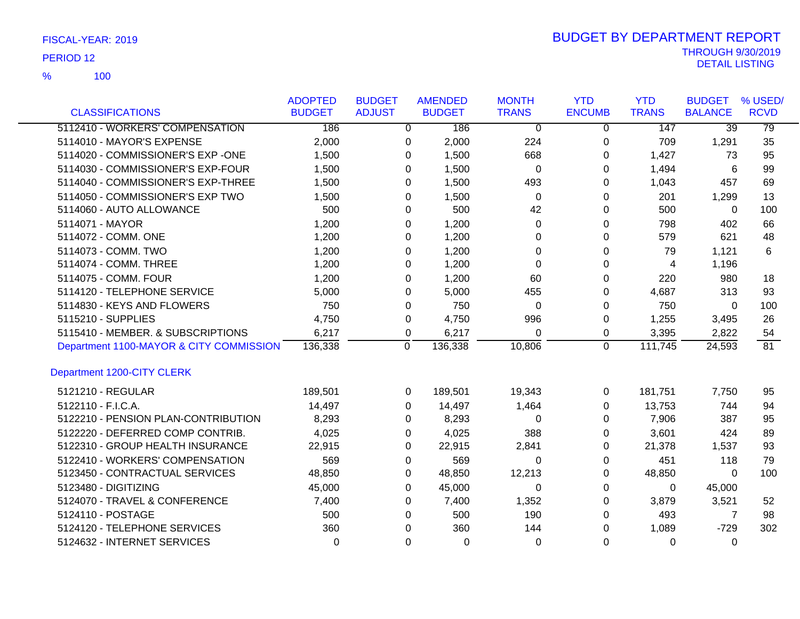|                                         | <b>ADOPTED</b> | <b>BUDGET</b> |                | <b>AMENDED</b> | <b>MONTH</b>   | <b>YTD</b>    | <b>YTD</b>   | <b>BUDGET</b>   | % USED/     |
|-----------------------------------------|----------------|---------------|----------------|----------------|----------------|---------------|--------------|-----------------|-------------|
| <b>CLASSIFICATIONS</b>                  | <b>BUDGET</b>  | <b>ADJUST</b> |                | <b>BUDGET</b>  | <b>TRANS</b>   | <b>ENCUMB</b> | <b>TRANS</b> | <b>BALANCE</b>  | <b>RCVD</b> |
| 5112410 - WORKERS' COMPENSATION         | 186            |               | $\overline{0}$ | 186            | $\overline{0}$ | 0             | 147          | $\overline{39}$ | 79          |
| 5114010 - MAYOR'S EXPENSE               | 2,000          |               | 0              | 2,000          | 224            | 0             | 709          | 1,291           | 35          |
| 5114020 - COMMISSIONER'S EXP -ONE       | 1,500          |               | $\Omega$       | 1,500          | 668            | 0             | 1,427        | 73              | 95          |
| 5114030 - COMMISSIONER'S EXP-FOUR       | 1,500          |               | 0              | 1,500          | $\mathbf 0$    | 0             | 1,494        | 6               | 99          |
| 5114040 - COMMISSIONER'S EXP-THREE      | 1,500          |               | 0              | 1,500          | 493            | 0             | 1,043        | 457             | 69          |
| 5114050 - COMMISSIONER'S EXP TWO        | 1,500          |               | $\Omega$       | 1,500          | $\Omega$       | $\Omega$      | 201          | 1,299           | 13          |
| 5114060 - AUTO ALLOWANCE                | 500            |               | 0              | 500            | 42             | 0             | 500          | 0               | 100         |
| 5114071 - MAYOR                         | 1,200          |               | 0              | 1,200          | 0              | 0             | 798          | 402             | 66          |
| 5114072 - COMM. ONE                     | 1,200          |               | 0              | 1,200          | 0              | 0             | 579          | 621             | 48          |
| 5114073 - COMM. TWO                     | 1,200          |               | 0              | 1,200          | 0              | 0             | 79           | 1,121           | 6           |
| 5114074 - COMM. THREE                   | 1,200          |               | $\Omega$       | 1,200          | $\Omega$       | $\Omega$      | 4            | 1,196           |             |
| 5114075 - COMM, FOUR                    | 1,200          |               | 0              | 1,200          | 60             | 0             | 220          | 980             | 18          |
| 5114120 - TELEPHONE SERVICE             | 5,000          |               | 0              | 5,000          | 455            | 0             | 4,687        | 313             | 93          |
| 5114830 - KEYS AND FLOWERS              | 750            |               | $\Omega$       | 750            | $\Omega$       | $\Omega$      | 750          | $\Omega$        | 100         |
| 5115210 - SUPPLIES                      | 4,750          |               | 0              | 4,750          | 996            | 0             | 1,255        | 3,495           | 26          |
| 5115410 - MEMBER. & SUBSCRIPTIONS       | 6,217          |               | 0              | 6,217          | $\Omega$       | 0             | 3,395        | 2,822           | 54          |
| Department 1100-MAYOR & CITY COMMISSION | 136,338        |               | 0              | 136,338        | 10,806         | 0             | 111,745      | 24,593          | 81          |
| Department 1200-CITY CLERK              |                |               |                |                |                |               |              |                 |             |
| 5121210 - REGULAR                       | 189,501        |               | 0              | 189,501        | 19,343         | 0             | 181,751      | 7,750           | 95          |
| 5122110 - F.I.C.A.                      | 14,497         |               | $\Omega$       | 14,497         | 1,464          | $\Omega$      | 13,753       | 744             | 94          |
| 5122210 - PENSION PLAN-CONTRIBUTION     | 8,293          |               | $\Omega$       | 8,293          | 0              | 0             | 7,906        | 387             | 95          |
| 5122220 - DEFERRED COMP CONTRIB.        | 4,025          |               | 0              | 4,025          | 388            | 0             | 3,601        | 424             | 89          |
| 5122310 - GROUP HEALTH INSURANCE        | 22,915         |               | 0              | 22,915         | 2,841          | 0             | 21,378       | 1,537           | 93          |
| 5122410 - WORKERS' COMPENSATION         | 569            |               | 0              | 569            | 0              | 0             | 451          | 118             | 79          |
| 5123450 - CONTRACTUAL SERVICES          | 48,850         |               | 0              | 48,850         | 12,213         | 0             | 48,850       | $\Omega$        | 100         |
| 5123480 - DIGITIZING                    | 45,000         |               | 0              | 45,000         | $\Omega$       | 0             | 0            | 45,000          |             |
| 5124070 - TRAVEL & CONFERENCE           | 7,400          |               | $\Omega$       | 7,400          | 1,352          | 0             | 3,879        | 3,521           | 52          |
| 5124110 - POSTAGE                       | 500            |               | 0              | 500            | 190            | $\Omega$      | 493          | 7               | 98          |
| 5124120 - TELEPHONE SERVICES            | 360            |               | $\Omega$       | 360            | 144            | 0             | 1,089        | $-729$          | 302         |
| 5124632 - INTERNET SERVICES             | $\Omega$       |               | $\Omega$       | $\Omega$       | $\Omega$       | $\Omega$      | $\Omega$     | $\Omega$        |             |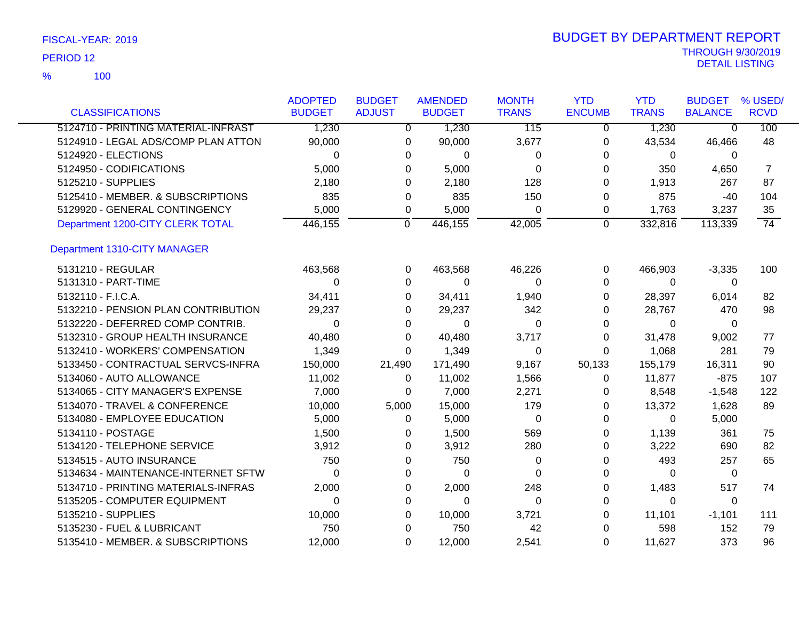|                                     | <b>ADOPTED</b> | <b>BUDGET</b> | <b>AMENDED</b> | <b>MONTH</b>     | <b>YTD</b>    | <b>YTD</b>   | <b>BUDGET</b>  | % USED/     |
|-------------------------------------|----------------|---------------|----------------|------------------|---------------|--------------|----------------|-------------|
| <b>CLASSIFICATIONS</b>              | <b>BUDGET</b>  | <b>ADJUST</b> | <b>BUDGET</b>  | <b>TRANS</b>     | <b>ENCUMB</b> | <b>TRANS</b> | <b>BALANCE</b> | <b>RCVD</b> |
| 5124710 - PRINTING MATERIAL-INFRAST | 1,230          | $\Omega$      | 1,230          | $\overline{115}$ | $\mathbf{0}$  | 1,230        | $\overline{0}$ | 100         |
| 5124910 - LEGAL ADS/COMP PLAN ATTON | 90,000         | 0             | 90,000         | 3,677            | 0             | 43,534       | 46,466         | 48          |
| 5124920 - ELECTIONS                 | $\Omega$       | 0             | $\Omega$       | 0                | 0             | 0            | 0              |             |
| 5124950 - CODIFICATIONS             | 5,000          | 0             | 5,000          | 0                | 0             | 350          | 4,650          | 7           |
| 5125210 - SUPPLIES                  | 2,180          | 0             | 2,180          | 128              | 0             | 1,913        | 267            | 87          |
| 5125410 - MEMBER. & SUBSCRIPTIONS   | 835            | 0             | 835            | 150              | 0             | 875          | -40            | 104         |
| 5129920 - GENERAL CONTINGENCY       | 5,000          | 0             | 5,000          | 0                | 0             | 1,763        | 3,237          | 35          |
| Department 1200-CITY CLERK TOTAL    | 446,155        | 0             | 446, 155       | 42,005           | $\mathbf 0$   | 332,816      | 113,339        | 74          |
| Department 1310-CITY MANAGER        |                |               |                |                  |               |              |                |             |
| 5131210 - REGULAR                   | 463,568        | 0             | 463,568        | 46,226           | 0             | 466,903      | $-3,335$       | 100         |
| 5131310 - PART-TIME                 | $\Omega$       | 0             | $\Omega$       | $\Omega$         | 0             | $\Omega$     | $\Omega$       |             |
| 5132110 - F.I.C.A.                  | 34,411         | 0             | 34,411         | 1,940            | 0             | 28,397       | 6,014          | 82          |
| 5132210 - PENSION PLAN CONTRIBUTION | 29,237         | 0             | 29,237         | 342              | 0             | 28,767       | 470            | 98          |
| 5132220 - DEFERRED COMP CONTRIB.    | 0              | 0             | 0              | 0                | 0             | 0            | 0              |             |
| 5132310 - GROUP HEALTH INSURANCE    | 40,480         | 0             | 40,480         | 3,717            | 0             | 31,478       | 9,002          | 77          |
| 5132410 - WORKERS' COMPENSATION     | 1,349          | 0             | 1,349          | 0                | 0             | 1,068        | 281            | 79          |
| 5133450 - CONTRACTUAL SERVCS-INFRA  | 150,000        | 21,490        | 171,490        | 9,167            | 50,133        | 155,179      | 16,311         | 90          |
| 5134060 - AUTO ALLOWANCE            | 11,002         | 0             | 11,002         | 1,566            | 0             | 11,877       | $-875$         | 107         |
| 5134065 - CITY MANAGER'S EXPENSE    | 7,000          | 0             | 7,000          | 2,271            | 0             | 8,548        | $-1,548$       | 122         |
| 5134070 - TRAVEL & CONFERENCE       | 10,000         | 5,000         | 15,000         | 179              | 0             | 13,372       | 1,628          | 89          |
| 5134080 - EMPLOYEE EDUCATION        | 5,000          | 0             | 5,000          | $\Omega$         | $\Omega$      | $\Omega$     | 5,000          |             |
| 5134110 - POSTAGE                   | 1,500          | 0             | 1,500          | 569              | 0             | 1,139        | 361            | 75          |
| 5134120 - TELEPHONE SERVICE         | 3,912          | 0             | 3,912          | 280              | 0             | 3,222        | 690            | 82          |
| 5134515 - AUTO INSURANCE            | 750            | 0             | 750            | 0                | 0             | 493          | 257            | 65          |
| 5134634 - MAINTENANCE-INTERNET SFTW | 0              | 0             | 0              | $\Omega$         | 0             | $\Omega$     | 0              |             |
| 5134710 - PRINTING MATERIALS-INFRAS | 2,000          | 0             | 2,000          | 248              | 0             | 1,483        | 517            | 74          |
| 5135205 - COMPUTER EQUIPMENT        | 0              | 0             | $\Omega$       | $\Omega$         | 0             | 0            | $\Omega$       |             |
| 5135210 - SUPPLIES                  | 10,000         | 0             | 10,000         | 3,721            | 0             | 11,101       | $-1,101$       | 111         |
| 5135230 - FUEL & LUBRICANT          | 750            | 0             | 750            | 42               | 0             | 598          | 152            | 79          |
| 5135410 - MEMBER. & SUBSCRIPTIONS   | 12,000         | $\Omega$      | 12,000         | 2,541            | $\Omega$      | 11,627       | 373            | 96          |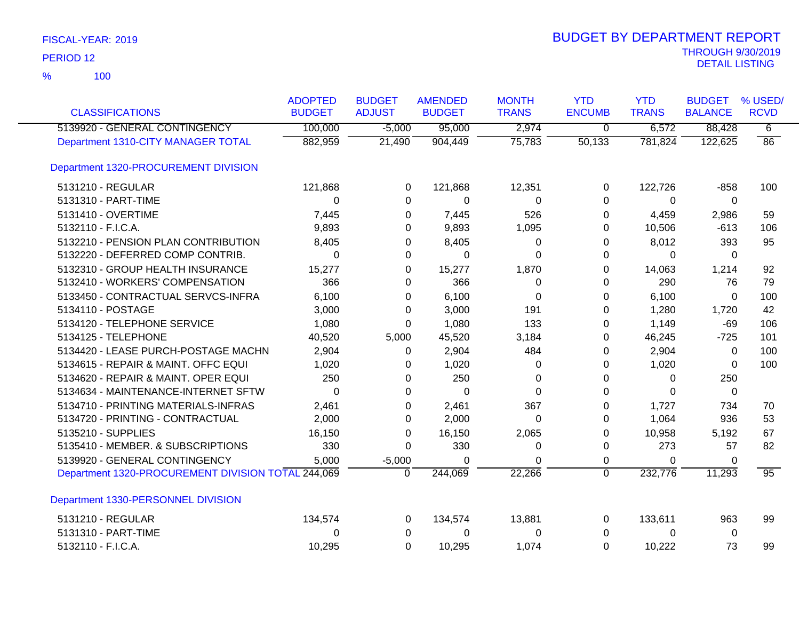| <b>CLASSIFICATIONS</b>                             | <b>ADOPTED</b><br><b>BUDGET</b> | <b>BUDGET</b><br><b>ADJUST</b> | <b>AMENDED</b><br><b>BUDGET</b> | <b>MONTH</b><br><b>TRANS</b> | <b>YTD</b><br><b>ENCUMB</b> | <b>YTD</b><br><b>TRANS</b> | <b>BUDGET</b><br><b>BALANCE</b> | % USED/<br><b>RCVD</b> |
|----------------------------------------------------|---------------------------------|--------------------------------|---------------------------------|------------------------------|-----------------------------|----------------------------|---------------------------------|------------------------|
| 5139920 - GENERAL CONTINGENCY                      | 100,000                         | $-5,000$                       | 95,000                          | 2,974                        | $\overline{0}$              | 6,572                      | 88,428                          | 6                      |
| Department 1310-CITY MANAGER TOTAL                 | 882,959                         | 21,490                         | 904,449                         | 75,783                       | 50,133                      | 781,824                    | 122,625                         | $\overline{86}$        |
| Department 1320-PROCUREMENT DIVISION               |                                 |                                |                                 |                              |                             |                            |                                 |                        |
| 5131210 - REGULAR                                  | 121,868                         | $\Omega$                       | 121,868                         | 12,351                       | $\Omega$                    | 122,726                    | $-858$                          | 100                    |
| 5131310 - PART-TIME                                | 0                               | 0                              | 0                               | 0                            | $\Omega$                    | $\Omega$                   | 0                               |                        |
| 5131410 - OVERTIME                                 | 7,445                           | 0                              | 7,445                           | 526                          | 0                           | 4,459                      | 2,986                           | 59                     |
| 5132110 - F.I.C.A.                                 | 9,893                           | 0                              | 9,893                           | 1,095                        | 0                           | 10,506                     | $-613$                          | 106                    |
| 5132210 - PENSION PLAN CONTRIBUTION                | 8,405                           | 0                              | 8,405                           | 0                            | 0                           | 8,012                      | 393                             | 95                     |
| 5132220 - DEFERRED COMP CONTRIB.                   | 0                               | 0                              | 0                               | $\Omega$                     | 0                           | $\Omega$                   | $\Omega$                        |                        |
| 5132310 - GROUP HEALTH INSURANCE                   | 15,277                          | 0                              | 15,277                          | 1,870                        | 0                           | 14,063                     | 1,214                           | 92                     |
| 5132410 - WORKERS' COMPENSATION                    | 366                             | 0                              | 366                             | 0                            | 0                           | 290                        | 76                              | 79                     |
| 5133450 - CONTRACTUAL SERVCS-INFRA                 | 6,100                           | 0                              | 6,100                           | $\Omega$                     | $\Omega$                    | 6,100                      | $\Omega$                        | 100                    |
| 5134110 - POSTAGE                                  | 3,000                           | 0                              | 3,000                           | 191                          | 0                           | 1,280                      | 1,720                           | 42                     |
| 5134120 - TELEPHONE SERVICE                        | 1,080                           | 0                              | 1,080                           | 133                          | 0                           | 1,149                      | $-69$                           | 106                    |
| 5134125 - TELEPHONE                                | 40,520                          | 5,000                          | 45,520                          | 3,184                        | 0                           | 46,245                     | $-725$                          | 101                    |
| 5134420 - LEASE PURCH-POSTAGE MACHN                | 2,904                           | 0                              | 2,904                           | 484                          | 0                           | 2,904                      | 0                               | 100                    |
| 5134615 - REPAIR & MAINT. OFFC EQUI                | 1,020                           | 0                              | 1,020                           | 0                            | 0                           | 1,020                      | $\Omega$                        | 100                    |
| 5134620 - REPAIR & MAINT. OPER EQUI                | 250                             | 0                              | 250                             | 0                            | 0                           | $\mathbf{0}$               | 250                             |                        |
| 5134634 - MAINTENANCE-INTERNET SFTW                | $\Omega$                        | $\Omega$                       | $\Omega$                        | $\Omega$                     | 0                           | $\Omega$                   | 0                               |                        |
| 5134710 - PRINTING MATERIALS-INFRAS                | 2,461                           | 0                              | 2,461                           | 367                          | 0                           | 1,727                      | 734                             | 70                     |
| 5134720 - PRINTING - CONTRACTUAL                   | 2,000                           | 0                              | 2,000                           | $\Omega$                     | 0                           | 1,064                      | 936                             | 53                     |
| 5135210 - SUPPLIES                                 | 16,150                          | 0                              | 16,150                          | 2,065                        | $\Omega$                    | 10,958                     | 5,192                           | 67                     |
| 5135410 - MEMBER. & SUBSCRIPTIONS                  | 330                             | 0                              | 330                             | 0                            | $\pmb{0}$                   | 273                        | 57                              | 82                     |
| 5139920 - GENERAL CONTINGENCY                      | 5,000                           | $-5,000$                       | 0                               | $\Omega$                     | $\mathbf 0$                 | 0                          | 0                               |                        |
| Department 1320-PROCUREMENT DIVISION TOTAL 244,069 |                                 | $\Omega$                       | 244,069                         | 22,266                       | $\overline{0}$              | 232,776                    | 11,293                          | 95                     |
| Department 1330-PERSONNEL DIVISION                 |                                 |                                |                                 |                              |                             |                            |                                 |                        |
| 5131210 - REGULAR                                  | 134,574                         | 0                              | 134,574                         | 13,881                       | 0                           | 133,611                    | 963                             | 99                     |
| 5131310 - PART-TIME                                | 0                               | 0                              | 0                               | 0                            | 0                           | $\mathbf{0}$               | 0                               |                        |
| 5132110 - F.I.C.A.                                 | 10,295                          | $\Omega$                       | 10,295                          | 1,074                        | $\Omega$                    | 10,222                     | 73                              | 99                     |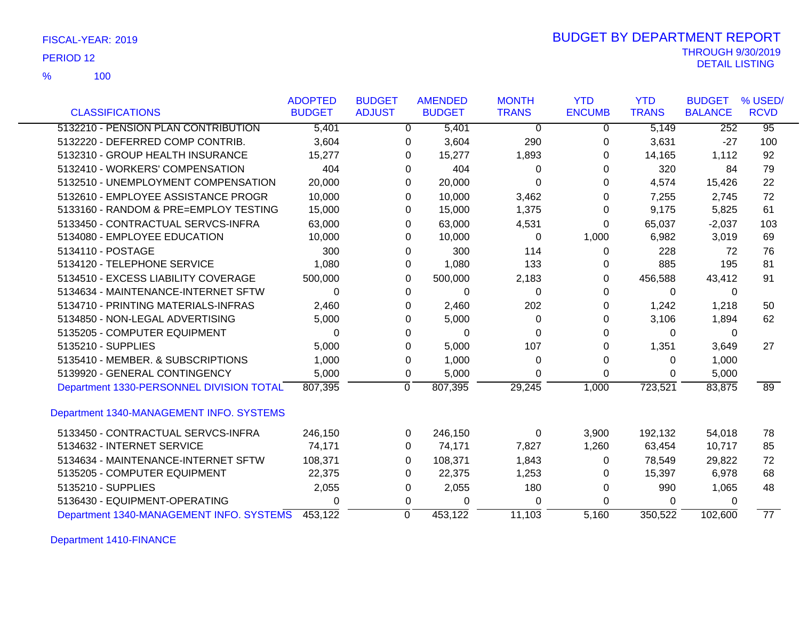100 %

|                                          | <b>ADOPTED</b> | <b>BUDGET</b> | <b>AMENDED</b>      | <b>MONTH</b> | <b>YTD</b>    | <b>YTD</b>   | <b>BUDGET</b>  | % USED/         |
|------------------------------------------|----------------|---------------|---------------------|--------------|---------------|--------------|----------------|-----------------|
| <b>CLASSIFICATIONS</b>                   | <b>BUDGET</b>  | <b>ADJUST</b> | <b>BUDGET</b>       | <b>TRANS</b> | <b>ENCUMB</b> | <b>TRANS</b> | <b>BALANCE</b> | <b>RCVD</b>     |
| 5132210 - PENSION PLAN CONTRIBUTION      | 5,401          |               | 5,401<br>0          | $\Omega$     | $\Omega$      | 5,149        | 252            | $\overline{95}$ |
| 5132220 - DEFERRED COMP CONTRIB.         | 3,604          |               | 3,604<br>0          | 290          | 0             | 3,631        | $-27$          | 100             |
| 5132310 - GROUP HEALTH INSURANCE         | 15,277         |               | 15,277<br>0         | 1,893        | 0             | 14,165       | 1,112          | 92              |
| 5132410 - WORKERS' COMPENSATION          | 404            |               | 404<br>0            | 0            | 0             | 320          | 84             | 79              |
| 5132510 - UNEMPLOYMENT COMPENSATION      | 20,000         |               | 20,000<br>0         | 0            | 0             | 4,574        | 15,426         | 22              |
| 5132610 - EMPLOYEE ASSISTANCE PROGR      | 10,000         |               | 10,000<br>0         | 3,462        | 0             | 7,255        | 2,745          | 72              |
| 5133160 - RANDOM & PRE=EMPLOY TESTING    | 15,000         |               | 15,000<br>0         | 1,375        | 0             | 9,175        | 5,825          | 61              |
| 5133450 - CONTRACTUAL SERVCS-INFRA       | 63,000         |               | 0<br>63,000         | 4,531        | 0             | 65,037       | $-2,037$       | 103             |
| 5134080 - EMPLOYEE EDUCATION             | 10,000         |               | 10,000<br>0         | 0            | 1,000         | 6,982        | 3,019          | 69              |
| 5134110 - POSTAGE                        | 300            |               | 300<br>0            | 114          | 0             | 228          | 72             | 76              |
| 5134120 - TELEPHONE SERVICE              | 1,080          |               | 1,080<br>0          | 133          | 0             | 885          | 195            | 81              |
| 5134510 - EXCESS LIABILITY COVERAGE      | 500,000        |               | 500,000<br>0        | 2,183        | 0             | 456,588      | 43,412         | 91              |
| 5134634 - MAINTENANCE-INTERNET SFTW      | 0              |               | 0<br>$\Omega$       | 0            | 0             | 0            | 0              |                 |
| 5134710 - PRINTING MATERIALS-INFRAS      | 2,460          |               | 2,460<br>0          | 202          | 0             | 1,242        | 1,218          | 50              |
| 5134850 - NON-LEGAL ADVERTISING          | 5,000          |               | 5,000<br>0          | 0            | 0             | 3,106        | 1,894          | 62              |
| 5135205 - COMPUTER EQUIPMENT             | 0              |               | $\Omega$<br>0       | 0            | 0             | 0            | 0              |                 |
| 5135210 - SUPPLIES                       | 5,000          |               | 5,000<br>0          | 107          | 0             | 1,351        | 3,649          | 27              |
| 5135410 - MEMBER. & SUBSCRIPTIONS        | 1,000          |               | 1,000<br>0          | 0            | 0             | 0            | 1,000          |                 |
| 5139920 - GENERAL CONTINGENCY            | 5,000          |               | 5,000<br>0          | 0            | 0             | 0            | 5,000          |                 |
| Department 1330-PERSONNEL DIVISION TOTAL | 807,395        |               | 807,395<br>$\Omega$ | 29,245       | 1,000         | 723,521      | 83,875         | 89              |
| Department 1340-MANAGEMENT INFO. SYSTEMS |                |               |                     |              |               |              |                |                 |
| 5133450 - CONTRACTUAL SERVCS-INFRA       | 246,150        |               | 246,150<br>0        | 0            | 3,900         | 192,132      | 54,018         | 78              |
| 5134632 - INTERNET SERVICE               | 74,171         |               | 0<br>74,171         | 7,827        | 1,260         | 63,454       | 10,717         | 85              |
| 5134634 - MAINTENANCE-INTERNET SFTW      | 108,371        |               | 108,371<br>0        | 1,843        | 0             | 78,549       | 29,822         | 72              |
| 5135205 - COMPUTER EQUIPMENT             | 22,375         |               | 0<br>22,375         | 1,253        | 0             | 15,397       | 6,978          | 68              |
| 5135210 - SUPPLIES                       | 2,055          |               | 2,055<br>0          | 180          | 0             | 990          | 1,065          | 48              |
| 5136430 - EQUIPMENT-OPERATING            | 0              |               | 0<br>$\Omega$       | $\Omega$     | 0             | 0            | 0              |                 |
| Department 1340-MANAGEMENT INFO. SYSTEMS | 453,122        |               | 453,122<br>$\Omega$ | 11,103       | 5.160         | 350,522      | 102,600        | $\overline{77}$ |

Department 1410-FINANCE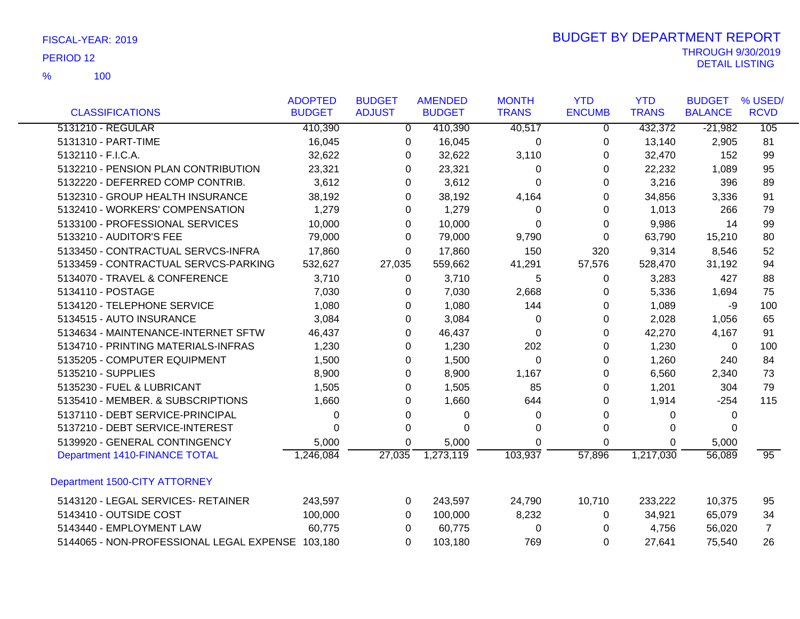|                                                  | <b>ADOPTED</b> | <b>BUDGET</b> | <b>AMENDED</b> | <b>MONTH</b> | <b>YTD</b>    | <b>YTD</b>   | <b>BUDGET</b>  | % USED/         |
|--------------------------------------------------|----------------|---------------|----------------|--------------|---------------|--------------|----------------|-----------------|
| <b>CLASSIFICATIONS</b>                           | <b>BUDGET</b>  | <b>ADJUST</b> | <b>BUDGET</b>  | <b>TRANS</b> | <b>ENCUMB</b> | <b>TRANS</b> | <b>BALANCE</b> | <b>RCVD</b>     |
| 5131210 - REGULAR                                | 410,390        | $\Omega$      | 410,390        | 40,517       | 0             | 432,372      | $-21,982$      | 105             |
| 5131310 - PART-TIME                              | 16,045         | 0             | 16,045         | 0            | 0             | 13,140       | 2,905          | 81              |
| 5132110 - F.I.C.A.                               | 32,622         | 0             | 32,622         | 3,110        | 0             | 32,470       | 152            | 99              |
| 5132210 - PENSION PLAN CONTRIBUTION              | 23,321         | 0             | 23,321         | 0            | 0             | 22,232       | 1,089          | 95              |
| 5132220 - DEFERRED COMP CONTRIB.                 | 3,612          | 0             | 3,612          | $\Omega$     | $\Omega$      | 3,216        | 396            | 89              |
| 5132310 - GROUP HEALTH INSURANCE                 | 38,192         | 0             | 38,192         | 4,164        | 0             | 34,856       | 3,336          | 91              |
| 5132410 - WORKERS' COMPENSATION                  | 1,279          | 0             | 1,279          | 0            | 0             | 1,013        | 266            | 79              |
| 5133100 - PROFESSIONAL SERVICES                  | 10,000         | 0             | 10,000         | 0            | 0             | 9,986        | 14             | 99              |
| 5133210 - AUDITOR'S FEE                          | 79,000         | 0             | 79,000         | 9,790        | 0             | 63,790       | 15,210         | 80              |
| 5133450 - CONTRACTUAL SERVCS-INFRA               | 17,860         | $\Omega$      | 17,860         | 150          | 320           | 9,314        | 8,546          | 52              |
| 5133459 - CONTRACTUAL SERVCS-PARKING             | 532,627        | 27,035        | 559,662        | 41,291       | 57,576        | 528,470      | 31,192         | 94              |
| 5134070 - TRAVEL & CONFERENCE                    | 3,710          | $\Omega$      | 3,710          | 5            | 0             | 3,283        | 427            | 88              |
| 5134110 - POSTAGE                                | 7,030          | 0             | 7,030          | 2,668        | 0             | 5,336        | 1,694          | 75              |
| 5134120 - TELEPHONE SERVICE                      | 1,080          | 0             | 1,080          | 144          | 0             | 1,089        | -9             | 100             |
| 5134515 - AUTO INSURANCE                         | 3,084          | $\Omega$      | 3,084          | 0            | 0             | 2,028        | 1,056          | 65              |
| 5134634 - MAINTENANCE-INTERNET SFTW              | 46,437         | $\Omega$      | 46,437         | $\Omega$     | $\Omega$      | 42,270       | 4,167          | 91              |
| 5134710 - PRINTING MATERIALS-INFRAS              | 1,230          | 0             | 1,230          | 202          | 0             | 1,230        | 0              | 100             |
| 5135205 - COMPUTER EQUIPMENT                     | 1,500          | 0             | 1,500          | 0            | 0             | 1,260        | 240            | 84              |
| 5135210 - SUPPLIES                               | 8,900          | 0             | 8,900          | 1,167        | 0             | 6,560        | 2,340          | 73              |
| 5135230 - FUEL & LUBRICANT                       | 1,505          | 0             | 1,505          | 85           | 0             | 1,201        | 304            | 79              |
| 5135410 - MEMBER. & SUBSCRIPTIONS                | 1,660          | $\Omega$      | 1,660          | 644          | $\Omega$      | 1,914        | $-254$         | 115             |
| 5137110 - DEBT SERVICE-PRINCIPAL                 | 0              | 0             | 0              | 0            | 0             | 0            | 0              |                 |
| 5137210 - DEBT SERVICE-INTEREST                  | 0              | $\Omega$      | 0              | 0            | 0             | 0            | $\Omega$       |                 |
| 5139920 - GENERAL CONTINGENCY                    | 5,000          | 0             | 5,000          | 0            | 0             | 0            | 5,000          |                 |
| Department 1410-FINANCE TOTAL                    | 1,246,084      | 27,035        | 1,273,119      | 103,937      | 57,896        | 1,217,030    | 56,089         | $\overline{95}$ |
| Department 1500-CITY ATTORNEY                    |                |               |                |              |               |              |                |                 |
| 5143120 - LEGAL SERVICES- RETAINER               | 243,597        | 0             | 243,597        | 24,790       | 10,710        | 233,222      | 10,375         | 95              |
| 5143410 - OUTSIDE COST                           | 100,000        | $\Omega$      | 100,000        | 8,232        | 0             | 34,921       | 65,079         | 34              |
| 5143440 - EMPLOYMENT LAW                         | 60,775         | 0             | 60,775         | 0            | 0             | 4,756        | 56,020         | $\overline{7}$  |
| 5144065 - NON-PROFESSIONAL LEGAL EXPENSE 103,180 |                | 0             | 103,180        | 769          | 0             | 27,641       | 75,540         | 26              |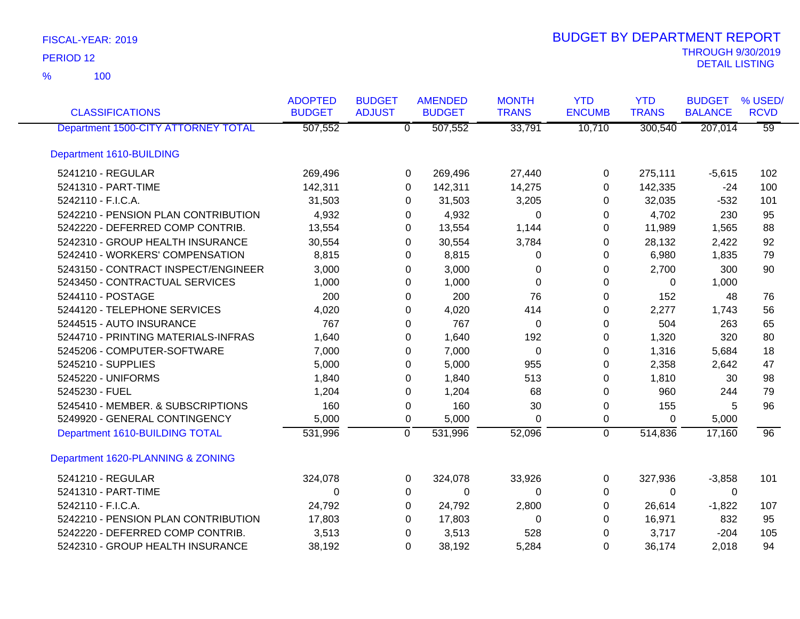| <b>CLASSIFICATIONS</b>              | <b>ADOPTED</b><br><b>BUDGET</b> | <b>BUDGET</b><br><b>ADJUST</b> | <b>AMENDED</b><br><b>BUDGET</b> | <b>MONTH</b><br><b>TRANS</b> | <b>YTD</b><br><b>ENCUMB</b> | <b>YTD</b><br><b>TRANS</b> | <b>BUDGET</b><br><b>BALANCE</b> | % USED/<br><b>RCVD</b> |
|-------------------------------------|---------------------------------|--------------------------------|---------------------------------|------------------------------|-----------------------------|----------------------------|---------------------------------|------------------------|
| Department 1500-CITY ATTORNEY TOTAL | 507,552                         |                                | 507,552<br>$\overline{0}$       | 33,791                       | 10,710                      | 300,540                    | 207,014                         | $\overline{59}$        |
| Department 1610-BUILDING            |                                 |                                |                                 |                              |                             |                            |                                 |                        |
| 5241210 - REGULAR                   | 269,496                         |                                | 269,496<br>0                    | 27,440                       | 0                           | 275,111                    | $-5,615$                        | 102                    |
| 5241310 - PART-TIME                 | 142,311                         |                                | 142,311<br>0                    | 14,275                       | $\Omega$                    | 142,335                    | $-24$                           | 100                    |
| 5242110 - F.I.C.A.                  | 31,503                          |                                | 31,503<br>0                     | 3,205                        | $\Omega$                    | 32,035                     | $-532$                          | 101                    |
| 5242210 - PENSION PLAN CONTRIBUTION | 4,932                           |                                | 4,932<br>0                      | 0                            | 0                           | 4,702                      | 230                             | 95                     |
| 5242220 - DEFERRED COMP CONTRIB.    | 13,554                          |                                | 13,554<br>0                     | 1,144                        | 0                           | 11,989                     | 1,565                           | 88                     |
| 5242310 - GROUP HEALTH INSURANCE    | 30,554                          |                                | 30,554<br>0                     | 3,784                        | 0                           | 28,132                     | 2,422                           | 92                     |
| 5242410 - WORKERS' COMPENSATION     | 8,815                           |                                | 8,815<br>0                      | 0                            | 0                           | 6,980                      | 1,835                           | 79                     |
| 5243150 - CONTRACT INSPECT/ENGINEER | 3,000                           |                                | 3,000<br>0                      | 0                            | 0                           | 2,700                      | 300                             | 90                     |
| 5243450 - CONTRACTUAL SERVICES      | 1,000                           |                                | 1,000<br>0                      | $\overline{0}$               | 0                           | 0                          | 1,000                           |                        |
| 5244110 - POSTAGE                   | 200                             |                                | 200<br>0                        | 76                           | 0                           | 152                        | 48                              | 76                     |
| 5244120 - TELEPHONE SERVICES        | 4,020                           |                                | 4,020<br>0                      | 414                          | 0                           | 2,277                      | 1,743                           | 56                     |
| 5244515 - AUTO INSURANCE            | 767                             |                                | 767<br>0                        | 0                            | 0                           | 504                        | 263                             | 65                     |
| 5244710 - PRINTING MATERIALS-INFRAS | 1,640                           |                                | 1,640<br>0                      | 192                          | 0                           | 1,320                      | 320                             | 80                     |
| 5245206 - COMPUTER-SOFTWARE         | 7,000                           |                                | 7,000<br>0                      | $\Omega$                     | $\Omega$                    | 1,316                      | 5,684                           | 18                     |
| 5245210 - SUPPLIES                  | 5,000                           |                                | 5,000<br>0                      | 955                          | 0                           | 2,358                      | 2,642                           | 47                     |
| 5245220 - UNIFORMS                  | 1,840                           |                                | 1,840<br>0                      | 513                          | 0                           | 1,810                      | 30                              | 98                     |
| 5245230 - FUEL                      | 1,204                           |                                | 1,204<br>0                      | 68                           | $\Omega$                    | 960                        | 244                             | 79                     |
| 5245410 - MEMBER. & SUBSCRIPTIONS   | 160                             |                                | 160<br>0                        | 30                           | 0                           | 155                        | 5                               | 96                     |
| 5249920 - GENERAL CONTINGENCY       | 5,000                           |                                | 5,000<br>0                      | $\Omega$                     | 0                           | $\Omega$                   | 5,000                           |                        |
| Department 1610-BUILDING TOTAL      | 531,996                         |                                | $\overline{0}$<br>531,996       | 52,096                       | $\overline{0}$              | 514,836                    | 17,160                          | 96                     |
| Department 1620-PLANNING & ZONING   |                                 |                                |                                 |                              |                             |                            |                                 |                        |
| 5241210 - REGULAR                   | 324,078                         |                                | 324,078<br>0                    | 33,926                       | 0                           | 327,936                    | $-3,858$                        | 101                    |
| 5241310 - PART-TIME                 | 0                               |                                | 0<br>0                          | 0                            | 0                           | $\Omega$                   | 0                               |                        |
| 5242110 - F.I.C.A.                  | 24,792                          |                                | 24,792<br>0                     | 2,800                        | 0                           | 26,614                     | $-1,822$                        | 107                    |
| 5242210 - PENSION PLAN CONTRIBUTION | 17,803                          |                                | 17,803<br>0                     | 0                            | 0                           | 16,971                     | 832                             | 95                     |
| 5242220 - DEFERRED COMP CONTRIB.    | 3,513                           |                                | 3,513<br>0                      | 528                          | 0                           | 3,717                      | $-204$                          | 105                    |
| 5242310 - GROUP HEALTH INSURANCE    | 38,192                          |                                | 38,192<br>0                     | 5,284                        | 0                           | 36,174                     | 2,018                           | 94                     |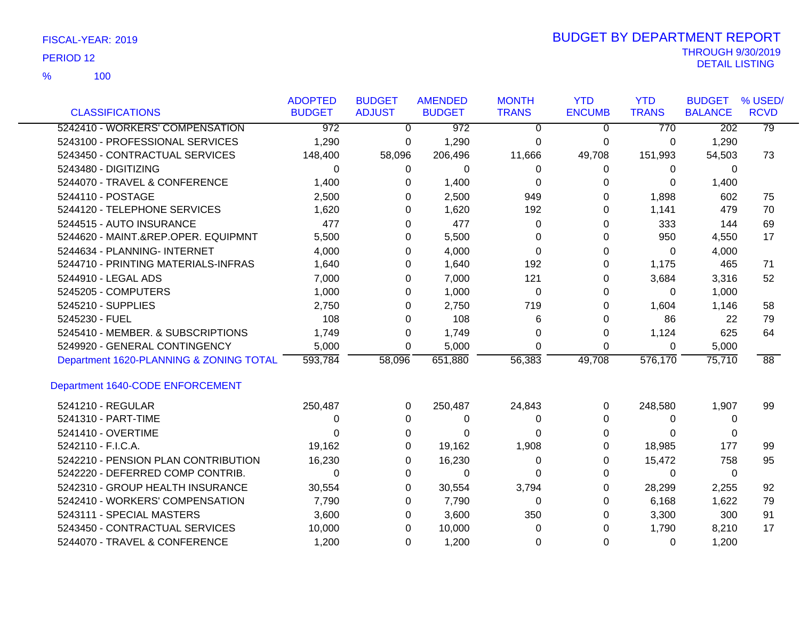100 %

| <b>CLASSIFICATIONS</b>                  | <b>ADOPTED</b><br><b>BUDGET</b> | <b>BUDGET</b><br><b>ADJUST</b> | <b>AMENDED</b><br><b>BUDGET</b> | <b>MONTH</b><br><b>TRANS</b> | <b>YTD</b><br><b>ENCUMB</b> | <b>YTD</b><br><b>TRANS</b> | <b>BUDGET</b><br><b>BALANCE</b> | % USED/<br><b>RCVD</b> |
|-----------------------------------------|---------------------------------|--------------------------------|---------------------------------|------------------------------|-----------------------------|----------------------------|---------------------------------|------------------------|
| 5242410 - WORKERS' COMPENSATION         | $\overline{972}$                | $\Omega$                       | $\overline{972}$                | 0                            | $\Omega$                    | 770                        | $\overline{202}$                | 79                     |
| 5243100 - PROFESSIONAL SERVICES         | 1,290                           | 0                              | 1,290                           | $\Omega$                     | 0                           | 0                          | 1,290                           |                        |
| 5243450 - CONTRACTUAL SERVICES          | 148,400                         | 58,096                         | 206,496                         | 11,666                       | 49,708                      | 151,993                    | 54,503                          | 73                     |
| 5243480 - DIGITIZING                    | 0                               | 0                              | 0                               | 0                            | 0                           | 0                          | 0                               |                        |
| 5244070 - TRAVEL & CONFERENCE           | 1,400                           | 0                              | 1,400                           | $\Omega$                     | 0                           | 0                          | 1,400                           |                        |
| 5244110 - POSTAGE                       | 2,500                           | 0                              | 2,500                           | 949                          | 0                           | 1,898                      | 602                             | 75                     |
| 5244120 - TELEPHONE SERVICES            | 1,620                           | 0                              | 1,620                           | 192                          | 0                           | 1,141                      | 479                             | 70                     |
| 5244515 - AUTO INSURANCE                | 477                             | 0                              | 477                             | 0                            | 0                           | 333                        | 144                             | 69                     |
| 5244620 - MAINT.&REP.OPER. EQUIPMNT     | 5,500                           | 0                              | 5,500                           | $\Omega$                     | 0                           | 950                        | 4,550                           | 17                     |
| 5244634 - PLANNING- INTERNET            | 4,000                           | 0                              | 4,000                           | 0                            | 0                           | 0                          | 4,000                           |                        |
| 5244710 - PRINTING MATERIALS-INFRAS     | 1,640                           | 0                              | 1,640                           | 192                          | 0                           | 1,175                      | 465                             | 71                     |
| 5244910 - LEGAL ADS                     | 7,000                           | 0                              | 7,000                           | 121                          | 0                           | 3,684                      | 3,316                           | 52                     |
| 5245205 - COMPUTERS                     | 1,000                           | 0                              | 1,000                           | $\Omega$                     | 0                           | $\Omega$                   | 1,000                           |                        |
| 5245210 - SUPPLIES                      | 2,750                           | 0                              | 2,750                           | 719                          | 0                           | 1,604                      | 1,146                           | 58                     |
| 5245230 - FUEL                          | 108                             | 0                              | 108                             | 6                            | 0                           | 86                         | 22                              | 79                     |
| 5245410 - MEMBER. & SUBSCRIPTIONS       | 1,749                           | 0                              | 1,749                           | 0                            | 0                           | 1,124                      | 625                             | 64                     |
| 5249920 - GENERAL CONTINGENCY           | 5,000                           | 0                              | 5,000                           | $\Omega$                     | 0                           | 0                          | 5,000                           |                        |
| Department 1620-PLANNING & ZONING TOTAL | 593,784                         | 58,096                         | 651,880                         | 56,383                       | 49,708                      | 576,170                    | 75,710                          | $\overline{88}$        |
| Department 1640-CODE ENFORCEMENT        |                                 |                                |                                 |                              |                             |                            |                                 |                        |
| 5241210 - REGULAR                       | 250,487                         | $\Omega$                       | 250,487                         | 24,843                       | 0                           | 248,580                    | 1,907                           | 99                     |
| 5241310 - PART-TIME                     | 0                               | 0                              | 0                               | 0                            | 0                           | 0                          | 0                               |                        |
| 5241410 - OVERTIME                      | 0                               | 0                              | 0                               | 0                            | 0                           | 0                          | 0                               |                        |
| 5242110 - F.I.C.A.                      | 19,162                          | 0                              | 19,162                          | 1,908                        | 0                           | 18,985                     | 177                             | 99                     |
| 5242210 - PENSION PLAN CONTRIBUTION     | 16,230                          | 0                              | 16,230                          | 0                            | 0                           | 15,472                     | 758                             | 95                     |
| 5242220 - DEFERRED COMP CONTRIB.        | $\Omega$                        | 0                              | $\Omega$                        | $\Omega$                     | 0                           | $\Omega$                   | $\mathbf{0}$                    |                        |
| 5242310 - GROUP HEALTH INSURANCE        | 30,554                          | 0                              | 30,554                          | 3,794                        | 0                           | 28,299                     | 2,255                           | 92                     |
| 5242410 - WORKERS' COMPENSATION         | 7,790                           | 0                              | 7,790                           | 0                            | 0                           | 6,168                      | 1,622                           | 79                     |
| 5243111 - SPECIAL MASTERS               | 3,600                           | 0                              | 3,600                           | 350                          | 0                           | 3,300                      | 300                             | 91                     |
| 5243450 - CONTRACTUAL SERVICES          | 10,000                          | 0                              | 10,000                          | 0                            | 0                           | 1,790                      | 8,210                           | 17                     |
| 5244070 - TRAVEL & CONFERENCE           | 1,200                           | 0                              | 1,200                           | 0                            | 0                           | 0                          | 1,200                           |                        |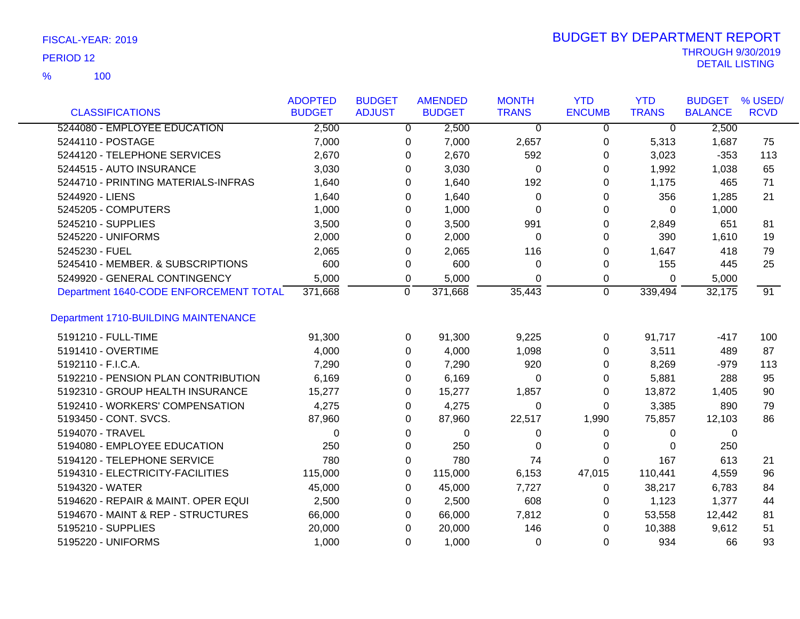100 %

| <b>CLASSIFICATIONS</b>                 | <b>ADOPTED</b><br><b>BUDGET</b> | <b>BUDGET</b><br><b>ADJUST</b> |                | <b>AMENDED</b><br><b>BUDGET</b> | <b>MONTH</b><br><b>TRANS</b> | <b>YTD</b><br><b>ENCUMB</b> | <b>YTD</b><br><b>TRANS</b> | <b>BUDGET</b><br><b>BALANCE</b> | % USED/<br><b>RCVD</b> |
|----------------------------------------|---------------------------------|--------------------------------|----------------|---------------------------------|------------------------------|-----------------------------|----------------------------|---------------------------------|------------------------|
| 5244080 - EMPLOYEE EDUCATION           | 2,500                           |                                | $\overline{0}$ | 2,500                           | $\overline{0}$               | $\overline{0}$              | $\overline{0}$             | 2,500                           |                        |
| 5244110 - POSTAGE                      | 7,000                           |                                | 0              | 7,000                           | 2,657                        | 0                           | 5,313                      | 1,687                           | 75                     |
| 5244120 - TELEPHONE SERVICES           | 2,670                           |                                | 0              | 2,670                           | 592                          | 0                           | 3,023                      | $-353$                          | 113                    |
| 5244515 - AUTO INSURANCE               | 3,030                           |                                | 0              | 3,030                           | 0                            | 0                           | 1,992                      | 1,038                           | 65                     |
| 5244710 - PRINTING MATERIALS-INFRAS    | 1,640                           |                                | 0              | 1,640                           | 192                          | 0                           | 1,175                      | 465                             | 71                     |
| 5244920 - LIENS                        | 1,640                           |                                | 0              | 1,640                           | 0                            | 0                           | 356                        | 1,285                           | 21                     |
| 5245205 - COMPUTERS                    | 1,000                           |                                | 0              | 1,000                           | $\Omega$                     | 0                           | 0                          | 1,000                           |                        |
| 5245210 - SUPPLIES                     | 3,500                           |                                | 0              | 3,500                           | 991                          | 0                           | 2,849                      | 651                             | 81                     |
| 5245220 - UNIFORMS                     | 2,000                           |                                | 0              | 2,000                           | $\Omega$                     | 0                           | 390                        | 1,610                           | 19                     |
| 5245230 - FUEL                         | 2,065                           |                                | 0              | 2,065                           | 116                          | 0                           | 1,647                      | 418                             | 79                     |
| 5245410 - MEMBER. & SUBSCRIPTIONS      | 600                             |                                | 0              | 600                             | 0                            | 0                           | 155                        | 445                             | 25                     |
| 5249920 - GENERAL CONTINGENCY          | 5,000                           |                                | 0              | 5,000                           | 0                            | 0                           | 0                          | 5,000                           |                        |
| Department 1640-CODE ENFORCEMENT TOTAL | 371,668                         |                                | 0              | 371,668                         | 35,443                       | $\overline{0}$              | 339,494                    | 32,175                          | $\overline{91}$        |
|                                        |                                 |                                |                |                                 |                              |                             |                            |                                 |                        |
| Department 1710-BUILDING MAINTENANCE   |                                 |                                |                |                                 |                              |                             |                            |                                 |                        |
| 5191210 - FULL-TIME                    | 91,300                          |                                | 0              | 91,300                          | 9,225                        | 0                           | 91,717                     | $-417$                          | 100                    |
| 5191410 - OVERTIME                     | 4,000                           |                                | $\Omega$       | 4,000                           | 1,098                        | 0                           | 3,511                      | 489                             | 87                     |
| 5192110 - F.I.C.A.                     | 7,290                           |                                | 0              | 7,290                           | 920                          | 0                           | 8,269                      | $-979$                          | 113                    |
| 5192210 - PENSION PLAN CONTRIBUTION    | 6,169                           |                                | 0              | 6,169                           | $\Omega$                     | 0                           | 5,881                      | 288                             | 95                     |
| 5192310 - GROUP HEALTH INSURANCE       | 15,277                          |                                | 0              | 15,277                          | 1,857                        | 0                           | 13,872                     | 1,405                           | 90                     |
| 5192410 - WORKERS' COMPENSATION        | 4,275                           |                                | 0              | 4,275                           | 0                            | 0                           | 3,385                      | 890                             | 79                     |
| 5193450 - CONT. SVCS.                  | 87,960                          |                                | 0              | 87,960                          | 22,517                       | 1,990                       | 75,857                     | 12,103                          | 86                     |
| 5194070 - TRAVEL                       | $\Omega$                        |                                | 0              | 0                               | 0                            | 0                           | 0                          | 0                               |                        |
| 5194080 - EMPLOYEE EDUCATION           | 250                             |                                | 0              | 250                             | 0                            | 0                           | 0                          | 250                             |                        |
| 5194120 - TELEPHONE SERVICE            | 780                             |                                | 0              | 780                             | 74                           | $\Omega$                    | 167                        | 613                             | 21                     |
| 5194310 - ELECTRICITY-FACILITIES       | 115,000                         |                                | 0              | 115,000                         | 6,153                        | 47,015                      | 110,441                    | 4,559                           | 96                     |
| 5194320 - WATER                        | 45,000                          |                                | 0              | 45,000                          | 7,727                        | 0                           | 38,217                     | 6,783                           | 84                     |
| 5194620 - REPAIR & MAINT. OPER EQUI    | 2,500                           |                                | 0              | 2,500                           | 608                          | 0                           | 1,123                      | 1,377                           | 44                     |
| 5194670 - MAINT & REP - STRUCTURES     | 66,000                          |                                | 0              | 66,000                          | 7,812                        | 0                           | 53,558                     | 12,442                          | 81                     |
| 5195210 - SUPPLIES                     | 20,000                          |                                | 0              | 20,000                          | 146                          | 0                           | 10,388                     | 9,612                           | 51                     |
| 5195220 - UNIFORMS                     | 1,000                           |                                | $\Omega$       | 1,000                           | 0                            | 0                           | 934                        | 66                              | 93                     |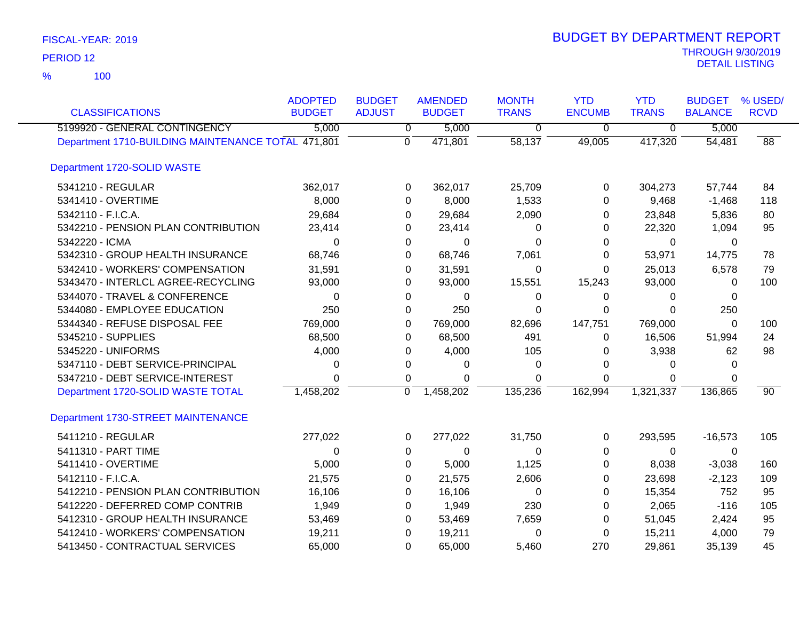| <b>CLASSIFICATIONS</b>                             | <b>ADOPTED</b><br><b>BUDGET</b> | <b>BUDGET</b><br><b>ADJUST</b> | <b>AMENDED</b><br><b>BUDGET</b> | <b>MONTH</b><br><b>TRANS</b> | <b>YTD</b><br><b>ENCUMB</b> | <b>YTD</b><br><b>TRANS</b> | <b>BUDGET</b><br><b>BALANCE</b> | % USED/<br><b>RCVD</b> |
|----------------------------------------------------|---------------------------------|--------------------------------|---------------------------------|------------------------------|-----------------------------|----------------------------|---------------------------------|------------------------|
| 5199920 - GENERAL CONTINGENCY                      | 5,000                           | $\overline{0}$                 | 5,000                           | $\overline{0}$               | $\overline{0}$              | $\overline{0}$             | 5,000                           |                        |
| Department 1710-BUILDING MAINTENANCE TOTAL 471,801 |                                 | $\mathbf{0}$                   | 471,801                         | 58,137                       | 49,005                      | 417,320                    | 54,481                          | 88                     |
| Department 1720-SOLID WASTE                        |                                 |                                |                                 |                              |                             |                            |                                 |                        |
| 5341210 - REGULAR                                  | 362,017                         | 0                              | 362,017                         | 25,709                       | 0                           | 304,273                    | 57,744                          | 84                     |
| 5341410 - OVERTIME                                 | 8,000                           | 0                              | 8,000                           | 1,533                        | 0                           | 9,468                      | $-1,468$                        | 118                    |
| 5342110 - F.I.C.A.                                 | 29,684                          | 0                              | 29,684                          | 2,090                        | 0                           | 23,848                     | 5,836                           | 80                     |
| 5342210 - PENSION PLAN CONTRIBUTION                | 23,414                          | 0                              | 23,414                          | 0                            | 0                           | 22,320                     | 1,094                           | 95                     |
| 5342220 - ICMA                                     | 0                               | 0                              | $\Omega$                        | 0                            | 0                           | $\Omega$                   | 0                               |                        |
| 5342310 - GROUP HEALTH INSURANCE                   | 68,746                          | 0                              | 68,746                          | 7,061                        | 0                           | 53,971                     | 14,775                          | 78                     |
| 5342410 - WORKERS' COMPENSATION                    | 31,591                          | 0                              | 31,591                          | 0                            | 0                           | 25,013                     | 6,578                           | 79                     |
| 5343470 - INTERLCL AGREE-RECYCLING                 | 93,000                          | 0                              | 93,000                          | 15,551                       | 15,243                      | 93,000                     | 0                               | 100                    |
| 5344070 - TRAVEL & CONFERENCE                      | 0                               | 0                              | 0                               | 0                            | 0                           | 0                          | 0                               |                        |
| 5344080 - EMPLOYEE EDUCATION                       | 250                             | 0                              | 250                             | $\Omega$                     | $\Omega$                    | $\Omega$                   | 250                             |                        |
| 5344340 - REFUSE DISPOSAL FEE                      | 769,000                         | 0                              | 769,000                         | 82,696                       | 147,751                     | 769,000                    | 0                               | 100                    |
| 5345210 - SUPPLIES                                 | 68,500                          | 0                              | 68,500                          | 491                          | 0                           | 16,506                     | 51,994                          | 24                     |
| 5345220 - UNIFORMS                                 | 4,000                           | 0                              | 4,000                           | 105                          | 0                           | 3,938                      | 62                              | 98                     |
| 5347110 - DEBT SERVICE-PRINCIPAL                   | 0                               | 0                              | 0                               | 0                            | 0                           | 0                          | 0                               |                        |
| 5347210 - DEBT SERVICE-INTEREST                    | $\Omega$                        | 0                              | $\Omega$                        | $\Omega$                     | $\Omega$                    | 0                          | 0                               |                        |
| Department 1720-SOLID WASTE TOTAL                  | 1,458,202                       | 0                              | 1,458,202                       | 135,236                      | 162,994                     | 1,321,337                  | 136,865                         | $\overline{90}$        |
| Department 1730-STREET MAINTENANCE                 |                                 |                                |                                 |                              |                             |                            |                                 |                        |
| 5411210 - REGULAR                                  | 277,022                         | 0                              | 277,022                         | 31,750                       | 0                           | 293,595                    | $-16,573$                       | 105                    |
| 5411310 - PART TIME                                | 0                               | $\pmb{0}$                      | 0                               | 0                            | 0                           | 0                          | 0                               |                        |
| 5411410 - OVERTIME                                 | 5,000                           | 0                              | 5,000                           | 1,125                        | 0                           | 8,038                      | $-3,038$                        | 160                    |
| 5412110 - F.I.C.A.                                 | 21,575                          | 0                              | 21,575                          | 2,606                        | 0                           | 23,698                     | $-2,123$                        | 109                    |
| 5412210 - PENSION PLAN CONTRIBUTION                | 16,106                          | 0                              | 16,106                          | 0                            | 0                           | 15,354                     | 752                             | 95                     |
| 5412220 - DEFERRED COMP CONTRIB                    | 1,949                           | 0                              | 1,949                           | 230                          | 0                           | 2,065                      | $-116$                          | 105                    |
| 5412310 - GROUP HEALTH INSURANCE                   | 53,469                          | 0                              | 53,469                          | 7,659                        | 0                           | 51,045                     | 2,424                           | 95                     |
| 5412410 - WORKERS' COMPENSATION                    | 19,211                          | 0                              | 19,211                          | 0                            | 0                           | 15,211                     | 4,000                           | 79                     |
| 5413450 - CONTRACTUAL SERVICES                     | 65,000                          | $\Omega$                       | 65,000                          | 5,460                        | 270                         | 29,861                     | 35,139                          | 45                     |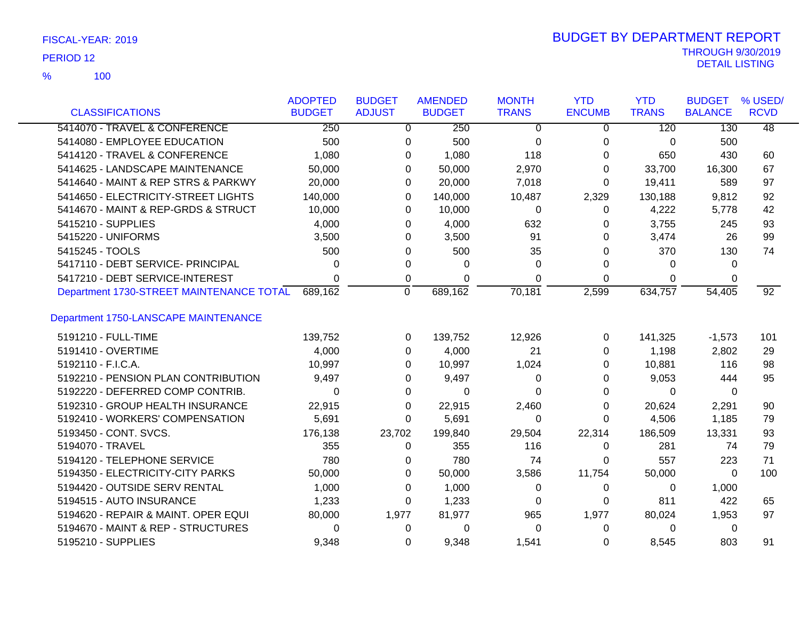| FISCAL-YEAR: 2019 |
|-------------------|
|-------------------|

100 %

|                                          | <b>ADOPTED</b> | <b>BUDGET</b> | <b>AMENDED</b> | <b>MONTH</b> | <b>YTD</b>    | <b>YTD</b>   | <b>BUDGET</b>  | % USED/         |
|------------------------------------------|----------------|---------------|----------------|--------------|---------------|--------------|----------------|-----------------|
| <b>CLASSIFICATIONS</b>                   | <b>BUDGET</b>  | <b>ADJUST</b> | <b>BUDGET</b>  | <b>TRANS</b> | <b>ENCUMB</b> | <b>TRANS</b> | <b>BALANCE</b> | <b>RCVD</b>     |
| 5414070 - TRAVEL & CONFERENCE            | 250            |               | 250<br>0       | 0            | 0             | 120          | 130            | 48              |
| 5414080 - EMPLOYEE EDUCATION             | 500            |               | 500<br>0       | 0            | 0             | 0            | 500            |                 |
| 5414120 - TRAVEL & CONFERENCE            | 1,080          |               | 1,080<br>0     | 118          | 0             | 650          | 430            | 60              |
| 5414625 - LANDSCAPE MAINTENANCE          | 50,000         |               | 50,000<br>0    | 2,970        | 0             | 33,700       | 16,300         | 67              |
| 5414640 - MAINT & REP STRS & PARKWY      | 20,000         |               | 20,000<br>0    | 7,018        | 0             | 19,411       | 589            | 97              |
| 5414650 - ELECTRICITY-STREET LIGHTS      | 140,000        |               | 140,000<br>0   | 10,487       | 2,329         | 130,188      | 9,812          | 92              |
| 5414670 - MAINT & REP-GRDS & STRUCT      | 10,000         |               | 10,000<br>0    | 0            | 0             | 4,222        | 5,778          | 42              |
| 5415210 - SUPPLIES                       | 4,000          |               | 4,000<br>0     | 632          | 0             | 3,755        | 245            | 93              |
| 5415220 - UNIFORMS                       | 3,500          |               | 3,500<br>0     | 91           | 0             | 3,474        | 26             | 99              |
| 5415245 - TOOLS                          | 500            |               | 500<br>0       | 35           | 0             | 370          | 130            | 74              |
| 5417110 - DEBT SERVICE- PRINCIPAL        | 0              |               | 0<br>0         | $\Omega$     | 0             | 0            | $\Omega$       |                 |
| 5417210 - DEBT SERVICE-INTEREST          | 0              |               | 0<br>0         | 0            | 0             | 0            | 0              |                 |
| Department 1730-STREET MAINTENANCE TOTAL | 689,162        | $\Omega$      | 689,162        | 70,181       | 2,599         | 634,757      | 54,405         | $\overline{92}$ |
| Department 1750-LANSCAPE MAINTENANCE     |                |               |                |              |               |              |                |                 |
| 5191210 - FULL-TIME                      | 139,752        |               | 139,752<br>0   | 12,926       | 0             | 141,325      | $-1,573$       | 101             |
| 5191410 - OVERTIME                       | 4,000          |               | 4,000<br>0     | 21           | 0             | 1,198        | 2,802          | 29              |
| 5192110 - F.I.C.A.                       | 10,997         |               | 10,997<br>0    | 1,024        | 0             | 10,881       | 116            | 98              |
| 5192210 - PENSION PLAN CONTRIBUTION      | 9,497          |               | 9,497<br>0     | 0            | 0             | 9,053        | 444            | 95              |
| 5192220 - DEFERRED COMP CONTRIB.         | 0              |               | 0<br>0         | 0            | 0             | 0            | 0              |                 |
| 5192310 - GROUP HEALTH INSURANCE         | 22,915         |               | 22,915<br>0    | 2,460        | 0             | 20,624       | 2,291          | 90              |
| 5192410 - WORKERS' COMPENSATION          | 5,691          |               | 0<br>5,691     | 0            | 0             | 4,506        | 1,185          | 79              |
| 5193450 - CONT. SVCS.                    | 176,138        | 23,702        | 199,840        | 29,504       | 22,314        | 186,509      | 13,331         | 93              |
| 5194070 - TRAVEL                         | 355            |               | 355<br>0       | 116          | 0             | 281          | 74             | 79              |
| 5194120 - TELEPHONE SERVICE              | 780            |               | 780<br>0       | 74           | 0             | 557          | 223            | 71              |
| 5194350 - ELECTRICITY-CITY PARKS         | 50,000         |               | 50,000<br>0    | 3,586        | 11,754        | 50,000       | $\Omega$       | 100             |
| 5194420 - OUTSIDE SERV RENTAL            | 1,000          |               | 1,000<br>0     | 0            | 0             | 0            | 1,000          |                 |
| 5194515 - AUTO INSURANCE                 | 1,233          |               | 1,233<br>0     | 0            | 0             | 811          | 422            | 65              |
| 5194620 - REPAIR & MAINT, OPER EQUI      | 80,000         | 1,977         | 81,977         | 965          | 1,977         | 80,024       | 1,953          | 97              |
| 5194670 - MAINT & REP - STRUCTURES       | 0              |               | 0<br>0         | 0            | 0             | 0            | 0              |                 |
| 5195210 - SUPPLIES                       | 9,348          |               | 9,348<br>0     | 1,541        | 0             | 8,545        | 803            | 91              |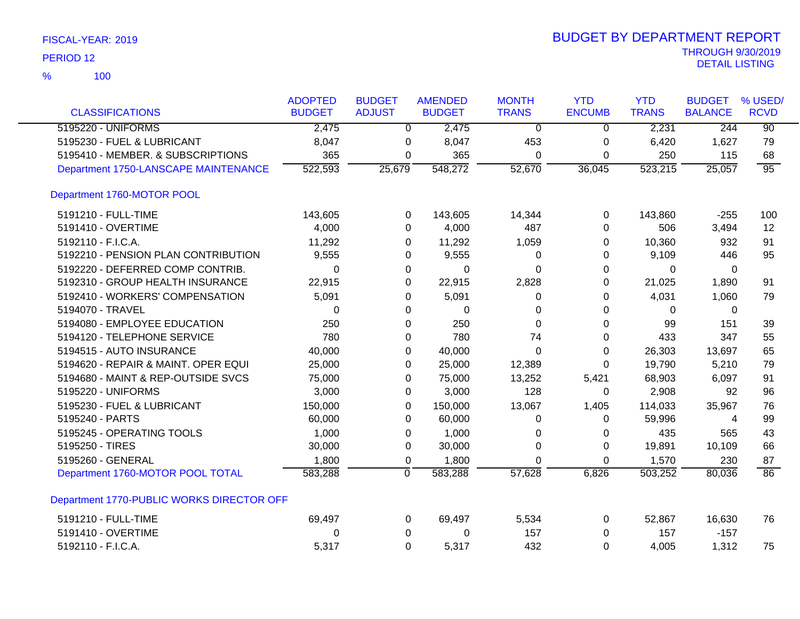| <b>CLASSIFICATIONS</b>                    | <b>ADOPTED</b><br><b>BUDGET</b> | <b>BUDGET</b><br><b>ADJUST</b> | <b>AMENDED</b><br><b>BUDGET</b> | <b>MONTH</b><br><b>TRANS</b> | <b>YTD</b><br><b>ENCUMB</b> | <b>YTD</b><br><b>TRANS</b> | <b>BUDGET</b><br><b>BALANCE</b> | % USED/<br><b>RCVD</b> |
|-------------------------------------------|---------------------------------|--------------------------------|---------------------------------|------------------------------|-----------------------------|----------------------------|---------------------------------|------------------------|
| 5195220 - UNIFORMS                        | 2,475                           | $\Omega$                       | 2,475                           | $\overline{0}$               | $\mathbf{0}$                | 2,231                      | 244                             | $\overline{90}$        |
| 5195230 - FUEL & LUBRICANT                | 8,047                           | 0                              | 8,047                           | 453                          | 0                           | 6,420                      | 1,627                           | 79                     |
| 5195410 - MEMBER. & SUBSCRIPTIONS         | 365                             | 0                              | 365                             | 0                            | 0                           | 250                        | 115                             | 68                     |
| Department 1750-LANSCAPE MAINTENANCE      | 522,593                         | 25,679                         | 548,272                         | 52,670                       | 36,045                      | $\overline{523,215}$       | 25,057                          | $\overline{95}$        |
| Department 1760-MOTOR POOL                |                                 |                                |                                 |                              |                             |                            |                                 |                        |
| 5191210 - FULL-TIME                       | 143,605                         | 0                              | 143,605                         | 14,344                       | 0                           | 143,860                    | $-255$                          | 100                    |
| 5191410 - OVERTIME                        | 4,000                           | 0                              | 4,000                           | 487                          | 0                           | 506                        | 3,494                           | $12 \overline{ }$      |
| 5192110 - F.I.C.A.                        | 11,292                          | 0                              | 11,292                          | 1,059                        | 0                           | 10,360                     | 932                             | 91                     |
| 5192210 - PENSION PLAN CONTRIBUTION       | 9,555                           | 0                              | 9,555                           | 0                            | 0                           | 9,109                      | 446                             | 95                     |
| 5192220 - DEFERRED COMP CONTRIB.          | 0                               | 0                              | 0                               | 0                            | 0                           | 0                          | 0                               |                        |
| 5192310 - GROUP HEALTH INSURANCE          | 22,915                          | 0                              | 22,915                          | 2,828                        | 0                           | 21,025                     | 1,890                           | 91                     |
| 5192410 - WORKERS' COMPENSATION           | 5,091                           | 0                              | 5,091                           | 0                            | 0                           | 4,031                      | 1,060                           | 79                     |
| 5194070 - TRAVEL                          | $\Omega$                        | 0                              | $\Omega$                        | 0                            | 0                           | 0                          | 0                               |                        |
| 5194080 - EMPLOYEE EDUCATION              | 250                             | 0                              | 250                             | 0                            | 0                           | 99                         | 151                             | 39                     |
| 5194120 - TELEPHONE SERVICE               | 780                             | 0                              | 780                             | 74                           | 0                           | 433                        | 347                             | 55                     |
| 5194515 - AUTO INSURANCE                  | 40,000                          | 0                              | 40,000                          | 0                            | 0                           | 26,303                     | 13,697                          | 65                     |
| 5194620 - REPAIR & MAINT. OPER EQUI       | 25,000                          | 0                              | 25,000                          | 12,389                       | 0                           | 19,790                     | 5,210                           | 79                     |
| 5194680 - MAINT & REP-OUTSIDE SVCS        | 75,000                          | 0                              | 75,000                          | 13,252                       | 5,421                       | 68,903                     | 6,097                           | 91                     |
| 5195220 - UNIFORMS                        | 3,000                           | 0                              | 3,000                           | 128                          | 0                           | 2,908                      | 92                              | 96                     |
| 5195230 - FUEL & LUBRICANT                | 150,000                         | 0                              | 150,000                         | 13,067                       | 1,405                       | 114,033                    | 35,967                          | 76                     |
| 5195240 - PARTS                           | 60,000                          | 0                              | 60,000                          | 0                            | $\Omega$                    | 59,996                     | 4                               | 99                     |
| 5195245 - OPERATING TOOLS                 | 1,000                           | 0                              | 1,000                           | 0                            | 0                           | 435                        | 565                             | 43                     |
| 5195250 - TIRES                           | 30,000                          | 0                              | 30,000                          | 0                            | 0                           | 19,891                     | 10,109                          | 66                     |
| 5195260 - GENERAL                         | 1,800                           | 0                              | 1,800                           | 0                            | $\Omega$                    | 1,570                      | 230                             | 87                     |
| Department 1760-MOTOR POOL TOTAL          | 583,288                         | $\overline{0}$                 | 583,288                         | 57,628                       | 6,826                       | 503,252                    | 80,036                          | $\overline{86}$        |
| Department 1770-PUBLIC WORKS DIRECTOR OFF |                                 |                                |                                 |                              |                             |                            |                                 |                        |
| 5191210 - FULL-TIME                       | 69,497                          | 0                              | 69,497                          | 5,534                        | 0                           | 52,867                     | 16,630                          | 76                     |
| 5191410 - OVERTIME                        | 0                               | 0                              | 0                               | 157                          | 0                           | 157                        | $-157$                          |                        |
| 5192110 - F.I.C.A.                        | 5,317                           | $\Omega$                       | 5,317                           | 432                          | $\Omega$                    | 4,005                      | 1,312                           | 75                     |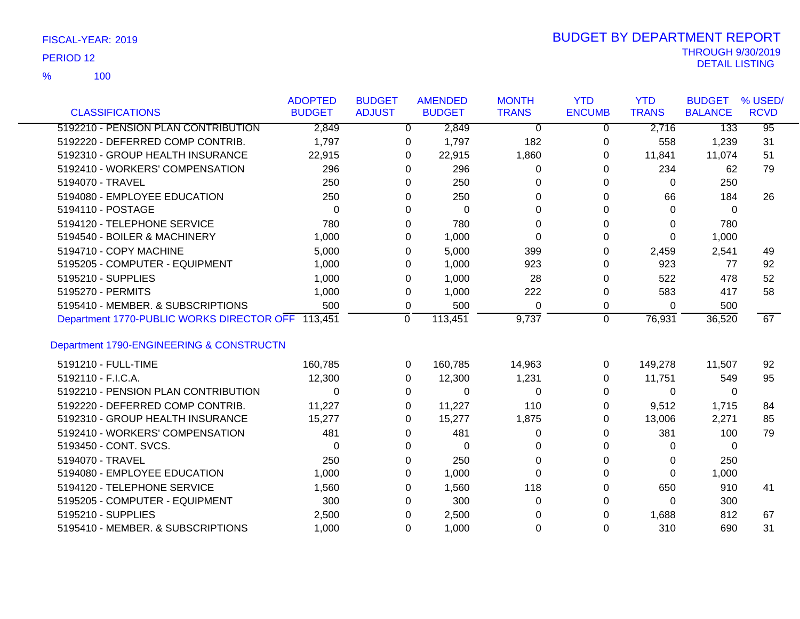100 %

| <b>CLASSIFICATIONS</b>                            | <b>ADOPTED</b><br><b>BUDGET</b> | <b>BUDGET</b><br><b>ADJUST</b> | <b>AMENDED</b><br><b>BUDGET</b> | <b>MONTH</b><br><b>TRANS</b> | <b>YTD</b><br><b>ENCUMB</b> | <b>YTD</b><br><b>TRANS</b> | <b>BUDGET</b><br><b>BALANCE</b> | % USED/<br><b>RCVD</b> |
|---------------------------------------------------|---------------------------------|--------------------------------|---------------------------------|------------------------------|-----------------------------|----------------------------|---------------------------------|------------------------|
|                                                   |                                 |                                |                                 |                              |                             |                            |                                 |                        |
| 5192210 - PENSION PLAN CONTRIBUTION               | 2,849                           |                                | 2,849<br>0                      | 0                            | 0                           | 2,716                      | 133                             | $\overline{95}$        |
| 5192220 - DEFERRED COMP CONTRIB.                  | 1,797                           |                                | 1,797<br>0                      | 182                          | 0                           | 558                        | 1,239                           | 31                     |
| 5192310 - GROUP HEALTH INSURANCE                  | 22,915                          |                                | 22,915<br>0                     | 1,860                        | 0                           | 11,841                     | 11,074                          | 51                     |
| 5192410 - WORKERS' COMPENSATION                   | 296                             |                                | 296<br>0                        | 0                            | $\Omega$                    | 234                        | 62                              | 79                     |
| 5194070 - TRAVEL                                  | 250                             |                                | 250<br>0                        | 0                            | 0                           | 0                          | 250                             |                        |
| 5194080 - EMPLOYEE EDUCATION                      | 250                             |                                | 250<br>0                        | 0                            | 0                           | 66                         | 184                             | 26                     |
| 5194110 - POSTAGE                                 | $\Omega$                        |                                | 0<br>0                          | 0                            | $\Omega$                    | $\Omega$                   | 0                               |                        |
| 5194120 - TELEPHONE SERVICE                       | 780                             |                                | 780<br>0                        | 0                            | 0                           | $\Omega$                   | 780                             |                        |
| 5194540 - BOILER & MACHINERY                      | 1,000                           |                                | 1,000<br>0                      | 0                            | 0                           | $\Omega$                   | 1,000                           |                        |
| 5194710 - COPY MACHINE                            | 5,000                           |                                | 5,000<br>0                      | 399                          | 0                           | 2,459                      | 2,541                           | 49                     |
| 5195205 - COMPUTER - EQUIPMENT                    | 1,000                           |                                | 1,000<br>0                      | 923                          | 0                           | 923                        | 77                              | 92                     |
| 5195210 - SUPPLIES                                | 1,000                           |                                | 1,000<br>0                      | 28                           | 0                           | 522                        | 478                             | 52                     |
| 5195270 - PERMITS                                 | 1,000                           |                                | 1,000<br>0                      | 222                          | 0                           | 583                        | 417                             | 58                     |
| 5195410 - MEMBER, & SUBSCRIPTIONS                 | 500                             |                                | 0<br>500                        | 0                            | 0                           | $\Omega$                   | 500                             |                        |
| Department 1770-PUBLIC WORKS DIRECTOR OFF 113,451 |                                 | $\mathbf 0$                    | 113,451                         | 9,737                        | $\mathbf 0$                 | 76,931                     | 36,520                          | 67                     |
|                                                   |                                 |                                |                                 |                              |                             |                            |                                 |                        |
| Department 1790-ENGINEERING & CONSTRUCTN          |                                 |                                |                                 |                              |                             |                            |                                 |                        |
| 5191210 - FULL-TIME                               | 160,785                         |                                | 160,785<br>$\Omega$             | 14,963                       | 0                           | 149,278                    | 11,507                          | 92                     |
| 5192110 - F.I.C.A.                                | 12,300                          |                                | 12,300<br>0                     | 1,231                        | 0                           | 11,751                     | 549                             | 95                     |
| 5192210 - PENSION PLAN CONTRIBUTION               | 0                               |                                | $\Omega$<br>0                   | 0                            | $\Omega$                    | 0                          | $\mathbf{0}$                    |                        |
| 5192220 - DEFERRED COMP CONTRIB.                  | 11,227                          |                                | 11,227<br>0                     | 110                          | 0                           | 9,512                      | 1,715                           | 84                     |
| 5192310 - GROUP HEALTH INSURANCE                  | 15,277                          |                                | 15,277<br>0                     | 1,875                        | 0                           | 13,006                     | 2,271                           | 85                     |
| 5192410 - WORKERS' COMPENSATION                   | 481                             |                                | 481<br>0                        | 0                            | 0                           | 381                        | 100                             | 79                     |
| 5193450 - CONT. SVCS.                             | 0                               |                                | 0<br>0                          | 0                            | 0                           | 0                          | 0                               |                        |
| 5194070 - TRAVEL                                  | 250                             |                                | 250<br>0                        | 0                            | 0                           | 0                          | 250                             |                        |
| 5194080 - EMPLOYEE EDUCATION                      | 1,000                           |                                | 1,000<br>0                      | 0                            | $\Omega$                    | $\Omega$                   | 1,000                           |                        |
| 5194120 - TELEPHONE SERVICE                       | 1,560                           |                                | 1,560<br>0                      | 118                          | 0                           | 650                        | 910                             | 41                     |
| 5195205 - COMPUTER - EQUIPMENT                    | 300                             |                                | 300<br>0                        | 0                            | 0                           | 0                          | 300                             |                        |
| 5195210 - SUPPLIES                                | 2,500                           |                                | 2,500<br>0                      | 0                            | 0                           | 1,688                      | 812                             | 67                     |
| 5195410 - MEMBER. & SUBSCRIPTIONS                 | 1,000                           |                                | $\Omega$<br>1,000               | $\Omega$                     | $\Omega$                    | 310                        | 690                             | 31                     |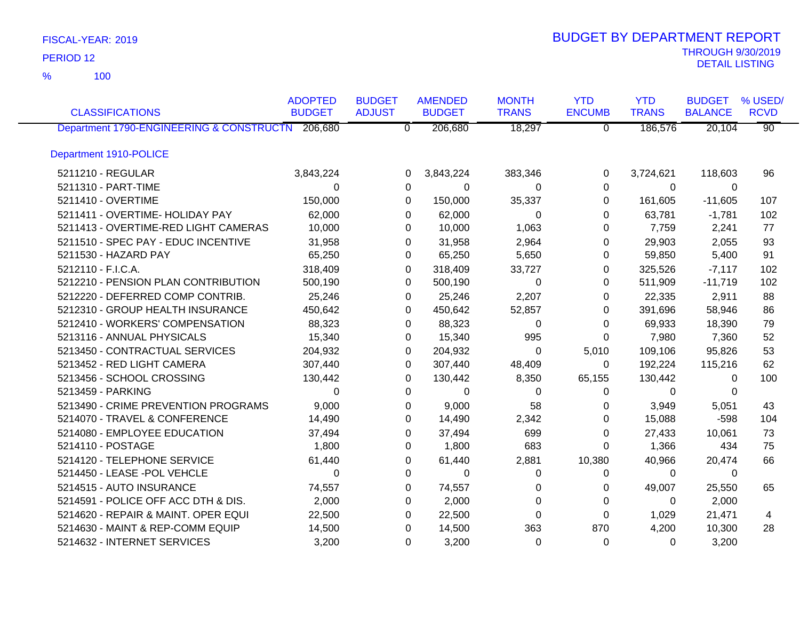100 %

|                                                  | <b>ADOPTED</b> | <b>BUDGET</b>  | <b>AMENDED</b> | <b>MONTH</b> | <b>YTD</b>     | <b>YTD</b>   | <b>BUDGET</b>  | % USED/         |
|--------------------------------------------------|----------------|----------------|----------------|--------------|----------------|--------------|----------------|-----------------|
| <b>CLASSIFICATIONS</b>                           | <b>BUDGET</b>  | <b>ADJUST</b>  | <b>BUDGET</b>  | <b>TRANS</b> | <b>ENCUMB</b>  | <b>TRANS</b> | <b>BALANCE</b> | <b>RCVD</b>     |
| Department 1790-ENGINEERING & CONSTRUCTN 206,680 |                | $\overline{0}$ | 206,680        | 18,297       | $\overline{0}$ | 186,576      | 20,104         | $\overline{90}$ |
| Department 1910-POLICE                           |                |                |                |              |                |              |                |                 |
| 5211210 - REGULAR                                | 3,843,224      | 0              | 3,843,224      | 383,346      | 0              | 3,724,621    | 118,603        | 96              |
| 5211310 - PART-TIME                              | $\Omega$       | 0              | 0              | 0            | 0              | $\Omega$     | $\Omega$       |                 |
| 5211410 - OVERTIME                               | 150,000        | $\Omega$       | 150,000        | 35,337       | 0              | 161,605      | $-11,605$      | 107             |
| 5211411 - OVERTIME- HOLIDAY PAY                  | 62,000         | $\Omega$       | 62,000         | $\Omega$     | $\Omega$       | 63,781       | $-1,781$       | 102             |
| 5211413 - OVERTIME-RED LIGHT CAMERAS             | 10,000         | $\Omega$       | 10,000         | 1,063        | 0              | 7,759        | 2,241          | 77              |
| 5211510 - SPEC PAY - EDUC INCENTIVE              | 31,958         | 0              | 31,958         | 2,964        | 0              | 29,903       | 2,055          | 93              |
| 5211530 - HAZARD PAY                             | 65,250         | $\Omega$       | 65,250         | 5,650        | 0              | 59,850       | 5,400          | 91              |
| 5212110 - F.I.C.A.                               | 318,409        | 0              | 318,409        | 33,727       | 0              | 325,526      | $-7,117$       | 102             |
| 5212210 - PENSION PLAN CONTRIBUTION              | 500,190        | 0              | 500,190        | 0            | 0              | 511,909      | $-11,719$      | 102             |
| 5212220 - DEFERRED COMP CONTRIB.                 | 25,246         | 0              | 25,246         | 2,207        | 0              | 22,335       | 2,911          | 88              |
| 5212310 - GROUP HEALTH INSURANCE                 | 450,642        | $\Omega$       | 450,642        | 52,857       | 0              | 391,696      | 58,946         | 86              |
| 5212410 - WORKERS' COMPENSATION                  | 88,323         | 0              | 88,323         | 0            | 0              | 69,933       | 18,390         | 79              |
| 5213116 - ANNUAL PHYSICALS                       | 15,340         | 0              | 15,340         | 995          | $\Omega$       | 7,980        | 7,360          | 52              |
| 5213450 - CONTRACTUAL SERVICES                   | 204,932        | 0              | 204,932        | 0            | 5,010          | 109,106      | 95,826         | 53              |
| 5213452 - RED LIGHT CAMERA                       | 307,440        | $\Omega$       | 307,440        | 48,409       | 0              | 192,224      | 115,216        | 62              |
| 5213456 - SCHOOL CROSSING                        | 130,442        | 0              | 130,442        | 8,350        | 65,155         | 130,442      | 0              | 100             |
| 5213459 - PARKING                                | $\Omega$       | 0              | $\mathbf 0$    | 0            | 0              | 0            | 0              |                 |
| 5213490 - CRIME PREVENTION PROGRAMS              | 9,000          | 0              | 9,000          | 58           | 0              | 3,949        | 5,051          | 43              |
| 5214070 - TRAVEL & CONFERENCE                    | 14,490         | 0              | 14,490         | 2,342        | 0              | 15,088       | $-598$         | 104             |
| 5214080 - EMPLOYEE EDUCATION                     | 37,494         | 0              | 37,494         | 699          | 0              | 27,433       | 10,061         | 73              |
| 5214110 - POSTAGE                                | 1,800          | $\Omega$       | 1,800          | 683          | $\Omega$       | 1,366        | 434            | 75              |
| 5214120 - TELEPHONE SERVICE                      | 61,440         | 0              | 61,440         | 2,881        | 10,380         | 40,966       | 20,474         | 66              |
| 5214450 - LEASE -POL VEHCLE                      | $\Omega$       | $\Omega$       | $\Omega$       | 0            | 0              | $\Omega$     | $\Omega$       |                 |
| 5214515 - AUTO INSURANCE                         | 74,557         | 0              | 74,557         | 0            | 0              | 49,007       | 25,550         | 65              |
| 5214591 - POLICE OFF ACC DTH & DIS.              | 2,000          | 0              | 2,000          | 0            | 0              | 0            | 2,000          |                 |
| 5214620 - REPAIR & MAINT. OPER EQUI              | 22,500         | 0              | 22,500         | 0            | 0              | 1,029        | 21,471         | 4               |
| 5214630 - MAINT & REP-COMM EQUIP                 | 14,500         | 0              | 14,500         | 363          | 870            | 4,200        | 10,300         | 28              |
| 5214632 - INTERNET SERVICES                      | 3,200          | 0              | 3,200          | 0            | $\mathbf 0$    | 0            | 3,200          |                 |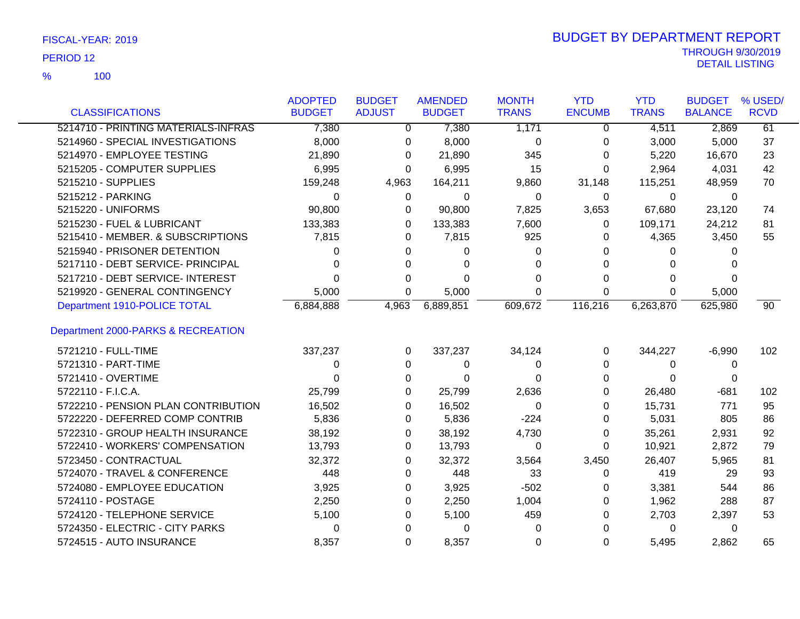100 %

|                                     | <b>ADOPTED</b> | <b>BUDGET</b> | <b>AMENDED</b> | <b>MONTH</b> | <b>YTD</b>    | <b>YTD</b>   | <b>BUDGET</b>  | % USED/     |
|-------------------------------------|----------------|---------------|----------------|--------------|---------------|--------------|----------------|-------------|
| <b>CLASSIFICATIONS</b>              | <b>BUDGET</b>  | <b>ADJUST</b> | <b>BUDGET</b>  | <b>TRANS</b> | <b>ENCUMB</b> | <b>TRANS</b> | <b>BALANCE</b> | <b>RCVD</b> |
| 5214710 - PRINTING MATERIALS-INFRAS | 7,380          | $\Omega$      | 7,380          | 1,171        | $\Omega$      | 4,511        | 2,869          | 61          |
| 5214960 - SPECIAL INVESTIGATIONS    | 8,000          | 0             | 8,000          | 0            | 0             | 3,000        | 5,000          | 37          |
| 5214970 - EMPLOYEE TESTING          | 21,890         | 0             | 21,890         | 345          | 0             | 5,220        | 16,670         | 23          |
| 5215205 - COMPUTER SUPPLIES         | 6,995          | 0             | 6,995          | 15           | 0             | 2,964        | 4,031          | 42          |
| 5215210 - SUPPLIES                  | 159,248        | 4,963         | 164,211        | 9,860        | 31,148        | 115,251      | 48,959         | 70          |
| 5215212 - PARKING                   | $\Omega$       | 0             | 0              | $\mathbf 0$  | $\mathbf{0}$  | $\Omega$     | 0              |             |
| 5215220 - UNIFORMS                  | 90,800         | 0             | 90,800         | 7,825        | 3,653         | 67,680       | 23,120         | 74          |
| 5215230 - FUEL & LUBRICANT          | 133,383        | 0             | 133,383        | 7,600        | 0             | 109,171      | 24,212         | 81          |
| 5215410 - MEMBER. & SUBSCRIPTIONS   | 7,815          | 0             | 7,815          | 925          | 0             | 4,365        | 3,450          | 55          |
| 5215940 - PRISONER DETENTION        | 0              | 0             | 0              | 0            | 0             | 0            | 0              |             |
| 5217110 - DEBT SERVICE- PRINCIPAL   | 0              | 0             | 0              | 0            | 0             | 0            | 0              |             |
| 5217210 - DEBT SERVICE- INTEREST    | 0              | 0             | 0              | 0            | 0             | 0            | $\Omega$       |             |
| 5219920 - GENERAL CONTINGENCY       | 5,000          | 0             | 5,000          | 0            | 0             | $\Omega$     | 5,000          |             |
| Department 1910-POLICE TOTAL        | 6,884,888      | 4,963         | 6,889,851      | 609,672      | 116,216       | 6,263,870    | 625,980        | 90          |
| Department 2000-PARKS & RECREATION  |                |               |                |              |               |              |                |             |
| 5721210 - FULL-TIME                 | 337,237        | 0             | 337,237        | 34,124       | 0             | 344,227      | $-6,990$       | 102         |
| 5721310 - PART-TIME                 | 0              | 0             | 0              | 0            | 0             | 0            | 0              |             |
| 5721410 - OVERTIME                  | U              | $\Omega$      | $\Omega$       | 0            | 0             | 0            | 0              |             |
| 5722110 - F.I.C.A.                  | 25,799         | 0             | 25,799         | 2,636        | 0             | 26,480       | $-681$         | 102         |
| 5722210 - PENSION PLAN CONTRIBUTION | 16,502         | 0             | 16,502         | 0            | 0             | 15,731       | 771            | 95          |
| 5722220 - DEFERRED COMP CONTRIB     | 5,836          | 0             | 5,836          | $-224$       | 0             | 5,031        | 805            | 86          |
| 5722310 - GROUP HEALTH INSURANCE    | 38,192         | 0             | 38,192         | 4,730        | 0             | 35,261       | 2,931          | 92          |
| 5722410 - WORKERS' COMPENSATION     | 13,793         | 0             | 13,793         | 0            | 0             | 10,921       | 2,872          | 79          |
| 5723450 - CONTRACTUAL               | 32,372         | 0             | 32,372         | 3,564        | 3,450         | 26,407       | 5,965          | 81          |
| 5724070 - TRAVEL & CONFERENCE       | 448            | $\Omega$      | 448            | 33           | 0             | 419          | 29             | 93          |
| 5724080 - EMPLOYEE EDUCATION        | 3,925          | 0             | 3,925          | $-502$       | 0             | 3,381        | 544            | 86          |
| 5724110 - POSTAGE                   | 2,250          | 0             | 2,250          | 1,004        | 0             | 1,962        | 288            | 87          |
| 5724120 - TELEPHONE SERVICE         | 5,100          | 0             | 5,100          | 459          | 0             | 2,703        | 2,397          | 53          |
| 5724350 - ELECTRIC - CITY PARKS     | 0              | 0             | 0              | 0            | 0             | 0            | 0              |             |
| 5724515 - AUTO INSURANCE            | 8,357          | 0             | 8,357          | 0            | 0             | 5,495        | 2,862          | 65          |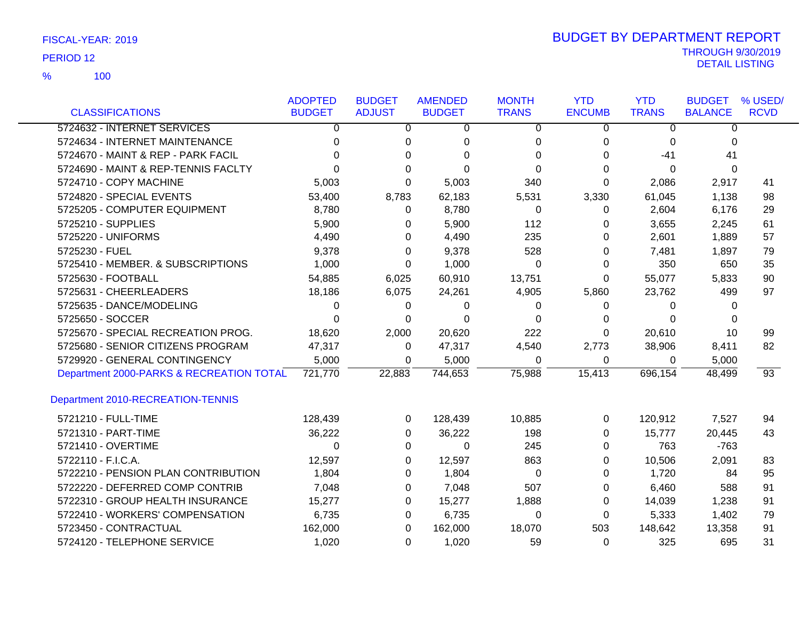100 %

|                                          | <b>ADOPTED</b> | <b>BUDGET</b>  | <b>AMENDED</b> | <b>MONTH</b> | <b>YTD</b>    | <b>YTD</b>     | <b>BUDGET</b>  | % USED/         |
|------------------------------------------|----------------|----------------|----------------|--------------|---------------|----------------|----------------|-----------------|
| <b>CLASSIFICATIONS</b>                   | <b>BUDGET</b>  | <b>ADJUST</b>  | <b>BUDGET</b>  | <b>TRANS</b> | <b>ENCUMB</b> | <b>TRANS</b>   | <b>BALANCE</b> | <b>RCVD</b>     |
| 5724632 - INTERNET SERVICES              | $\overline{0}$ | $\overline{0}$ | $\overline{0}$ | $\Omega$     | $\Omega$      | $\overline{0}$ | $\overline{0}$ |                 |
| 5724634 - INTERNET MAINTENANCE           | $\Omega$       | 0              | $\mathbf 0$    | 0            | 0             | 0              | 0              |                 |
| 5724670 - MAINT & REP - PARK FACIL       | $\Omega$       | $\Omega$       | $\Omega$       | $\Omega$     | 0             | $-41$          | 41             |                 |
| 5724690 - MAINT & REP-TENNIS FACLTY      | U              | $\Omega$       | $\Omega$       | $\Omega$     | 0             | $\Omega$       | 0              |                 |
| 5724710 - COPY MACHINE                   | 5,003          | 0              | 5,003          | 340          | 0             | 2,086          | 2,917          | 41              |
| 5724820 - SPECIAL EVENTS                 | 53,400         | 8,783          | 62,183         | 5,531        | 3,330         | 61,045         | 1,138          | 98              |
| 5725205 - COMPUTER EQUIPMENT             | 8,780          | 0              | 8,780          | 0            | 0             | 2,604          | 6,176          | 29              |
| 5725210 - SUPPLIES                       | 5,900          | 0              | 5,900          | 112          | 0             | 3,655          | 2,245          | 61              |
| 5725220 - UNIFORMS                       | 4,490          | 0              | 4,490          | 235          | 0             | 2,601          | 1,889          | 57              |
| 5725230 - FUEL                           | 9,378          | $\Omega$       | 9,378          | 528          | 0             | 7,481          | 1,897          | 79              |
| 5725410 - MEMBER. & SUBSCRIPTIONS        | 1,000          | 0              | 1,000          | $\Omega$     | 0             | 350            | 650            | 35              |
| 5725630 - FOOTBALL                       | 54,885         | 6,025          | 60,910         | 13,751       | $\Omega$      | 55,077         | 5,833          | 90              |
| 5725631 - CHEERLEADERS                   | 18,186         | 6,075          | 24,261         | 4,905        | 5,860         | 23,762         | 499            | 97              |
| 5725635 - DANCE/MODELING                 | $\Omega$       | 0              | 0              | 0            | 0             | 0              | 0              |                 |
| 5725650 - SOCCER                         | $\Omega$       | 0              | $\Omega$       | $\Omega$     | 0             | 0              | 0              |                 |
| 5725670 - SPECIAL RECREATION PROG.       | 18,620         | 2,000          | 20,620         | 222          | 0             | 20,610         | 10             | 99              |
| 5725680 - SENIOR CITIZENS PROGRAM        | 47,317         | 0              | 47,317         | 4,540        | 2,773         | 38,906         | 8,411          | 82              |
| 5729920 - GENERAL CONTINGENCY            | 5,000          | 0              | 5,000          | 0            | 0             | 0              | 5,000          |                 |
| Department 2000-PARKS & RECREATION TOTAL | 721,770        | 22,883         | 744,653        | 75,988       | 15,413        | 696,154        | 48,499         | $\overline{93}$ |
| Department 2010-RECREATION-TENNIS        |                |                |                |              |               |                |                |                 |
| 5721210 - FULL-TIME                      | 128,439        | 0              | 128,439        | 10,885       | 0             | 120,912        | 7,527          | 94              |
| 5721310 - PART-TIME                      | 36,222         | 0              | 36,222         | 198          | 0             | 15,777         | 20,445         | 43              |
| 5721410 - OVERTIME                       | $\Omega$       | $\Omega$       | 0              | 245          | 0             | 763            | $-763$         |                 |
| 5722110 - F.I.C.A.                       | 12,597         | 0              | 12,597         | 863          | 0             | 10,506         | 2,091          | 83              |
| 5722210 - PENSION PLAN CONTRIBUTION      | 1,804          | 0              | 1,804          | 0            | 0             | 1,720          | 84             | 95              |
| 5722220 - DEFERRED COMP CONTRIB          | 7,048          | 0              | 7,048          | 507          | 0             | 6,460          | 588            | 91              |
| 5722310 - GROUP HEALTH INSURANCE         | 15,277         | 0              | 15,277         | 1,888        | 0             | 14,039         | 1,238          | 91              |
| 5722410 - WORKERS' COMPENSATION          | 6,735          | 0              | 6,735          | 0            | 0             | 5,333          | 1,402          | 79              |
| 5723450 - CONTRACTUAL                    | 162,000        | 0              | 162,000        | 18,070       | 503           | 148,642        | 13,358         | 91              |
| 5724120 - TELEPHONE SERVICE              | 1,020          | 0              | 1,020          | 59           | 0             | 325            | 695            | 31              |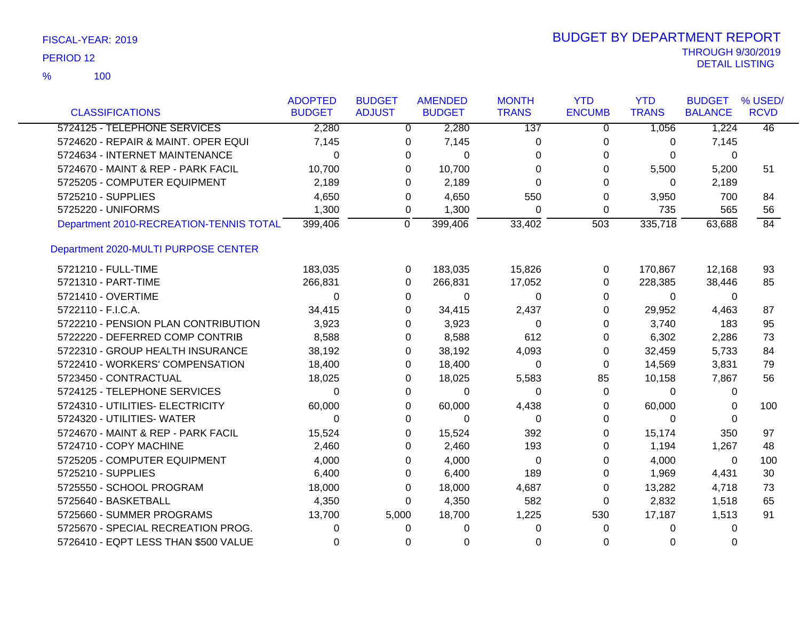|                                         | <b>ADOPTED</b> | <b>BUDGET</b> | <b>AMENDED</b>          | <b>MONTH</b> | <b>YTD</b>     | <b>YTD</b>   | <b>BUDGET</b>  | % USED/         |
|-----------------------------------------|----------------|---------------|-------------------------|--------------|----------------|--------------|----------------|-----------------|
| <b>CLASSIFICATIONS</b>                  | <b>BUDGET</b>  | <b>ADJUST</b> | <b>BUDGET</b>           | <b>TRANS</b> | <b>ENCUMB</b>  | <b>TRANS</b> | <b>BALANCE</b> | <b>RCVD</b>     |
| 5724125 - TELEPHONE SERVICES            | 2,280          |               | 2,280<br>$\overline{0}$ | 137          | $\overline{0}$ | 1,056        | 1,224          | $\overline{46}$ |
| 5724620 - REPAIR & MAINT, OPER EQUI     | 7,145          | 0             | 7,145                   | 0            | 0              | 0            | 7,145          |                 |
| 5724634 - INTERNET MAINTENANCE          | $\Omega$       | 0             | $\Omega$                | 0            | 0              | $\Omega$     | $\Omega$       |                 |
| 5724670 - MAINT & REP - PARK FACIL      | 10,700         | 0             | 10,700                  | 0            | 0              | 5,500        | 5,200          | 51              |
| 5725205 - COMPUTER EQUIPMENT            | 2,189          | 0             | 2,189                   | 0            | $\Omega$       | $\Omega$     | 2,189          |                 |
| 5725210 - SUPPLIES                      | 4,650          | 0             | 4,650                   | 550          | 0              | 3,950        | 700            | 84              |
| 5725220 - UNIFORMS                      | 1,300          | 0             | 1,300                   | $\Omega$     | 0              | 735          | 565            | 56              |
| Department 2010-RECREATION-TENNIS TOTAL | 399,406        | $\mathbf 0$   | 399,406                 | 33,402       | 503            | 335,718      | 63,688         | 84              |
| Department 2020-MULTI PURPOSE CENTER    |                |               |                         |              |                |              |                |                 |
| 5721210 - FULL-TIME                     | 183,035        | 0             | 183,035                 | 15,826       | 0              | 170,867      | 12,168         | 93              |
| 5721310 - PART-TIME                     | 266,831        | 0             | 266,831                 | 17,052       | 0              | 228,385      | 38,446         | 85              |
| 5721410 - OVERTIME                      | $\Omega$       | 0             | 0                       | 0            | 0              | 0            | 0              |                 |
| 5722110 - F.I.C.A.                      | 34,415         | 0             | 34,415                  | 2,437        | 0              | 29,952       | 4,463          | 87              |
| 5722210 - PENSION PLAN CONTRIBUTION     | 3,923          | 0             | 3,923                   | 0            | 0              | 3,740        | 183            | 95              |
| 5722220 - DEFERRED COMP CONTRIB         | 8,588          | 0             | 8,588                   | 612          | 0              | 6,302        | 2,286          | 73              |
| 5722310 - GROUP HEALTH INSURANCE        | 38,192         | 0             | 38,192                  | 4,093        | 0              | 32,459       | 5,733          | 84              |
| 5722410 - WORKERS' COMPENSATION         | 18,400         | 0             | 18,400                  | 0            | 0              | 14,569       | 3,831          | 79              |
| 5723450 - CONTRACTUAL                   | 18,025         | 0             | 18,025                  | 5,583        | 85             | 10,158       | 7,867          | 56              |
| 5724125 - TELEPHONE SERVICES            | $\Omega$       | 0             | 0                       | 0            | 0              | 0            | 0              |                 |
| 5724310 - UTILITIES- ELECTRICITY        | 60,000         | 0             | 60,000                  | 4,438        | 0              | 60,000       | $\Omega$       | 100             |
| 5724320 - UTILITIES- WATER              | $\Omega$       | 0             | 0                       | 0            | 0              | $\Omega$     | 0              |                 |
| 5724670 - MAINT & REP - PARK FACIL      | 15,524         | 0             | 15,524                  | 392          | 0              | 15,174       | 350            | 97              |
| 5724710 - COPY MACHINE                  | 2,460          | 0             | 2,460                   | 193          | 0              | 1,194        | 1,267          | 48              |
| 5725205 - COMPUTER EQUIPMENT            | 4,000          | 0             | 4,000                   | 0            | 0              | 4,000        | 0              | 100             |
| 5725210 - SUPPLIES                      | 6,400          | 0             | 6,400                   | 189          | 0              | 1,969        | 4,431          | 30              |
| 5725550 - SCHOOL PROGRAM                | 18,000         | 0             | 18,000                  | 4,687        | 0              | 13,282       | 4,718          | 73              |
| 5725640 - BASKETBALL                    | 4,350          | 0             | 4,350                   | 582          | 0              | 2,832        | 1,518          | 65              |
| 5725660 - SUMMER PROGRAMS               | 13,700         | 5,000         | 18,700                  | 1,225        | 530            | 17,187       | 1,513          | 91              |
| 5725670 - SPECIAL RECREATION PROG.      | 0              | 0             | 0                       | 0            | 0              | 0            | 0              |                 |
| 5726410 - EQPT LESS THAN \$500 VALUE    | 0              | 0             | 0                       | 0            | 0              | 0            | 0              |                 |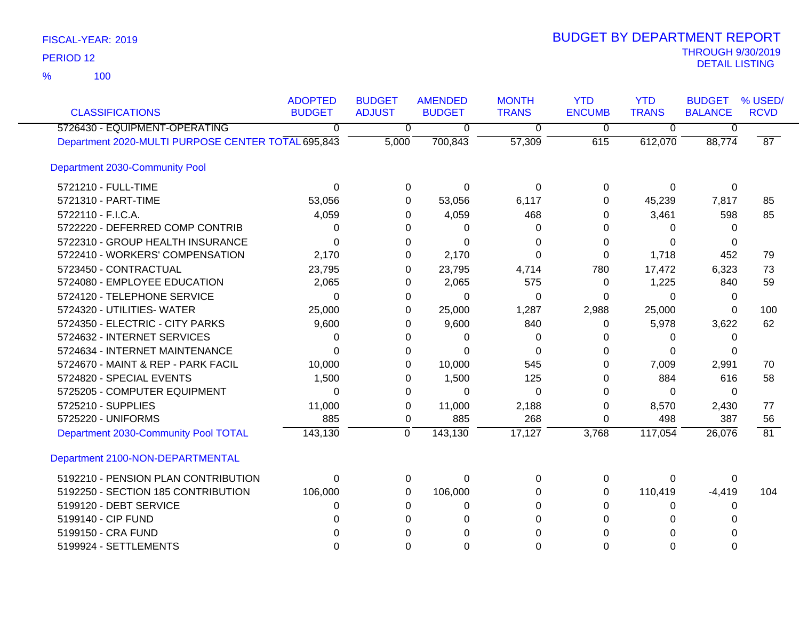100 %

| <b>CLASSIFICATIONS</b>                             | <b>ADOPTED</b><br><b>BUDGET</b> | <b>BUDGET</b><br><b>ADJUST</b> | <b>AMENDED</b><br><b>BUDGET</b> | <b>MONTH</b><br><b>TRANS</b> | <b>YTD</b><br><b>ENCUMB</b> | <b>YTD</b><br><b>TRANS</b> | <b>BUDGET</b><br><b>BALANCE</b> | % USED/<br><b>RCVD</b> |
|----------------------------------------------------|---------------------------------|--------------------------------|---------------------------------|------------------------------|-----------------------------|----------------------------|---------------------------------|------------------------|
| 5726430 - EQUIPMENT-OPERATING                      | $\overline{0}$                  | $\overline{0}$                 | 0                               | $\overline{0}$               | $\overline{0}$              | $\overline{0}$             | 0                               |                        |
| Department 2020-MULTI PURPOSE CENTER TOTAL 695,843 |                                 | 5,000                          | 700,843                         | 57,309                       | 615                         | 612,070                    | 88,774                          | 87                     |
| Department 2030-Community Pool                     |                                 |                                |                                 |                              |                             |                            |                                 |                        |
| 5721210 - FULL-TIME                                | $\Omega$                        | 0                              | $\Omega$                        | $\Omega$                     | 0                           | 0                          | 0                               |                        |
| 5721310 - PART-TIME                                | 53,056                          | $\Omega$                       | 53,056                          | 6,117                        | 0                           | 45,239                     | 7,817                           | 85                     |
| 5722110 - F.I.C.A.                                 | 4,059                           | 0                              | 4,059                           | 468                          | 0                           | 3,461                      | 598                             | 85                     |
| 5722220 - DEFERRED COMP CONTRIB                    | 0                               | 0                              | 0                               | 0                            | O                           | 0                          | 0                               |                        |
| 5722310 - GROUP HEALTH INSURANCE                   | $\Omega$                        | 0                              | 0                               | 0                            | 0                           | $\Omega$                   | 0                               |                        |
| 5722410 - WORKERS' COMPENSATION                    | 2,170                           | 0                              | 2,170                           | $\Omega$                     | 0                           | 1,718                      | 452                             | 79                     |
| 5723450 - CONTRACTUAL                              | 23,795                          | 0                              | 23,795                          | 4,714                        | 780                         | 17,472                     | 6,323                           | 73                     |
| 5724080 - EMPLOYEE EDUCATION                       | 2,065                           | 0                              | 2,065                           | 575                          | 0                           | 1,225                      | 840                             | 59                     |
| 5724120 - TELEPHONE SERVICE                        | $\Omega$                        | 0                              | $\Omega$                        | $\Omega$                     | 0                           | 0                          | 0                               |                        |
| 5724320 - UTILITIES- WATER                         | 25,000                          | 0                              | 25,000                          | 1,287                        | 2,988                       | 25,000                     | $\Omega$                        | 100                    |
| 5724350 - ELECTRIC - CITY PARKS                    | 9,600                           | $\Omega$                       | 9,600                           | 840                          | 0                           | 5,978                      | 3,622                           | 62                     |
| 5724632 - INTERNET SERVICES                        | $\Omega$                        | $\Omega$                       | 0                               | 0                            | 0                           | 0                          | 0                               |                        |
| 5724634 - INTERNET MAINTENANCE                     | $\Omega$                        | 0                              | $\Omega$                        | $\Omega$                     | O                           | $\Omega$                   | 0                               |                        |
| 5724670 - MAINT & REP - PARK FACIL                 | 10,000                          | 0                              | 10,000                          | 545                          | 0                           | 7,009                      | 2,991                           | 70                     |
| 5724820 - SPECIAL EVENTS                           | 1,500                           | 0                              | 1,500                           | 125                          | 0                           | 884                        | 616                             | 58                     |
| 5725205 - COMPUTER EQUIPMENT                       | $\Omega$                        | $\Omega$                       | 0                               | $\Omega$                     | 0                           | 0                          | 0                               |                        |
| 5725210 - SUPPLIES                                 | 11,000                          | 0                              | 11,000                          | 2,188                        | 0                           | 8,570                      | 2,430                           | 77                     |
| 5725220 - UNIFORMS                                 | 885                             | 0                              | 885                             | 268                          | 0                           | 498                        | 387                             | 56                     |
| Department 2030-Community Pool TOTAL               | 143,130                         | $\overline{0}$                 | 143,130                         | 17,127                       | 3,768                       | 117,054                    | 26,076                          | 81                     |
| Department 2100-NON-DEPARTMENTAL                   |                                 |                                |                                 |                              |                             |                            |                                 |                        |
| 5192210 - PENSION PLAN CONTRIBUTION                | $\Omega$                        | 0                              | $\Omega$                        | $\Omega$                     | $\Omega$                    | $\mathbf 0$                | $\Omega$                        |                        |
| 5192250 - SECTION 185 CONTRIBUTION                 | 106,000                         | 0                              | 106,000                         | 0                            | 0                           | 110,419                    | $-4,419$                        | 104                    |
| 5199120 - DEBT SERVICE                             | 0                               | $\Omega$                       | 0                               | $\Omega$                     | 0                           | 0                          | 0                               |                        |
| 5199140 - CIP FUND                                 | $\Omega$                        | $\Omega$                       | $\Omega$                        | $\Omega$                     | 0                           | 0                          | 0                               |                        |
| 5199150 - CRA FUND                                 |                                 | 0                              |                                 | 0                            |                             |                            |                                 |                        |
| 5199924 - SETTLEMENTS                              | $\Omega$                        | $\Omega$                       | 0                               | $\Omega$                     | 0                           | $\Omega$                   | ი                               |                        |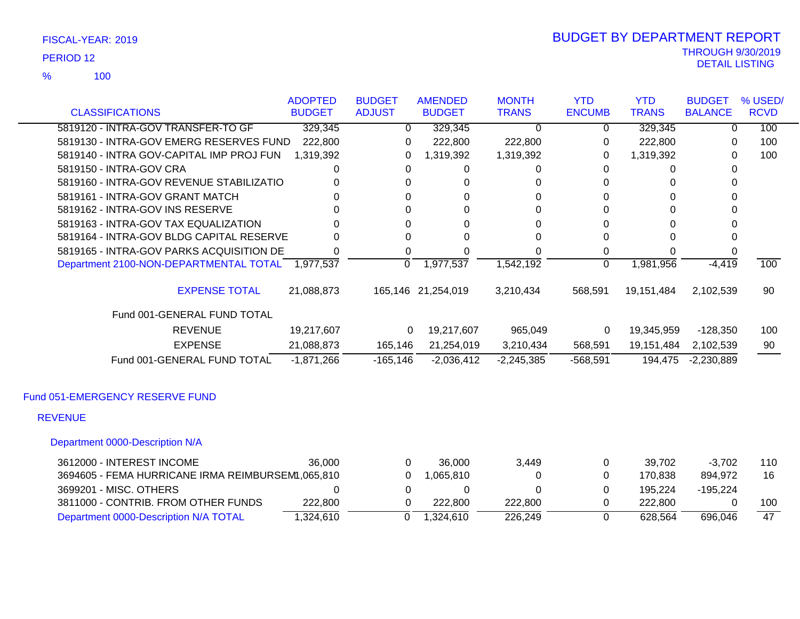100 %

### THROUGH 9/30/2019<br>DETAIL LISTING DETAIL LISTING PERIOD <sup>12</sup> BUDGET BY DEPARTMENT REPORT

|                                                     | <b>ADOPTED</b> | <b>BUDGET</b> | <b>AMENDED</b>     | <b>MONTH</b> | <b>YTD</b>    | <b>YTD</b>   | <b>BUDGET</b>  | % USED/     |
|-----------------------------------------------------|----------------|---------------|--------------------|--------------|---------------|--------------|----------------|-------------|
| <b>CLASSIFICATIONS</b>                              | <b>BUDGET</b>  | <b>ADJUST</b> | <b>BUDGET</b>      | <b>TRANS</b> | <b>ENCUMB</b> | <b>TRANS</b> | <b>BALANCE</b> | <b>RCVD</b> |
| 5819120 - INTRA-GOV TRANSFER-TO GF                  | 329,345        | 0             | 329,345            | $\Omega$     | 0             | 329,345      | 0              | 100         |
| 5819130 - INTRA-GOV EMERG RESERVES FUND             | 222,800        | 0             | 222,800            | 222,800      | 0             | 222,800      | 0              | 100         |
| 5819140 - INTRA GOV-CAPITAL IMP PROJ FUN            | 1,319,392      | $\Omega$      | 1,319,392          | 1,319,392    | 0             | 1,319,392    | 0              | 100         |
| 5819150 - INTRA-GOV CRA                             | 0              | 0             | 0                  | 0            | 0             | 0            | 0              |             |
| 5819160 - INTRA-GOV REVENUE STABILIZATIO            | 0              | 0             | 0                  | 0            | 0             |              | 0              |             |
| 5819161 - INTRA-GOV GRANT MATCH                     |                | 0             | 0                  |              | 0             |              | 0              |             |
| 5819162 - INTRA-GOV INS RESERVE                     |                | 0             | 0                  | 0            | 0             |              |                |             |
| 5819163 - INTRA-GOV TAX EQUALIZATION                | 0              | 0             | 0                  | ი            | 0             | O            | 0              |             |
| 5819164 - INTRA-GOV BLDG CAPITAL RESERVE            |                | 0             | 0                  |              | 0             |              |                |             |
| 5819165 - INTRA-GOV PARKS ACQUISITION DE            | 0              | 0             | 0                  | 0            | 0             | $\Omega$     |                |             |
| Department 2100-NON-DEPARTMENTAL TOTAL 1,977,537    |                | 0             | 1,977,537          | 1,542,192    | 0             | 1,981,956    | $-4,419$       | 100         |
| <b>EXPENSE TOTAL</b><br>Fund 001-GENERAL FUND TOTAL | 21,088,873     |               | 165,146 21,254,019 | 3,210,434    | 568,591       | 19,151,484   | 2,102,539      | 90          |
| <b>REVENUE</b>                                      | 19,217,607     | $\mathbf{0}$  | 19,217,607         | 965,049      | 0             | 19,345,959   | $-128,350$     | 100         |
|                                                     |                |               |                    |              |               |              |                |             |
| <b>EXPENSE</b>                                      | 21,088,873     | 165,146       | 21,254,019         | 3,210,434    | 568,591       | 19,151,484   | 2,102,539      | 90          |
| Fund 001-GENERAL FUND TOTAL                         | $-1,871,266$   | $-165, 146$   | $-2,036,412$       | $-2,245,385$ | $-568,591$    | 194,475      | $-2,230,889$   |             |
| Fund 051-EMERGENCY RESERVE FUND                     |                |               |                    |              |               |              |                |             |
| <b>REVENUE</b>                                      |                |               |                    |              |               |              |                |             |
| Department 0000-Description N/A                     |                |               |                    |              |               |              |                |             |
| 3612000 - INTEREST INCOME                           | 36,000         | $\Omega$      | 36,000             | 3,449        | 0             | 39,702       | $-3,702$       | 110         |
| 3694605 - FEMA HURRICANE IRMA REIMBURSEM1,065,810   |                | 0             | 1,065,810          | 0            | 0             | 170,838      | 894,972        | 16          |
| 3699201 - MISC. OTHERS                              | 0              | 0             | 0                  | 0            | 0             | 195,224      | $-195,224$     |             |

3811000 - CONTRIB. FROM OTHER FUNDS 222,800 0 222,800 222,800 0 222,800 0 100 Department 0000-Description N/A TOTAL 1,324,610 0 1,324,610 226,249 0 628,564 696,046 47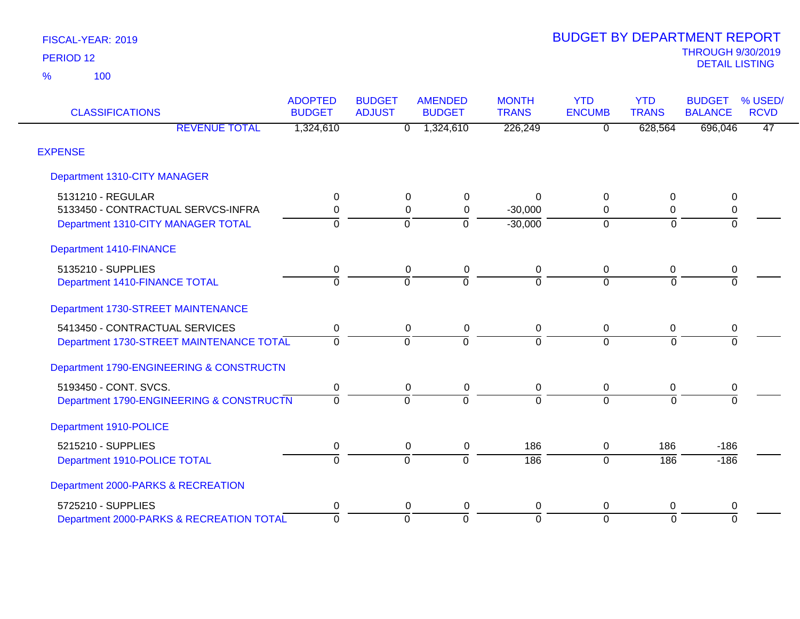| <b>CLASSIFICATIONS</b>                   | <b>ADOPTED</b><br><b>BUDGET</b> | <b>BUDGET</b><br><b>ADJUST</b> | <b>AMENDED</b><br><b>BUDGET</b> | <b>MONTH</b><br><b>TRANS</b> | <b>YTD</b><br><b>ENCUMB</b> | <b>YTD</b><br><b>TRANS</b> | <b>BUDGET</b><br><b>BALANCE</b> | % USED/<br><b>RCVD</b> |
|------------------------------------------|---------------------------------|--------------------------------|---------------------------------|------------------------------|-----------------------------|----------------------------|---------------------------------|------------------------|
| <b>REVENUE TOTAL</b>                     | 1,324,610                       | 0                              | 1,324,610                       | 226,249                      | $\overline{0}$              | 628,564                    | 696,046                         | 47                     |
| <b>EXPENSE</b>                           |                                 |                                |                                 |                              |                             |                            |                                 |                        |
| Department 1310-CITY MANAGER             |                                 |                                |                                 |                              |                             |                            |                                 |                        |
| 5131210 - REGULAR                        | 0                               | 0                              | 0                               | 0                            | 0                           | 0                          | $\pmb{0}$                       |                        |
| 5133450 - CONTRACTUAL SERVCS-INFRA       | $\mathbf 0$                     | $\mathbf 0$                    | $\mathbf 0$                     | $-30,000$                    | $\Omega$                    | $\mathbf 0$                | $\pmb{0}$                       |                        |
| Department 1310-CITY MANAGER TOTAL       | $\Omega$                        | $\Omega$                       | $\Omega$                        | $-30,000$                    | $\Omega$                    | $\Omega$                   | $\Omega$                        |                        |
| <b>Department 1410-FINANCE</b>           |                                 |                                |                                 |                              |                             |                            |                                 |                        |
| 5135210 - SUPPLIES                       | 0                               | 0                              | 0                               | 0                            | 0                           | 0                          | 0                               |                        |
| Department 1410-FINANCE TOTAL            | $\Omega$                        | $\Omega$                       | $\Omega$                        | $\Omega$                     | $\Omega$                    | $\Omega$                   | $\Omega$                        |                        |
| Department 1730-STREET MAINTENANCE       |                                 |                                |                                 |                              |                             |                            |                                 |                        |
| 5413450 - CONTRACTUAL SERVICES           | $\pmb{0}$                       | $\pmb{0}$                      | $\pmb{0}$                       | $\pmb{0}$                    | $\mathbf 0$                 | $\mathbf 0$                | $\pmb{0}$                       |                        |
| Department 1730-STREET MAINTENANCE TOTAL | $\Omega$                        | $\Omega$                       | $\Omega$                        | $\Omega$                     | $\Omega$                    | $\Omega$                   | $\Omega$                        |                        |
| Department 1790-ENGINEERING & CONSTRUCTN |                                 |                                |                                 |                              |                             |                            |                                 |                        |
| 5193450 - CONT. SVCS.                    | 0                               | 0                              | 0                               | 0                            | 0                           | 0                          | 0                               |                        |
| Department 1790-ENGINEERING & CONSTRUCTN | $\Omega$                        | $\Omega$                       | $\Omega$                        | $\Omega$                     | $\Omega$                    | $\Omega$                   | $\Omega$                        |                        |
| Department 1910-POLICE                   |                                 |                                |                                 |                              |                             |                            |                                 |                        |
| 5215210 - SUPPLIES                       | 0                               | 0                              | 0                               | 186                          | $\mathbf{0}$                | 186                        | $-186$                          |                        |
| Department 1910-POLICE TOTAL             | $\overline{0}$                  | $\overline{0}$                 | $\Omega$                        | $\frac{1}{186}$              | $\overline{0}$              | 186                        | $-186$                          |                        |
| Department 2000-PARKS & RECREATION       |                                 |                                |                                 |                              |                             |                            |                                 |                        |
| 5725210 - SUPPLIES                       | 0                               | 0                              | 0                               | 0                            | 0                           | 0                          | 0                               |                        |
| Department 2000-PARKS & RECREATION TOTAL | $\overline{0}$                  | $\Omega$                       | $\mathbf 0$                     | $\mathbf 0$                  | $\Omega$                    | $\Omega$                   | $\overline{0}$                  |                        |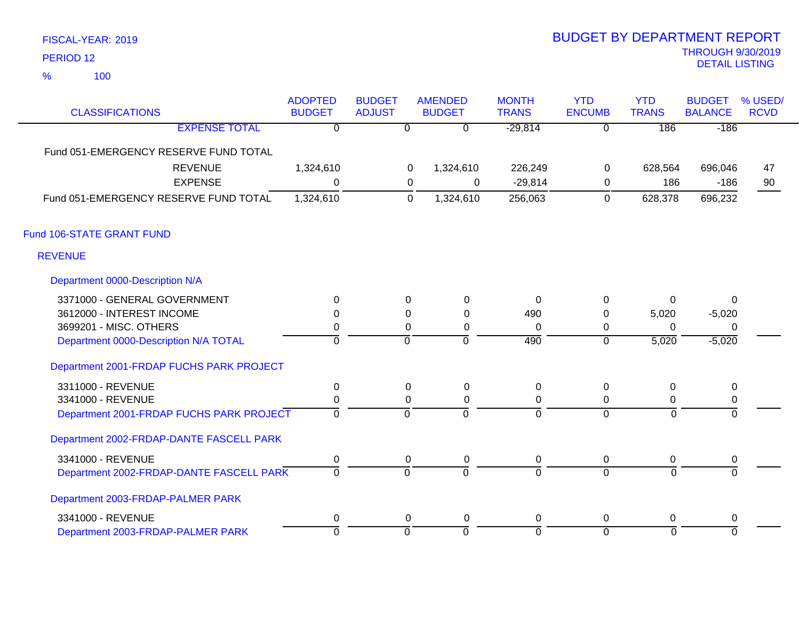100 %

| <b>CLASSIFICATIONS</b>                   | <b>ADOPTED</b><br><b>BUDGET</b> | <b>BUDGET</b><br><b>ADJUST</b> |                | <b>AMENDED</b><br><b>BUDGET</b> | <b>MONTH</b><br><b>TRANS</b> | <b>YTD</b><br><b>ENCUMB</b> | <b>YTD</b><br><b>TRANS</b> | <b>BUDGET</b><br><b>BALANCE</b> | % USED/<br><b>RCVD</b> |
|------------------------------------------|---------------------------------|--------------------------------|----------------|---------------------------------|------------------------------|-----------------------------|----------------------------|---------------------------------|------------------------|
| <b>EXPENSE TOTAL</b>                     | $\overline{0}$                  |                                | $\overline{0}$ | $\overline{\mathfrak{o}}$       | $-29,814$                    | $\overline{0}$              | 186                        | $-186$                          |                        |
| Fund 051-EMERGENCY RESERVE FUND TOTAL    |                                 |                                |                |                                 |                              |                             |                            |                                 |                        |
| <b>REVENUE</b>                           | 1,324,610                       |                                | 0              | 1,324,610                       | 226,249                      | 0                           | 628,564                    | 696,046                         | 47                     |
| <b>EXPENSE</b>                           | $\Omega$                        |                                | 0              | 0                               | $-29,814$                    | 0                           | 186                        | $-186$                          | 90                     |
| Fund 051-EMERGENCY RESERVE FUND TOTAL    | 1,324,610                       |                                | $\mathbf 0$    | 1,324,610                       | 256,063                      | $\mathbf 0$                 | 628,378                    | 696,232                         |                        |
| Fund 106-STATE GRANT FUND                |                                 |                                |                |                                 |                              |                             |                            |                                 |                        |
| <b>REVENUE</b>                           |                                 |                                |                |                                 |                              |                             |                            |                                 |                        |
| Department 0000-Description N/A          |                                 |                                |                |                                 |                              |                             |                            |                                 |                        |
| 3371000 - GENERAL GOVERNMENT             | $\Omega$                        |                                | $\Omega$       | $\mathbf{0}$                    | $\Omega$                     | 0                           | $\Omega$                   | $\Omega$                        |                        |
| 3612000 - INTEREST INCOME                | 0                               |                                | 0              | 0                               | 490                          | $\pmb{0}$                   | 5,020                      | $-5,020$                        |                        |
| 3699201 - MISC. OTHERS                   | 0                               |                                | $\Omega$       | 0                               | 0                            | 0                           | $\Omega$                   | $\Omega$                        |                        |
| Department 0000-Description N/A TOTAL    | ō                               |                                | $\overline{0}$ | 0                               | 490                          | $\overline{0}$              | 5,020                      | $-5,020$                        |                        |
| Department 2001-FRDAP FUCHS PARK PROJECT |                                 |                                |                |                                 |                              |                             |                            |                                 |                        |
| 3311000 - REVENUE                        | 0                               |                                | $\Omega$       | $\mathbf 0$                     | $\mathbf 0$                  | $\boldsymbol{0}$            | $\Omega$                   | $\mathbf 0$                     |                        |
| 3341000 - REVENUE                        | 0                               |                                | $\Omega$       | 0                               | 0                            | 0                           | 0                          | 0                               |                        |
| Department 2001-FRDAP FUCHS PARK PROJECT | 0                               |                                | $\overline{0}$ | $\overline{0}$                  | $\overline{0}$               | $\overline{0}$              | $\overline{0}$             | 0                               |                        |
| Department 2002-FRDAP-DANTE FASCELL PARK |                                 |                                |                |                                 |                              |                             |                            |                                 |                        |
| 3341000 - REVENUE                        | 0                               |                                | 0              | 0                               | 0                            | 0                           | $\mathbf 0$                | 0                               |                        |
| Department 2002-FRDAP-DANTE FASCELL PARK | $\overline{0}$                  |                                | $\overline{0}$ | $\overline{0}$                  | $\overline{0}$               | $\overline{0}$              | $\overline{0}$             | $\overline{0}$                  |                        |
| Department 2003-FRDAP-PALMER PARK        |                                 |                                |                |                                 |                              |                             |                            |                                 |                        |
| 3341000 - REVENUE                        | 0                               |                                | 0              | $\mathbf 0$                     | $\mathbf 0$                  | $\boldsymbol{0}$            | $\Omega$                   | $\mathbf 0$                     |                        |
| Department 2003-FRDAP-PALMER PARK        | 0                               |                                | ō              | ō                               | 0                            | $\overline{0}$              | $\overline{0}$             | $\overline{0}$                  |                        |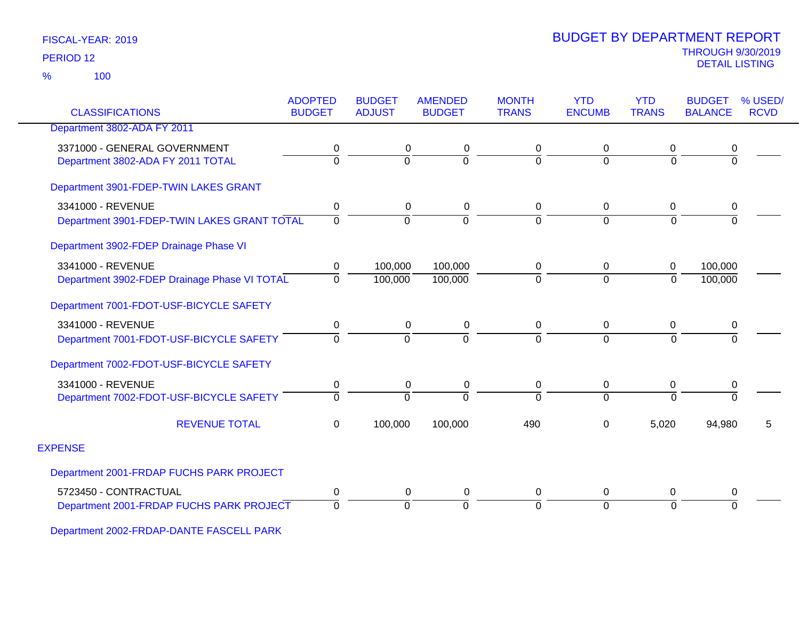100 %

| <b>CLASSIFICATIONS</b>                       | <b>ADOPTED</b><br><b>BUDGET</b> | <b>BUDGET</b><br><b>ADJUST</b> | <b>AMENDED</b><br><b>BUDGET</b> | <b>MONTH</b><br><b>TRANS</b> | <b>YTD</b><br><b>ENCUMB</b> | <b>YTD</b><br><b>TRANS</b> | <b>BUDGET</b><br><b>BALANCE</b> | % USED/<br><b>RCVD</b> |
|----------------------------------------------|---------------------------------|--------------------------------|---------------------------------|------------------------------|-----------------------------|----------------------------|---------------------------------|------------------------|
| Department 3802-ADA FY 2011                  |                                 |                                |                                 |                              |                             |                            |                                 |                        |
| 3371000 - GENERAL GOVERNMENT                 |                                 |                                |                                 |                              |                             |                            |                                 |                        |
| Department 3802-ADA FY 2011 TOTAL            | 0<br>$\overline{0}$             | 0<br>$\Omega$                  | 0<br>$\overline{0}$             | 0<br>$\Omega$                | $\mathbf 0$<br>$\Omega$     | 0<br>$\Omega$              | 0<br>$\overline{0}$             |                        |
|                                              |                                 |                                |                                 |                              |                             |                            |                                 |                        |
| Department 3901-FDEP-TWIN LAKES GRANT        |                                 |                                |                                 |                              |                             |                            |                                 |                        |
| 3341000 - REVENUE                            | 0                               | 0                              | 0                               | 0                            | 0                           | 0                          | 0                               |                        |
| Department 3901-FDEP-TWIN LAKES GRANT TOTAL  | 0                               | $\mathbf 0$                    | $\overline{0}$                  | 0                            | $\mathbf 0$                 | $\overline{0}$             | $\overline{0}$                  |                        |
| Department 3902-FDEP Drainage Phase VI       |                                 |                                |                                 |                              |                             |                            |                                 |                        |
| 3341000 - REVENUE                            | 0                               | 100,000                        | 100,000                         | 0                            | 0                           | $\mathbf 0$                | 100,000                         |                        |
| Department 3902-FDEP Drainage Phase VI TOTAL | $\Omega$                        | 100,000                        | 100,000                         | 0                            | $\overline{0}$              | $\mathbf 0$                | 100,000                         |                        |
| Department 7001-FDOT-USF-BICYCLE SAFETY      |                                 |                                |                                 |                              |                             |                            |                                 |                        |
| 3341000 - REVENUE                            | $\mathbf 0$                     | 0                              | 0                               | 0                            | 0                           | 0                          | 0                               |                        |
| Department 7001-FDOT-USF-BICYCLE SAFETY      | $\Omega$                        | $\Omega$                       | $\Omega$                        | 0                            | $\Omega$                    | $\Omega$                   | $\Omega$                        |                        |
| Department 7002-FDOT-USF-BICYCLE SAFETY      |                                 |                                |                                 |                              |                             |                            |                                 |                        |
| 3341000 - REVENUE                            | 0                               | 0                              | 0                               | 0                            | $\mathbf 0$                 | 0                          | 0                               |                        |
| Department 7002-FDOT-USF-BICYCLE SAFETY      | $\mathbf{0}$                    | $\Omega$                       | $\Omega$                        | $\Omega$                     | $\Omega$                    | $\Omega$                   | $\overline{0}$                  |                        |
| <b>REVENUE TOTAL</b>                         | $\mathbf 0$                     | 100,000                        | 100,000                         | 490                          | $\Omega$                    | 5,020                      | 94,980                          | 5                      |
| <b>EXPENSE</b>                               |                                 |                                |                                 |                              |                             |                            |                                 |                        |
| Department 2001-FRDAP FUCHS PARK PROJECT     |                                 |                                |                                 |                              |                             |                            |                                 |                        |
| 5723450 - CONTRACTUAL                        | $\mathbf 0$                     | 0                              | 0                               | 0                            | 0                           | $\mathbf 0$                | $\mathbf 0$                     |                        |
| Department 2001-FRDAP FUCHS PARK PROJECT     | $\Omega$                        | $\Omega$                       | $\Omega$                        | $\Omega$                     | $\Omega$                    | $\Omega$                   | $\Omega$                        |                        |
|                                              |                                 |                                |                                 |                              |                             |                            |                                 |                        |

Department 2002-FRDAP-DANTE FASCELL PARK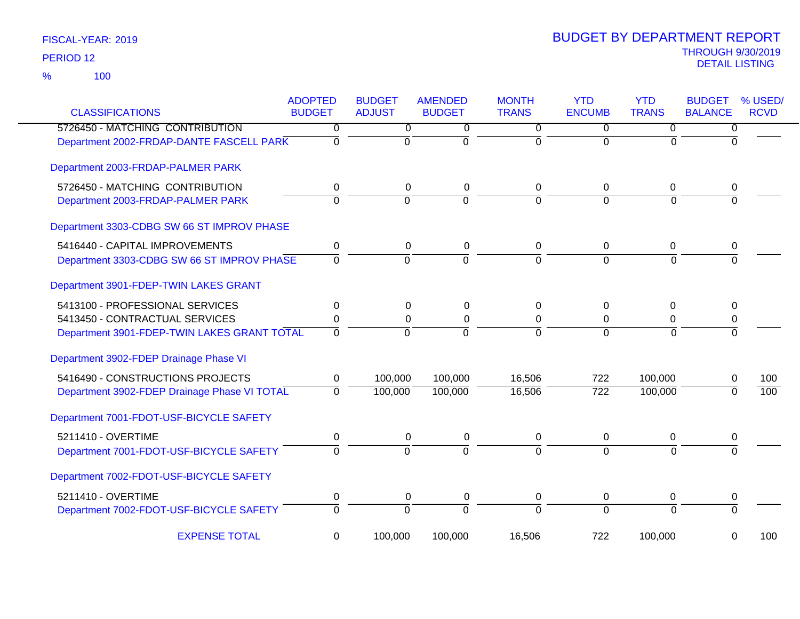| <b>CLASSIFICATIONS</b>                       | <b>ADOPTED</b><br><b>BUDGET</b> | <b>BUDGET</b><br><b>ADJUST</b> | <b>AMENDED</b><br><b>BUDGET</b> | <b>MONTH</b><br><b>TRANS</b> | <b>YTD</b><br><b>ENCUMB</b> | <b>YTD</b><br><b>TRANS</b> | <b>BUDGET</b><br><b>BALANCE</b> | % USED/<br><b>RCVD</b> |
|----------------------------------------------|---------------------------------|--------------------------------|---------------------------------|------------------------------|-----------------------------|----------------------------|---------------------------------|------------------------|
| 5726450 - MATCHING CONTRIBUTION              | 0                               | 0                              | 0                               | 0                            | 0                           | 0                          | $\overline{0}$                  |                        |
| Department 2002-FRDAP-DANTE FASCELL PARK     | $\overline{0}$                  | $\overline{0}$                 | ō                               | $\overline{0}$               | $\overline{0}$              | $\Omega$                   | $\overline{0}$                  |                        |
| Department 2003-FRDAP-PALMER PARK            |                                 |                                |                                 |                              |                             |                            |                                 |                        |
| 5726450 - MATCHING CONTRIBUTION              | 0                               | $\pmb{0}$                      | 0                               | 0                            | 0                           | 0                          | 0                               |                        |
| Department 2003-FRDAP-PALMER PARK            | $\overline{0}$                  | $\overline{0}$                 | 0                               | $\Omega$                     | $\overline{0}$              | $\Omega$                   | $\Omega$                        |                        |
| Department 3303-CDBG SW 66 ST IMPROV PHASE   |                                 |                                |                                 |                              |                             |                            |                                 |                        |
| 5416440 - CAPITAL IMPROVEMENTS               | $\pmb{0}$                       | $\boldsymbol{0}$               | $\pmb{0}$                       | 0                            | $\mathbf 0$                 | 0                          | 0                               |                        |
| Department 3303-CDBG SW 66 ST IMPROV PHASE   | $\Omega$                        | $\overline{0}$                 | $\overline{0}$                  | $\overline{0}$               | $\overline{0}$              | $\Omega$                   | $\Omega$                        |                        |
| Department 3901-FDEP-TWIN LAKES GRANT        |                                 |                                |                                 |                              |                             |                            |                                 |                        |
| 5413100 - PROFESSIONAL SERVICES              | 0                               | $\mathbf 0$                    | $\pmb{0}$                       | 0                            | 0                           | $\mathbf 0$                | 0                               |                        |
| 5413450 - CONTRACTUAL SERVICES               | 0                               | 0                              | $\mathbf 0$                     | 0                            | 0                           | 0                          | 0                               |                        |
| Department 3901-FDEP-TWIN LAKES GRANT TOTAL  | $\overline{0}$                  | $\overline{0}$                 | $\overline{0}$                  | $\overline{0}$               | $\overline{0}$              | $\overline{0}$             | $\overline{0}$                  |                        |
| Department 3902-FDEP Drainage Phase VI       |                                 |                                |                                 |                              |                             |                            |                                 |                        |
| 5416490 - CONSTRUCTIONS PROJECTS             | 0                               | 100,000                        | 100,000                         | 16,506                       | 722                         | 100,000                    | 0                               | 100                    |
| Department 3902-FDEP Drainage Phase VI TOTAL | $\overline{0}$                  | 100,000                        | 100,000                         | 16,506                       | $\overline{722}$            | 100,000                    | $\Omega$                        | $\overline{100}$       |
| Department 7001-FDOT-USF-BICYCLE SAFETY      |                                 |                                |                                 |                              |                             |                            |                                 |                        |
| 5211410 - OVERTIME                           | 0                               | 0                              | 0                               | 0                            | $\mathbf 0$                 | 0                          | 0                               |                        |
| Department 7001-FDOT-USF-BICYCLE SAFETY      | $\overline{0}$                  | $\overline{0}$                 | $\overline{0}$                  | $\overline{0}$               | $\overline{0}$              | $\overline{0}$             | $\Omega$                        |                        |
| Department 7002-FDOT-USF-BICYCLE SAFETY      |                                 |                                |                                 |                              |                             |                            |                                 |                        |
| 5211410 - OVERTIME                           | 0                               | 0                              | $\pmb{0}$                       | 0                            | 0                           | 0                          | 0                               |                        |
| Department 7002-FDOT-USF-BICYCLE SAFETY      | $\overline{0}$                  | 0                              | $\overline{0}$                  | $\overline{0}$               | $\overline{0}$              | $\Omega$                   | $\overline{0}$                  |                        |
| <b>EXPENSE TOTAL</b>                         | 0                               | 100,000                        | 100,000                         | 16,506                       | 722                         | 100,000                    | 0                               | 100                    |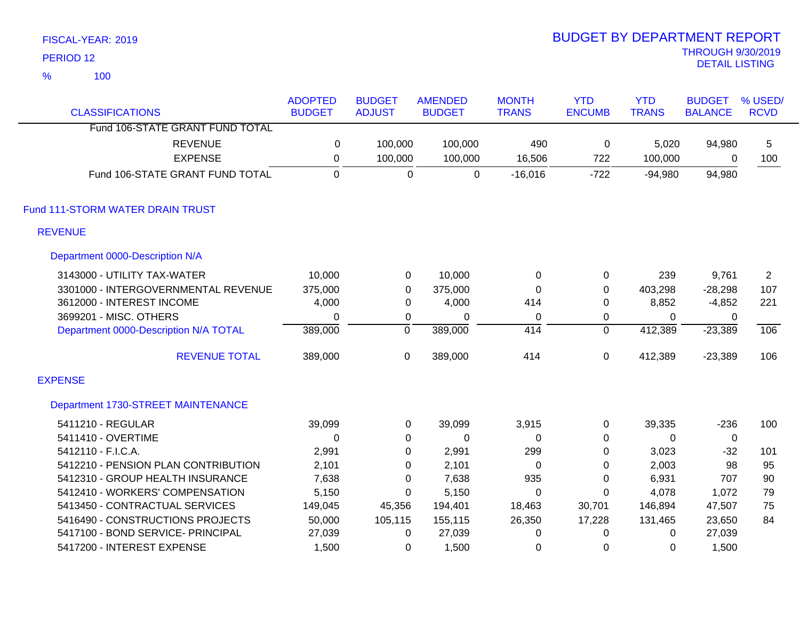|                | FISCAL-YEAR: 2019                     |                |                |                |              | <b>BUDGET BY DEPARTMENT REPORT</b> |              |                                                   |              |
|----------------|---------------------------------------|----------------|----------------|----------------|--------------|------------------------------------|--------------|---------------------------------------------------|--------------|
|                | PERIOD <sub>12</sub>                  |                |                |                |              |                                    |              | <b>THROUGH 9/30/2019</b><br><b>DETAIL LISTING</b> |              |
| $\frac{9}{6}$  | 100                                   |                |                |                |              |                                    |              |                                                   |              |
|                |                                       | <b>ADOPTED</b> | <b>BUDGET</b>  | <b>AMENDED</b> | <b>MONTH</b> | <b>YTD</b>                         | <b>YTD</b>   | <b>BUDGET</b>                                     | % USED/      |
|                | <b>CLASSIFICATIONS</b>                | <b>BUDGET</b>  | <b>ADJUST</b>  | <b>BUDGET</b>  | <b>TRANS</b> | <b>ENCUMB</b>                      | <b>TRANS</b> | <b>BALANCE</b>                                    | <b>RCVD</b>  |
|                | Fund 106-STATE GRANT FUND TOTAL       |                |                |                |              |                                    |              |                                                   |              |
|                | <b>REVENUE</b>                        | $\mathbf 0$    | 100,000        | 100,000        | 490          | $\mathbf 0$                        | 5,020        | 94,980                                            | 5            |
|                | <b>EXPENSE</b>                        | 0              | 100,000        | 100,000        | 16,506       | 722                                | 100,000      | 0                                                 | 100          |
|                | Fund 106-STATE GRANT FUND TOTAL       | $\mathbf 0$    | 0              | $\pmb{0}$      | $-16,016$    | $-722$                             | $-94,980$    | 94,980                                            |              |
|                | Fund 111-STORM WATER DRAIN TRUST      |                |                |                |              |                                    |              |                                                   |              |
|                | <b>REVENUE</b>                        |                |                |                |              |                                    |              |                                                   |              |
|                | Department 0000-Description N/A       |                |                |                |              |                                    |              |                                                   |              |
|                | 3143000 - UTILITY TAX-WATER           | 10,000         | 0              | 10,000         | $\mathbf 0$  | 0                                  | 239          | 9,761                                             | $\mathbf{2}$ |
|                | 3301000 - INTERGOVERNMENTAL REVENUE   | 375,000        | $\pmb{0}$      | 375,000        | $\pmb{0}$    | 0                                  | 403,298      | $-28,298$                                         | 107          |
|                | 3612000 - INTEREST INCOME             | 4,000          | 0              | 4,000          | 414          | 0                                  | 8,852        | $-4,852$                                          | 221          |
|                | 3699201 - MISC. OTHERS                | 0              | 0              | $\Omega$       | 0            | 0                                  | 0            | 0                                                 |              |
|                | Department 0000-Description N/A TOTAL | 389,000        | $\overline{0}$ | 389,000        | 414          | $\overline{0}$                     | 412,389      | $-23,389$                                         | 106          |
|                | <b>REVENUE TOTAL</b>                  | 389,000        | 0              | 389,000        | 414          | 0                                  | 412,389      | $-23,389$                                         | 106          |
| <b>EXPENSE</b> |                                       |                |                |                |              |                                    |              |                                                   |              |
|                | Department 1730-STREET MAINTENANCE    |                |                |                |              |                                    |              |                                                   |              |
|                | 5411210 - REGULAR                     | 39,099         | 0              | 39,099         | 3,915        | 0                                  | 39,335       | $-236$                                            | 100          |
|                | 5411410 - OVERTIME                    | $\Omega$       | 0              | 0              | $\Omega$     | 0                                  | $\Omega$     | 0                                                 |              |
|                | 5412110 - F.I.C.A.                    | 2,991          | 0              | 2,991          | 299          | 0                                  | 3,023        | $-32$                                             | 101          |
|                | 5412210 - PENSION PLAN CONTRIBUTION   | 2,101          | $\Omega$       | 2,101          | 0            | $\Omega$                           | 2,003        | 98                                                | 95           |

5412310 - GROUP HEALTH INSURANCE 7,638 0 7,638 935 0 6,931 707 90 5412410 - WORKERS' COMPENSATION 5,150 0 5,150 0 0 4,078 1,072 79 5413450 - CONTRACTUAL SERVICES 149,045 45,356 194,401 18,463 30,701 146,894 47,507 75 5416490 - CONSTRUCTIONS PROJECTS 50,000 105,115 155,115 26,350 17,228 131,465 23,650 84

5417100 - BOND SERVICE- PRINCIPAL 27,039 0 27,039 0 0 0 27,039 5417200 - INTEREST EXPENSE 1,500 0 1,500 0 0 0 1,500

2019 BUDGET BY DEPARTMENT REPORT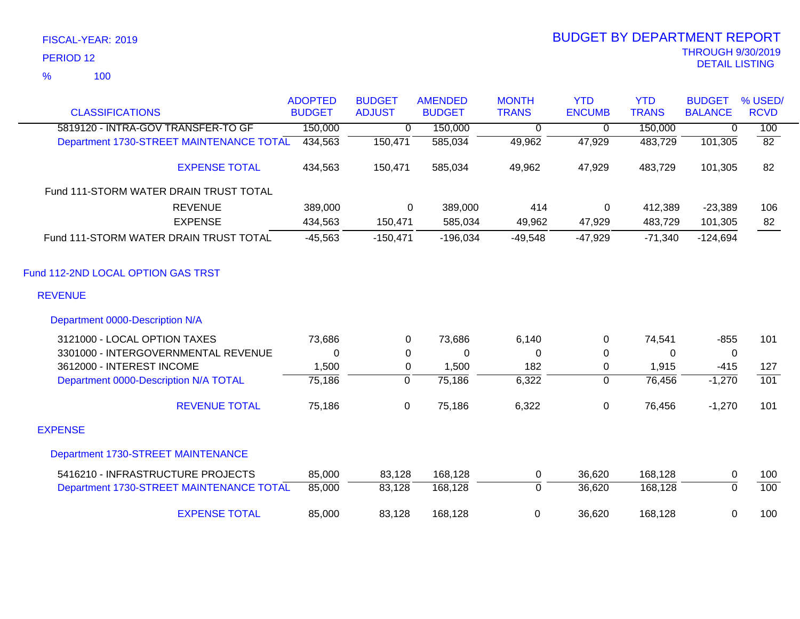|                                          | <b>ADOPTED</b> | <b>BUDGET</b>  | <b>AMENDED</b> | <b>MONTH</b>   | <b>YTD</b>     | <b>YTD</b>   | <b>BUDGET</b>  | % USED/          |
|------------------------------------------|----------------|----------------|----------------|----------------|----------------|--------------|----------------|------------------|
| <b>CLASSIFICATIONS</b>                   | <b>BUDGET</b>  | <b>ADJUST</b>  | <b>BUDGET</b>  | <b>TRANS</b>   | <b>ENCUMB</b>  | <b>TRANS</b> | <b>BALANCE</b> | <b>RCVD</b>      |
| 5819120 - INTRA-GOV TRANSFER-TO GF       | 150,000        | $\overline{0}$ | 150,000        | $\overline{0}$ | $\overline{0}$ | 150,000      | 0              | 100              |
| Department 1730-STREET MAINTENANCE TOTAL | 434,563        | 150,471        | 585,034        | 49,962         | 47,929         | 483,729      | 101,305        | $\overline{82}$  |
| <b>EXPENSE TOTAL</b>                     | 434,563        | 150,471        | 585,034        | 49,962         | 47,929         | 483,729      | 101,305        | 82               |
| Fund 111-STORM WATER DRAIN TRUST TOTAL   |                |                |                |                |                |              |                |                  |
| <b>REVENUE</b>                           | 389,000        | 0              | 389,000        | 414            | 0              | 412,389      | $-23,389$      | 106              |
| <b>EXPENSE</b>                           | 434,563        | 150,471        | 585,034        | 49,962         | 47,929         | 483,729      | 101,305        | 82               |
| Fund 111-STORM WATER DRAIN TRUST TOTAL   | $-45,563$      | $-150,471$     | $-196,034$     | $-49,548$      | $-47,929$      | $-71,340$    | $-124,694$     |                  |
| Fund 112-2ND LOCAL OPTION GAS TRST       |                |                |                |                |                |              |                |                  |
| <b>REVENUE</b>                           |                |                |                |                |                |              |                |                  |
| Department 0000-Description N/A          |                |                |                |                |                |              |                |                  |
| 3121000 - LOCAL OPTION TAXES             | 73,686         | 0              | 73,686         | 6,140          | 0              | 74,541       | $-855$         | 101              |
| 3301000 - INTERGOVERNMENTAL REVENUE      | $\Omega$       | $\Omega$       | 0              | 0              | 0              | $\Omega$     | $\mathbf 0$    |                  |
| 3612000 - INTEREST INCOME                | 1,500          | 0              | 1,500          | 182            | $\mathbf 0$    | 1,915        | $-415$         | 127              |
| Department 0000-Description N/A TOTAL    | 75,186         | $\overline{0}$ | 75,186         | 6,322          | 0              | 76,456       | $-1,270$       | $\overline{101}$ |
| <b>REVENUE TOTAL</b>                     | 75,186         | 0              | 75,186         | 6,322          | $\mathbf 0$    | 76,456       | $-1,270$       | 101              |
| <b>EXPENSE</b>                           |                |                |                |                |                |              |                |                  |
| Department 1730-STREET MAINTENANCE       |                |                |                |                |                |              |                |                  |
| 5416210 - INFRASTRUCTURE PROJECTS        | 85,000         | 83,128         | 168,128        | 0              | 36,620         | 168,128      | 0              | 100              |
| Department 1730-STREET MAINTENANCE TOTAL | 85,000         | 83,128         | 168,128        | $\Omega$       | 36,620         | 168,128      | $\Omega$       | 100              |
| <b>EXPENSE TOTAL</b>                     | 85,000         | 83,128         | 168,128        | $\pmb{0}$      | 36,620         | 168,128      | 0              | 100              |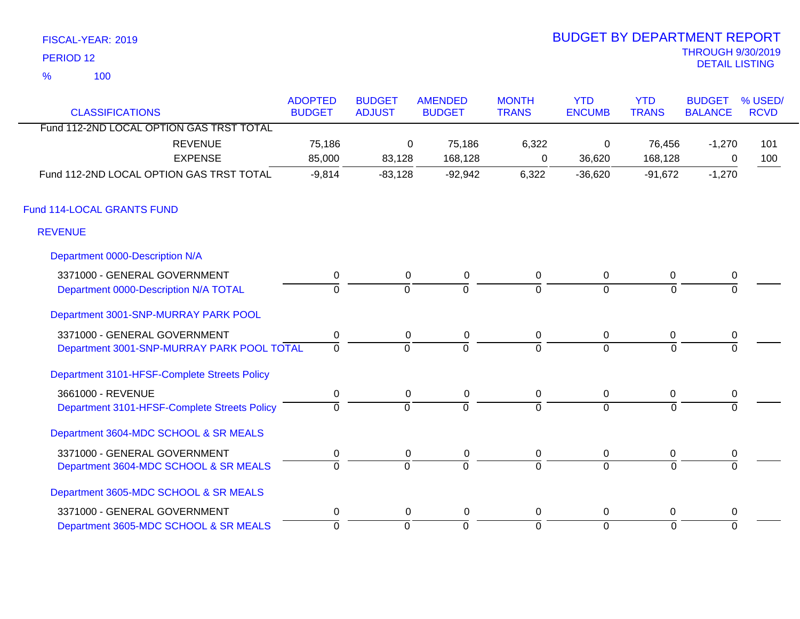| FISCAL-YEAR: 2019 |  |
|-------------------|--|
|                   |  |

100 %

# THROUGH 9/30/2019 DETAIL LISTING PERIOD <sup>12</sup> BUDGET BY DEPARTMENT REPORT

| <b>CLASSIFICATIONS</b>                       | <b>ADOPTED</b><br><b>BUDGET</b> | <b>BUDGET</b><br><b>ADJUST</b> | <b>AMENDED</b><br><b>BUDGET</b> | <b>MONTH</b><br><b>TRANS</b> | <b>YTD</b><br><b>ENCUMB</b> | <b>YTD</b><br><b>TRANS</b> | <b>BUDGET</b><br><b>BALANCE</b> | % USED/<br><b>RCVD</b> |
|----------------------------------------------|---------------------------------|--------------------------------|---------------------------------|------------------------------|-----------------------------|----------------------------|---------------------------------|------------------------|
| Fund 112-2ND LOCAL OPTION GAS TRST TOTAL     |                                 |                                |                                 |                              |                             |                            |                                 |                        |
| <b>REVENUE</b>                               | 75,186                          | 0                              | 75,186                          | 6,322                        | 0                           | 76,456                     | $-1,270$                        | 101                    |
| <b>EXPENSE</b>                               | 85,000                          | 83,128                         | 168,128                         | 0                            | 36,620                      | 168,128                    | 0                               | 100                    |
| Fund 112-2ND LOCAL OPTION GAS TRST TOTAL     | $-9,814$                        | $-83,128$                      | $-92,942$                       | 6,322                        | $-36,620$                   | $-91,672$                  | $-1,270$                        |                        |
| Fund 114-LOCAL GRANTS FUND                   |                                 |                                |                                 |                              |                             |                            |                                 |                        |
| <b>REVENUE</b>                               |                                 |                                |                                 |                              |                             |                            |                                 |                        |
| Department 0000-Description N/A              |                                 |                                |                                 |                              |                             |                            |                                 |                        |
| 3371000 - GENERAL GOVERNMENT                 | $\pmb{0}$                       | $\mathbf 0$                    | $\mathbf 0$                     | 0                            | $\overline{0}$              | 0                          | 0                               |                        |
| Department 0000-Description N/A TOTAL        | $\Omega$                        | $\Omega$                       | $\overline{0}$                  | $\Omega$                     | $\mathbf 0$                 | $\Omega$                   | 0                               |                        |
| Department 3001-SNP-MURRAY PARK POOL         |                                 |                                |                                 |                              |                             |                            |                                 |                        |
| 3371000 - GENERAL GOVERNMENT                 | $\pmb{0}$                       | $\mathbf 0$                    | $\pmb{0}$                       | 0                            | $\mathbf 0$                 | 0                          | $\pmb{0}$                       |                        |
| Department 3001-SNP-MURRAY PARK POOL TOTAL   | $\overline{0}$                  | $\Omega$                       | $\overline{0}$                  | $\overline{0}$               | $\overline{0}$              | $\Omega$                   | $\Omega$                        |                        |
| Department 3101-HFSF-Complete Streets Policy |                                 |                                |                                 |                              |                             |                            |                                 |                        |
| 3661000 - REVENUE                            | 0                               | 0                              | $\mathbf 0$                     | 0                            | $\overline{0}$              | 0                          | 0                               |                        |
| Department 3101-HFSF-Complete Streets Policy | $\mathbf 0$                     | $\overline{0}$                 | $\Omega$                        | $\Omega$                     | $\Omega$                    | $\mathbf{0}$               | $\Omega$                        |                        |
| Department 3604-MDC SCHOOL & SR MEALS        |                                 |                                |                                 |                              |                             |                            |                                 |                        |
| 3371000 - GENERAL GOVERNMENT                 | $\pmb{0}$                       | $\mathbf 0$                    | 0                               | 0                            | $\mathbf 0$                 | 0                          | 0                               |                        |
| Department 3604-MDC SCHOOL & SR MEALS        | $\overline{0}$                  | $\overline{0}$                 | $\overline{0}$                  | $\overline{0}$               | $\Omega$                    | $\Omega$                   | $\overline{0}$                  |                        |
| Department 3605-MDC SCHOOL & SR MEALS        |                                 |                                |                                 |                              |                             |                            |                                 |                        |
| 3371000 - GENERAL GOVERNMENT                 | $\pmb{0}$                       | $\mathbf 0$                    | 0                               | 0                            | $\mathbf 0$                 | 0                          | 0                               |                        |
| Department 3605-MDC SCHOOL & SR MEALS        | $\overline{0}$                  | $\overline{0}$                 | 0                               | $\overline{0}$               | $\overline{0}$              | $\Omega$                   | $\overline{0}$                  |                        |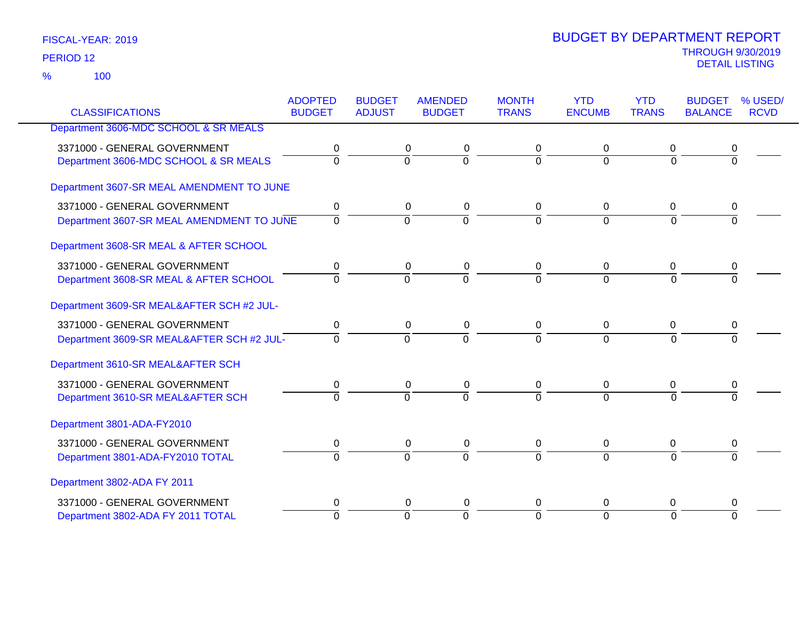|                                           | <b>ADOPTED</b> | <b>BUDGET</b>  | <b>AMENDED</b> | <b>MONTH</b>   | <b>YTD</b>     | <b>YTD</b>   | <b>BUDGET</b>  | % USED/     |
|-------------------------------------------|----------------|----------------|----------------|----------------|----------------|--------------|----------------|-------------|
| <b>CLASSIFICATIONS</b>                    | <b>BUDGET</b>  | <b>ADJUST</b>  | <b>BUDGET</b>  | <b>TRANS</b>   | <b>ENCUMB</b>  | <b>TRANS</b> | <b>BALANCE</b> | <b>RCVD</b> |
| Department 3606-MDC SCHOOL & SR MEALS     |                |                |                |                |                |              |                |             |
| 3371000 - GENERAL GOVERNMENT              | 0              | 0              | 0              | 0              | 0              | 0            | 0              |             |
| Department 3606-MDC SCHOOL & SR MEALS     | $\overline{0}$ | 0              | $\overline{0}$ | $\overline{0}$ | $\overline{0}$ | $\Omega$     | $\overline{0}$ |             |
| Department 3607-SR MEAL AMENDMENT TO JUNE |                |                |                |                |                |              |                |             |
| 3371000 - GENERAL GOVERNMENT              | $\mathbf 0$    | $\mathbf 0$    | $\pmb{0}$      | 0              | 0              | 0            | 0              |             |
| Department 3607-SR MEAL AMENDMENT TO JUNE | $\overline{0}$ | $\overline{0}$ | $\overline{0}$ | $\overline{0}$ | $\overline{0}$ | $\Omega$     | $\Omega$       |             |
| Department 3608-SR MEAL & AFTER SCHOOL    |                |                |                |                |                |              |                |             |
| 3371000 - GENERAL GOVERNMENT              | 0              | 0              | 0              | 0              | 0              | 0            | 0              |             |
| Department 3608-SR MEAL & AFTER SCHOOL    | $\Omega$       | $\overline{0}$ | $\overline{0}$ | $\Omega$       | $\Omega$       | $\Omega$     | $\Omega$       |             |
| Department 3609-SR MEAL&AFTER SCH #2 JUL- |                |                |                |                |                |              |                |             |
| 3371000 - GENERAL GOVERNMENT              | 0              | 0              | 0              | 0              | 0              | 0            | 0              |             |
| Department 3609-SR MEAL&AFTER SCH #2 JUL- | $\Omega$       | $\overline{0}$ | $\overline{0}$ | $\Omega$       | $\Omega$       | $\Omega$     | $\Omega$       |             |
| Department 3610-SR MEAL&AFTER SCH         |                |                |                |                |                |              |                |             |
| 3371000 - GENERAL GOVERNMENT              | $\pmb{0}$      | $\mathbf 0$    | $\pmb{0}$      | $\pmb{0}$      | $\pmb{0}$      | $\mathbf 0$  | 0              |             |
| Department 3610-SR MEAL&AFTER SCH         | $\Omega$       | $\Omega$       | $\Omega$       | $\Omega$       | $\Omega$       | $\Omega$     | $\Omega$       |             |
| Department 3801-ADA-FY2010                |                |                |                |                |                |              |                |             |
| 3371000 - GENERAL GOVERNMENT              | 0              |                | 0<br>$\pmb{0}$ | 0              | 0              | 0            | 0              |             |
| Department 3801-ADA-FY2010 TOTAL          | $\overline{0}$ | $\overline{0}$ | $\overline{0}$ | $\Omega$       | $\overline{0}$ | $\Omega$     | $\Omega$       |             |
| Department 3802-ADA FY 2011               |                |                |                |                |                |              |                |             |
| 3371000 - GENERAL GOVERNMENT              | 0              | 0              | 0              | 0              | 0              | 0            | 0              |             |
| Department 3802-ADA FY 2011 TOTAL         | $\Omega$       | $\overline{0}$ | $\overline{0}$ | $\Omega$       | $\overline{0}$ | $\Omega$     | $\Omega$       |             |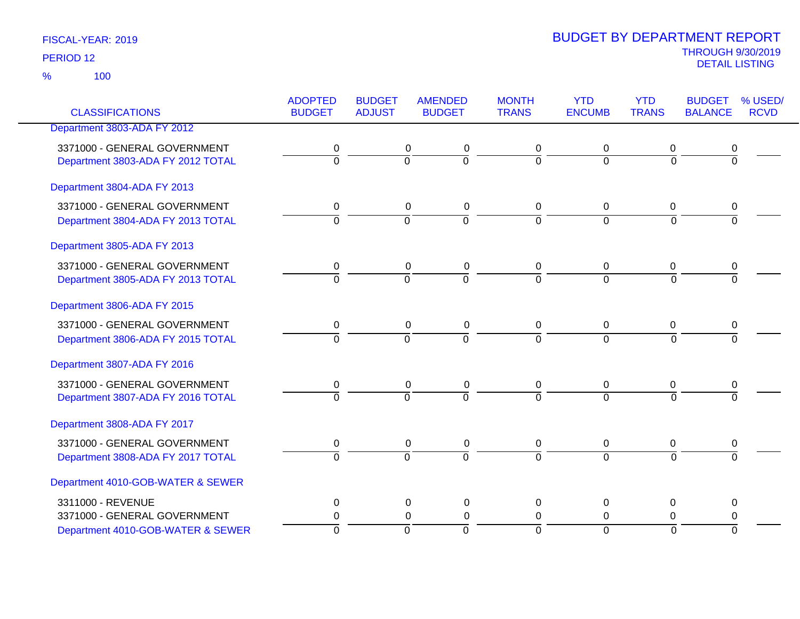| <b>CLASSIFICATIONS</b>            | <b>ADOPTED</b><br><b>BUDGET</b> | <b>BUDGET</b><br><b>ADJUST</b> | <b>AMENDED</b><br><b>BUDGET</b> | <b>MONTH</b><br><b>TRANS</b> | <b>YTD</b><br><b>ENCUMB</b> | <b>YTD</b><br><b>TRANS</b> | <b>BUDGET</b><br><b>BALANCE</b> | % USED/<br><b>RCVD</b> |
|-----------------------------------|---------------------------------|--------------------------------|---------------------------------|------------------------------|-----------------------------|----------------------------|---------------------------------|------------------------|
| Department 3803-ADA FY 2012       |                                 |                                |                                 |                              |                             |                            |                                 |                        |
|                                   |                                 |                                |                                 |                              |                             |                            |                                 |                        |
| 3371000 - GENERAL GOVERNMENT      | 0                               | 0                              | 0                               | 0                            | 0                           | 0                          | 0                               |                        |
| Department 3803-ADA FY 2012 TOTAL | $\overline{0}$                  | $\overline{0}$                 | $\overline{0}$                  | $\overline{0}$               | $\overline{0}$              | $\overline{0}$             | $\overline{0}$                  |                        |
| Department 3804-ADA FY 2013       |                                 |                                |                                 |                              |                             |                            |                                 |                        |
| 3371000 - GENERAL GOVERNMENT      | 0                               | $\mathbf 0$                    | $\pmb{0}$                       | 0                            | 0                           | 0                          | 0                               |                        |
| Department 3804-ADA FY 2013 TOTAL | $\Omega$                        | $\Omega$                       | $\overline{0}$                  | $\Omega$                     | $\Omega$                    | $\Omega$                   | $\Omega$                        |                        |
| Department 3805-ADA FY 2013       |                                 |                                |                                 |                              |                             |                            |                                 |                        |
| 3371000 - GENERAL GOVERNMENT      | 0                               | $\pmb{0}$                      | 0                               | 0                            | 0                           | 0                          | 0                               |                        |
| Department 3805-ADA FY 2013 TOTAL | $\overline{0}$                  | $\overline{0}$                 | $\overline{0}$                  | $\overline{0}$               | $\overline{0}$              | $\overline{0}$             | $\overline{0}$                  |                        |
| Department 3806-ADA FY 2015       |                                 |                                |                                 |                              |                             |                            |                                 |                        |
| 3371000 - GENERAL GOVERNMENT      | 0                               | $\mathbf 0$                    | $\pmb{0}$                       | 0                            | 0                           | 0                          | 0                               |                        |
| Department 3806-ADA FY 2015 TOTAL | $\overline{0}$                  | $\overline{0}$                 | $\overline{0}$                  | $\overline{0}$               | $\overline{0}$              | $\overline{0}$             | $\Omega$                        |                        |
| Department 3807-ADA FY 2016       |                                 |                                |                                 |                              |                             |                            |                                 |                        |
| 3371000 - GENERAL GOVERNMENT      | 0                               | $\mathbf 0$                    | 0                               | 0                            | 0                           | 0                          | 0                               |                        |
| Department 3807-ADA FY 2016 TOTAL | $\overline{0}$                  | $\Omega$                       | $\overline{0}$                  | 7                            | $\Omega$                    | $\Omega$                   | $\overline{0}$                  |                        |
| Department 3808-ADA FY 2017       |                                 |                                |                                 |                              |                             |                            |                                 |                        |
| 3371000 - GENERAL GOVERNMENT      | 0                               | $\pmb{0}$                      | $\pmb{0}$                       | 0                            | 0                           | 0                          | $\pmb{0}$                       |                        |
| Department 3808-ADA FY 2017 TOTAL | $\overline{0}$                  | $\overline{0}$                 | $\overline{0}$                  | $\overline{0}$               | $\overline{0}$              | $\overline{0}$             | $\overline{0}$                  |                        |
| Department 4010-GOB-WATER & SEWER |                                 |                                |                                 |                              |                             |                            |                                 |                        |
| 3311000 - REVENUE                 | 0                               | $\mathbf 0$                    | 0                               | 0                            | $\pmb{0}$                   | 0                          | 0                               |                        |
| 3371000 - GENERAL GOVERNMENT      | 0                               |                                | $\mathbf 0$<br>0                | 0                            | $\mathbf 0$                 | 0                          | $\pmb{0}$                       |                        |
| Department 4010-GOB-WATER & SEWER | $\overline{0}$                  | $\overline{0}$                 | $\overline{0}$                  | ō                            | $\overline{0}$              | $\overline{0}$             | $\Omega$                        |                        |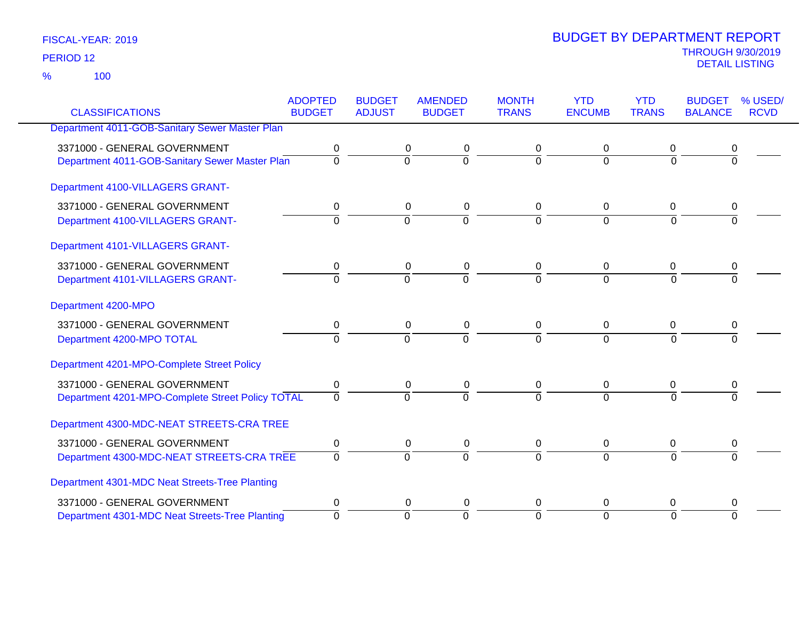100 %

|                                                  | <b>ADOPTED</b>   | <b>BUDGET</b>    | <b>AMENDED</b> | <b>MONTH</b>   | <b>YTD</b>     | <b>YTD</b>     | <b>BUDGET</b>  | % USED/     |
|--------------------------------------------------|------------------|------------------|----------------|----------------|----------------|----------------|----------------|-------------|
| <b>CLASSIFICATIONS</b>                           | <b>BUDGET</b>    | <b>ADJUST</b>    | <b>BUDGET</b>  | <b>TRANS</b>   | <b>ENCUMB</b>  | <b>TRANS</b>   | <b>BALANCE</b> | <b>RCVD</b> |
| Department 4011-GOB-Sanitary Sewer Master Plan   |                  |                  |                |                |                |                |                |             |
| 3371000 - GENERAL GOVERNMENT                     | 0                | 0                | 0              | 0              | 0              | 0              |                |             |
| Department 4011-GOB-Sanitary Sewer Master Plan   | $\overline{0}$   | $\overline{0}$   | $\overline{0}$ | $\Omega$       | $\overline{0}$ | $\overline{0}$ | 0              |             |
| Department 4100-VILLAGERS GRANT-                 |                  |                  |                |                |                |                |                |             |
| 3371000 - GENERAL GOVERNMENT                     | 0                | 0                | 0              | 0              | 0              | 0              | 0              |             |
| Department 4100-VILLAGERS GRANT-                 | $\Omega$         | $\overline{0}$   | $\overline{0}$ | $\overline{0}$ | $\overline{0}$ | $\Omega$       | $\Omega$       |             |
| Department 4101-VILLAGERS GRANT-                 |                  |                  |                |                |                |                |                |             |
| 3371000 - GENERAL GOVERNMENT                     | 0                | 0                | 0              | 0              | 0              | 0              | 0              |             |
| Department 4101-VILLAGERS GRANT-                 | $\Omega$         | $\Omega$         | $\overline{0}$ | $\Omega$       | $\overline{0}$ | $\Omega$       | 0              |             |
| Department 4200-MPO                              |                  |                  |                |                |                |                |                |             |
| 3371000 - GENERAL GOVERNMENT                     | 0                | 0                | 0              | 0              | 0              | 0              | 0              |             |
| Department 4200-MPO TOTAL                        | $\overline{0}$   | $\Omega$         | $\overline{0}$ | $\Omega$       | $\Omega$       | $\Omega$       | 0              |             |
| Department 4201-MPO-Complete Street Policy       |                  |                  |                |                |                |                |                |             |
| 3371000 - GENERAL GOVERNMENT                     | 0                | $\mathbf 0$      | $\pmb{0}$      | $\mathbf 0$    | $\mathbf 0$    | $\mathbf 0$    | 0              |             |
| Department 4201-MPO-Complete Street Policy TOTAL | $\Omega$         | $\Omega$         | $\overline{0}$ | $\Omega$       | $\overline{0}$ | $\Omega$       | $\Omega$       |             |
| Department 4300-MDC-NEAT STREETS-CRA TREE        |                  |                  |                |                |                |                |                |             |
| 3371000 - GENERAL GOVERNMENT                     | $\boldsymbol{0}$ | $\boldsymbol{0}$ | $\pmb{0}$      | $\mathbf 0$    | $\mathbf 0$    | $\mathbf 0$    | 0              |             |
| Department 4300-MDC-NEAT STREETS-CRA TREE        | $\overline{0}$   | $\overline{0}$   | $\overline{0}$ | $\Omega$       | $\Omega$       | $\Omega$       | $\Omega$       |             |
| Department 4301-MDC Neat Streets-Tree Planting   |                  |                  |                |                |                |                |                |             |
| 3371000 - GENERAL GOVERNMENT                     | 0                | 0                | 0              | 0              | 0              | 0              | 0              |             |
| Department 4301-MDC Neat Streets-Tree Planting   | $\Omega$         | $\Omega$         | $\overline{0}$ | $\Omega$       | $\overline{0}$ | $\Omega$       | $\Omega$       |             |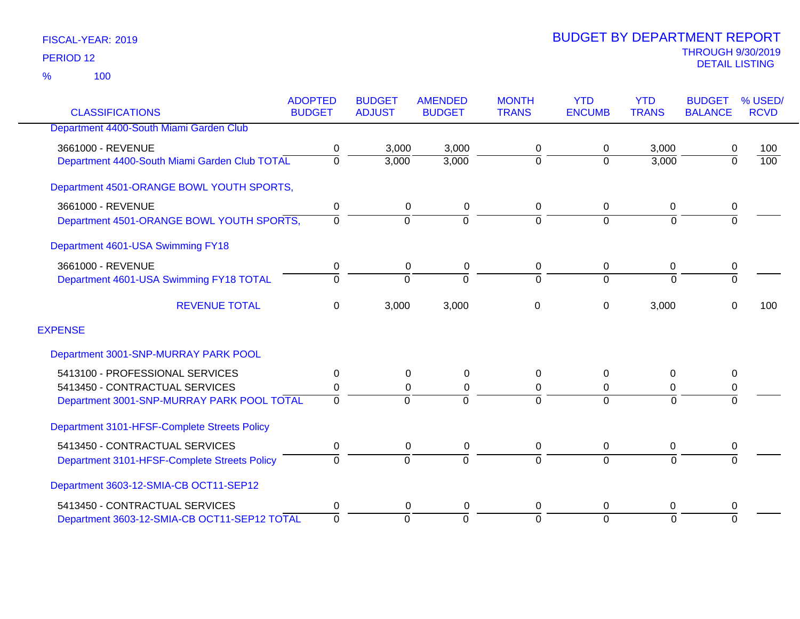|                                               | <b>ADOPTED</b> | <b>BUDGET</b> | <b>AMENDED</b> | <b>MONTH</b>   | <b>YTD</b>    | <b>YTD</b>     | <b>BUDGET</b>  | % USED/          |
|-----------------------------------------------|----------------|---------------|----------------|----------------|---------------|----------------|----------------|------------------|
| <b>CLASSIFICATIONS</b>                        | <b>BUDGET</b>  | <b>ADJUST</b> | <b>BUDGET</b>  | <b>TRANS</b>   | <b>ENCUMB</b> | <b>TRANS</b>   | <b>BALANCE</b> | <b>RCVD</b>      |
| Department 4400-South Miami Garden Club       |                |               |                |                |               |                |                |                  |
| 3661000 - REVENUE                             | 0              | 3,000         | 3,000          | 0              | 0             | 3,000          | 0              | 100              |
| Department 4400-South Miami Garden Club TOTAL | $\mathbf 0$    | 3,000         | 3,000          | 0              | $\mathbf 0$   | 3,000          | $\Omega$       | $\overline{100}$ |
| Department 4501-ORANGE BOWL YOUTH SPORTS,     |                |               |                |                |               |                |                |                  |
| 3661000 - REVENUE                             | 0              | 0             | 0              | 0              | $\mathbf 0$   | 0              | 0              |                  |
| Department 4501-ORANGE BOWL YOUTH SPORTS,     | $\Omega$       | $\mathbf 0$   | $\Omega$       | $\overline{0}$ | $\Omega$      | $\overline{0}$ | $\overline{0}$ |                  |
| Department 4601-USA Swimming FY18             |                |               |                |                |               |                |                |                  |
| 3661000 - REVENUE                             | 0              | 0             | 0              | 0              | 0             | 0              | 0              |                  |
| Department 4601-USA Swimming FY18 TOTAL       | $\Omega$       | $\Omega$      | $\Omega$       | $\Omega$       | $\Omega$      | $\Omega$       | $\Omega$       |                  |
| <b>REVENUE TOTAL</b>                          | 0              | 3,000         | 3,000          | 0              | 0             | 3,000          | $\Omega$       | 100              |
| <b>EXPENSE</b>                                |                |               |                |                |               |                |                |                  |
| Department 3001-SNP-MURRAY PARK POOL          |                |               |                |                |               |                |                |                  |
| 5413100 - PROFESSIONAL SERVICES               | 0              | 0             | 0              | 0              | $\mathbf{0}$  | 0              | 0              |                  |
| 5413450 - CONTRACTUAL SERVICES                | 0              | 0             | 0              | 0              | $\Omega$      | 0              | 0              |                  |
| Department 3001-SNP-MURRAY PARK POOL TOTAL    | $\Omega$       | $\Omega$      | $\Omega$       | $\Omega$       | $\Omega$      | $\Omega$       | $\Omega$       |                  |
| Department 3101-HFSF-Complete Streets Policy  |                |               |                |                |               |                |                |                  |
| 5413450 - CONTRACTUAL SERVICES                | 0              | 0             | 0              | 0              | 0             | 0              | 0              |                  |
| Department 3101-HFSF-Complete Streets Policy  | $\Omega$       | $\mathbf 0$   | $\Omega$       | $\overline{0}$ | $\Omega$      | $\overline{0}$ | $\Omega$       |                  |
| Department 3603-12-SMIA-CB OCT11-SEP12        |                |               |                |                |               |                |                |                  |
| 5413450 - CONTRACTUAL SERVICES                | 0              | 0             | 0              | 0              | 0             | 0              | 0              |                  |
| Department 3603-12-SMIA-CB OCT11-SEP12 TOTAL  | $\mathbf 0$    | $\Omega$      | $\Omega$       | $\mathbf 0$    | $\Omega$      | $\overline{0}$ | $\Omega$       |                  |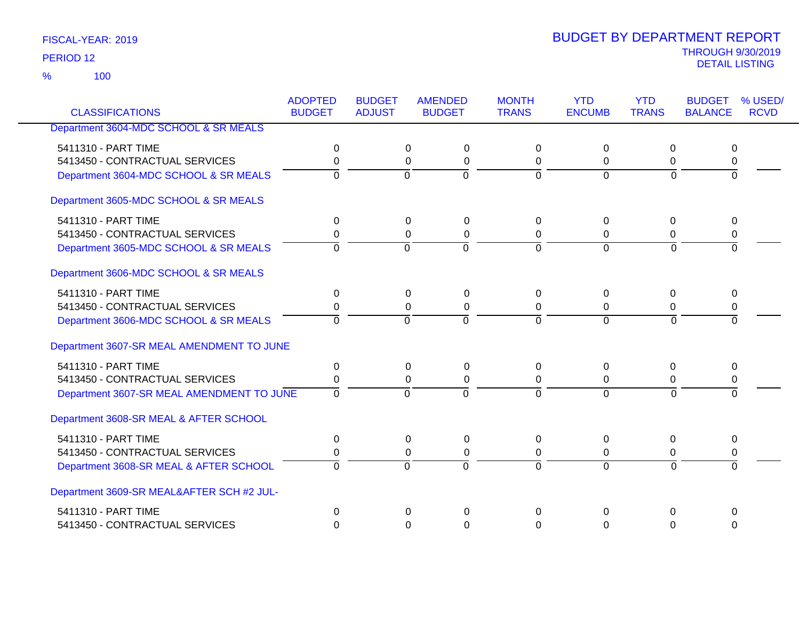100 %

|                                           | <b>ADOPTED</b> | <b>BUDGET</b> | <b>AMENDED</b>                   | <b>MONTH</b>   | <b>YTD</b>     | <b>YTD</b>     | <b>BUDGET</b>  | % USED/     |
|-------------------------------------------|----------------|---------------|----------------------------------|----------------|----------------|----------------|----------------|-------------|
| <b>CLASSIFICATIONS</b>                    | <b>BUDGET</b>  | <b>ADJUST</b> | <b>BUDGET</b>                    | <b>TRANS</b>   | <b>ENCUMB</b>  | <b>TRANS</b>   | <b>BALANCE</b> | <b>RCVD</b> |
| Department 3604-MDC SCHOOL & SR MEALS     |                |               |                                  |                |                |                |                |             |
| 5411310 - PART TIME                       | $\Omega$       |               | 0<br>$\pmb{0}$                   | $\Omega$       | $\Omega$       | $\Omega$       | 0              |             |
| 5413450 - CONTRACTUAL SERVICES            | 0              |               | $\pmb{0}$<br>0                   | 0              | 0              | 0              | 0              |             |
| Department 3604-MDC SCHOOL & SR MEALS     | $\overline{0}$ |               | $\overline{0}$<br>$\overline{0}$ | $\overline{0}$ | $\overline{0}$ | $\overline{0}$ | $\overline{0}$ |             |
| Department 3605-MDC SCHOOL & SR MEALS     |                |               |                                  |                |                |                |                |             |
| 5411310 - PART TIME                       | 0              |               | 0<br>$\pmb{0}$                   | $\Omega$       | $\mathbf 0$    | 0              | 0              |             |
| 5413450 - CONTRACTUAL SERVICES            | 0              |               | $\pmb{0}$<br>0                   | 0              | 0              | $\mathbf 0$    | $\mathbf 0$    |             |
| Department 3605-MDC SCHOOL & SR MEALS     | $\Omega$       |               | $\Omega$<br>$\Omega$             | $\Omega$       | $\mathbf 0$    | $\Omega$       | $\Omega$       |             |
| Department 3606-MDC SCHOOL & SR MEALS     |                |               |                                  |                |                |                |                |             |
| 5411310 - PART TIME                       | 0              |               | 0<br>0                           | 0              | 0              | $\mathbf 0$    | 0              |             |
| 5413450 - CONTRACTUAL SERVICES            | $\Omega$       |               | 0<br>$\Omega$                    | $\Omega$       | $\Omega$       | $\Omega$       | 0              |             |
| Department 3606-MDC SCHOOL & SR MEALS     | $\Omega$       |               | $\overline{0}$<br>$\overline{0}$ | $\Omega$       | $\overline{0}$ | $\Omega$       | $\overline{0}$ |             |
| Department 3607-SR MEAL AMENDMENT TO JUNE |                |               |                                  |                |                |                |                |             |
| 5411310 - PART TIME                       | $\Omega$       |               | $\Omega$<br>0                    | $\Omega$       | $\Omega$       | $\Omega$       | 0              |             |
| 5413450 - CONTRACTUAL SERVICES            | $\Omega$       |               | 0<br>$\Omega$                    | $\Omega$       | $\Omega$       | $\Omega$       | 0              |             |
| Department 3607-SR MEAL AMENDMENT TO JUNE | $\mathbf 0$    |               | $\Omega$<br>$\Omega$             | $\Omega$       | $\Omega$       | $\Omega$       | $\Omega$       |             |
| Department 3608-SR MEAL & AFTER SCHOOL    |                |               |                                  |                |                |                |                |             |
| 5411310 - PART TIME                       | 0              |               | 0<br>0                           | $\Omega$       | 0              | $\pmb{0}$      | 0              |             |
| 5413450 - CONTRACTUAL SERVICES            | 0              |               | 0<br>$\pmb{0}$                   | $\mathbf 0$    | $\pmb{0}$      | 0              | 0              |             |
| Department 3608-SR MEAL & AFTER SCHOOL    | $\Omega$       |               | $\overline{0}$<br>$\overline{0}$ | $\overline{0}$ | $\overline{0}$ | $\Omega$       | $\overline{0}$ |             |
| Department 3609-SR MEAL&AFTER SCH #2 JUL- |                |               |                                  |                |                |                |                |             |
| 5411310 - PART TIME                       | $\mathbf 0$    |               | $\Omega$<br>$\Omega$             | 0              | $\Omega$       | 0              | $\mathbf 0$    |             |
| 5413450 - CONTRACTUAL SERVICES            | $\Omega$       |               | $\Omega$<br>$\Omega$             | $\Omega$       | $\Omega$       | $\Omega$       | $\Omega$       |             |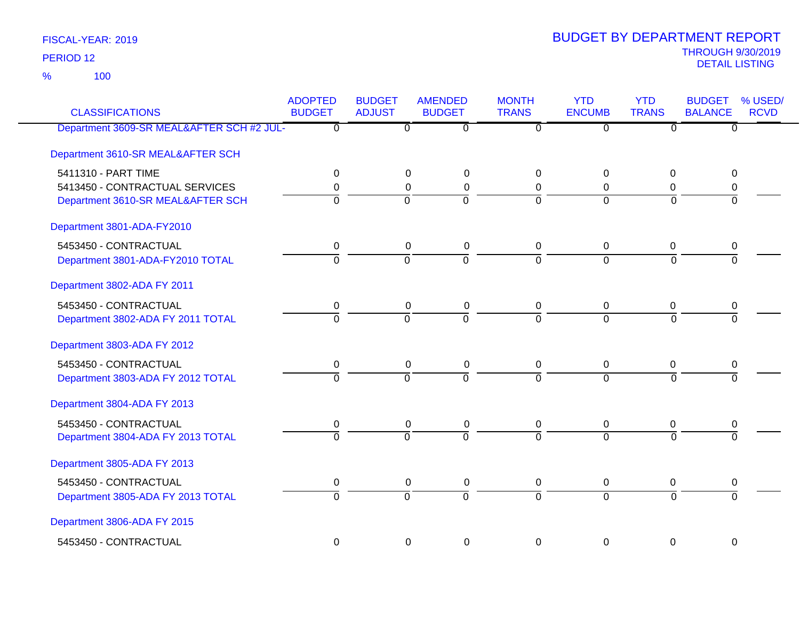100 %

| <b>CLASSIFICATIONS</b>                    | <b>ADOPTED</b><br><b>BUDGET</b> | <b>BUDGET</b><br><b>ADJUST</b> | <b>AMENDED</b><br><b>BUDGET</b> | <b>MONTH</b><br><b>TRANS</b> | <b>YTD</b><br><b>ENCUMB</b> | <b>YTD</b><br><b>TRANS</b> | <b>BUDGET</b><br><b>BALANCE</b> | % USED/<br><b>RCVD</b> |
|-------------------------------------------|---------------------------------|--------------------------------|---------------------------------|------------------------------|-----------------------------|----------------------------|---------------------------------|------------------------|
| Department 3609-SR MEAL&AFTER SCH #2 JUL- | $\overline{0}$                  | $\overline{0}$                 | ত                               | $\overline{0}$               | $\overline{0}$              | $\overline{0}$             | $\overline{0}$                  |                        |
| Department 3610-SR MEAL&AFTER SCH         |                                 |                                |                                 |                              |                             |                            |                                 |                        |
| 5411310 - PART TIME                       | 0                               | 0                              | 0                               | $\Omega$                     | 0                           | $\mathbf 0$                | 0                               |                        |
| 5413450 - CONTRACTUAL SERVICES            | 0                               | 0                              | $\pmb{0}$                       | 0                            | 0                           | $\mathbf 0$                | 0                               |                        |
| Department 3610-SR MEAL&AFTER SCH         | $\Omega$                        | $\Omega$                       | $\overline{0}$                  | $\Omega$                     | $\Omega$                    | $\Omega$                   | $\Omega$                        |                        |
| Department 3801-ADA-FY2010                |                                 |                                |                                 |                              |                             |                            |                                 |                        |
| 5453450 - CONTRACTUAL                     | 0                               | $\pmb{0}$                      | $\pmb{0}$                       | $\pmb{0}$                    | $\mathbf 0$                 | $\mathbf 0$                | 0                               |                        |
| Department 3801-ADA-FY2010 TOTAL          | $\Omega$                        | $\mathbf 0$                    | $\overline{0}$                  | $\Omega$                     | $\Omega$                    | $\Omega$                   | 0                               |                        |
| Department 3802-ADA FY 2011               |                                 |                                |                                 |                              |                             |                            |                                 |                        |
| 5453450 - CONTRACTUAL                     | $\mathbf 0$                     | $\mathsf 0$                    | $\pmb{0}$                       | $\mathsf 0$                  | $\boldsymbol{0}$            | $\overline{0}$             | $\pmb{0}$                       |                        |
| Department 3802-ADA FY 2011 TOTAL         | $\overline{0}$                  | $\overline{0}$                 | $\overline{0}$                  | $\overline{0}$               | $\overline{0}$              | $\Omega$                   | 0                               |                        |
| Department 3803-ADA FY 2012               |                                 |                                |                                 |                              |                             |                            |                                 |                        |
| 5453450 - CONTRACTUAL                     | 0                               | $\mathbf 0$                    | 0                               | 0                            | $\mathbf 0$                 | 0                          | 0                               |                        |
| Department 3803-ADA FY 2012 TOTAL         | $\overline{0}$                  | $\overline{0}$                 | $\overline{0}$                  | $\overline{0}$               | $\overline{0}$              | $\overline{0}$             | $\overline{0}$                  |                        |
| Department 3804-ADA FY 2013               |                                 |                                |                                 |                              |                             |                            |                                 |                        |
| 5453450 - CONTRACTUAL                     | 0                               | 0                              | 0                               | 0                            | 0                           | 0                          | 0                               |                        |
| Department 3804-ADA FY 2013 TOTAL         | $\overline{0}$                  | $\Omega$                       | $\overline{0}$                  | $\overline{0}$               | $\overline{0}$              | $\Omega$                   | $\Omega$                        |                        |
| Department 3805-ADA FY 2013               |                                 |                                |                                 |                              |                             |                            |                                 |                        |
| 5453450 - CONTRACTUAL                     | 0                               | 0                              | 0                               | 0                            | $\mathbf 0$                 | 0                          | 0                               |                        |
| Department 3805-ADA FY 2013 TOTAL         | $\overline{0}$                  | $\overline{0}$                 | $\overline{0}$                  | $\overline{0}$               | $\overline{0}$              | $\overline{0}$             | $\Omega$                        |                        |
| Department 3806-ADA FY 2015               |                                 |                                |                                 |                              |                             |                            |                                 |                        |
| 5453450 - CONTRACTUAL                     | $\mathbf 0$                     | 0                              | $\mathbf 0$                     | $\mathbf 0$                  | $\overline{0}$              | $\overline{0}$             | 0                               |                        |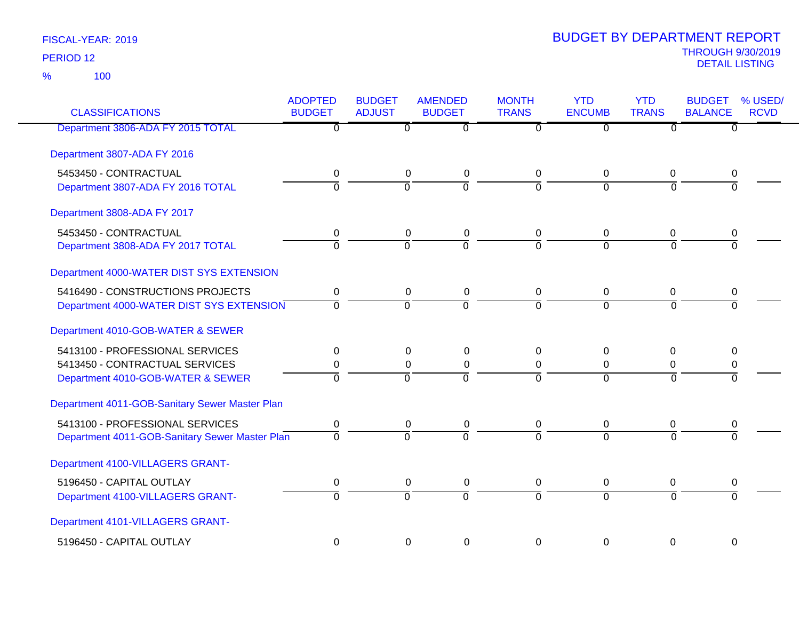100 %

| <b>CLASSIFICATIONS</b>                         | <b>ADOPTED</b><br><b>BUDGET</b> | <b>BUDGET</b><br><b>ADJUST</b> | <b>AMENDED</b><br><b>BUDGET</b> | <b>MONTH</b><br><b>TRANS</b> | <b>YTD</b><br><b>ENCUMB</b> | <b>YTD</b><br><b>TRANS</b> | <b>BUDGET</b><br><b>BALANCE</b> | % USED/<br><b>RCVD</b> |
|------------------------------------------------|---------------------------------|--------------------------------|---------------------------------|------------------------------|-----------------------------|----------------------------|---------------------------------|------------------------|
| Department 3806-ADA FY 2015 TOTAL              | $\overline{0}$                  | $\overline{0}$                 | $\overline{0}$                  | $\overline{0}$               | $\overline{0}$              | $\overline{0}$             | $\overline{0}$                  |                        |
| Department 3807-ADA FY 2016                    |                                 |                                |                                 |                              |                             |                            |                                 |                        |
| 5453450 - CONTRACTUAL                          | 0                               | $\mathbf 0$                    | $\pmb{0}$                       | 0                            | 0                           | 0                          | 0                               |                        |
| Department 3807-ADA FY 2016 TOTAL              | $\overline{0}$                  | $\overline{0}$                 | ō                               | $\Omega$                     | $\Omega$                    | $\Omega$                   | $\Omega$                        |                        |
| Department 3808-ADA FY 2017                    |                                 |                                |                                 |                              |                             |                            |                                 |                        |
| 5453450 - CONTRACTUAL                          | $\mathbf 0$                     | $\pmb{0}$                      | $\pmb{0}$                       | 0                            | $\mathbf 0$                 | $\mathbf 0$                | 0                               |                        |
| Department 3808-ADA FY 2017 TOTAL              | $\Omega$                        | $\Omega$                       | $\overline{0}$                  | $\Omega$                     | $\Omega$                    | $\Omega$                   | $\Omega$                        |                        |
| Department 4000-WATER DIST SYS EXTENSION       |                                 |                                |                                 |                              |                             |                            |                                 |                        |
| 5416490 - CONSTRUCTIONS PROJECTS               | 0                               | $\mathbf 0$                    | $\mathbf 0$                     | $\mathbf 0$                  | 0                           | 0                          | 0                               |                        |
| Department 4000-WATER DIST SYS EXTENSION       | $\Omega$                        | $\Omega$                       | $\overline{0}$                  | $\Omega$                     | $\Omega$                    | $\Omega$                   | $\Omega$                        |                        |
| Department 4010-GOB-WATER & SEWER              |                                 |                                |                                 |                              |                             |                            |                                 |                        |
| 5413100 - PROFESSIONAL SERVICES                | $\mathbf 0$                     | 0                              | 0                               | 0                            | 0                           | 0                          | 0                               |                        |
| 5413450 - CONTRACTUAL SERVICES                 | 0                               | $\mathbf 0$                    | $\boldsymbol{0}$                | 0                            | 0                           | 0                          | 0                               |                        |
| Department 4010-GOB-WATER & SEWER              | $\overline{0}$                  | $\overline{0}$                 | $\overline{0}$                  | $\Omega$                     | $\Omega$                    | $\overline{0}$             | $\overline{0}$                  |                        |
| Department 4011-GOB-Sanitary Sewer Master Plan |                                 |                                |                                 |                              |                             |                            |                                 |                        |
| 5413100 - PROFESSIONAL SERVICES                | 0                               | $\mathbf 0$                    | 0                               | 0                            | 0                           | 0                          | 0                               |                        |
| Department 4011-GOB-Sanitary Sewer Master Plan | $\overline{0}$                  | $\overline{0}$                 | $\overline{0}$                  | $\overline{0}$               | $\overline{0}$              | $\Omega$                   | $\Omega$                        |                        |
| Department 4100-VILLAGERS GRANT-               |                                 |                                |                                 |                              |                             |                            |                                 |                        |
| 5196450 - CAPITAL OUTLAY                       | 0                               | $\mathbf 0$                    | $\mathbf 0$                     | 0                            | 0                           | 0                          | 0                               |                        |
| Department 4100-VILLAGERS GRANT-               | $\overline{0}$                  | $\overline{0}$                 | $\overline{0}$                  | $\overline{0}$               | $\overline{0}$              | $\Omega$                   | $\overline{0}$                  |                        |
| Department 4101-VILLAGERS GRANT-               |                                 |                                |                                 |                              |                             |                            |                                 |                        |
| 5196450 - CAPITAL OUTLAY                       | $\Omega$                        | 0                              | $\mathbf 0$                     | $\Omega$                     | $\Omega$                    | $\Omega$                   | $\Omega$                        |                        |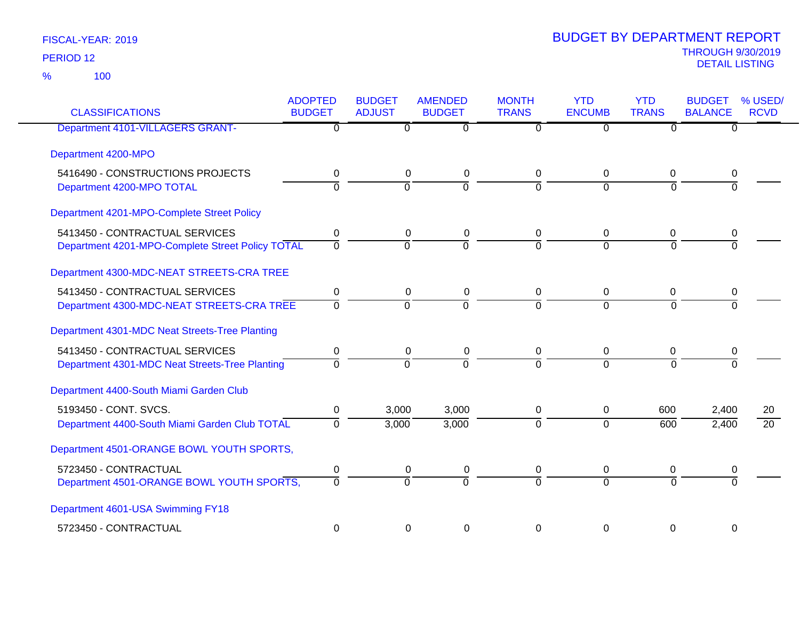| <b>CLASSIFICATIONS</b>                           | <b>ADOPTED</b><br><b>BUDGET</b> | <b>BUDGET</b><br><b>ADJUST</b> | <b>AMENDED</b><br><b>BUDGET</b> | <b>MONTH</b><br><b>TRANS</b> | <b>YTD</b><br><b>ENCUMB</b> | <b>YTD</b><br><b>TRANS</b> | <b>BUDGET</b><br><b>BALANCE</b> | % USED/<br><b>RCVD</b> |
|--------------------------------------------------|---------------------------------|--------------------------------|---------------------------------|------------------------------|-----------------------------|----------------------------|---------------------------------|------------------------|
| Department 4101-VILLAGERS GRANT-                 | $\mathbf 0$                     |                                | $\Omega$<br>$\Omega$            | $\Omega$                     | $\overline{0}$              | $\Omega$                   | $\Omega$                        |                        |
| Department 4200-MPO                              |                                 |                                |                                 |                              |                             |                            |                                 |                        |
| 5416490 - CONSTRUCTIONS PROJECTS                 | 0                               |                                | 0<br>$\mathbf 0$                | 0                            | 0                           | $\mathbf 0$                | 0                               |                        |
| Department 4200-MPO TOTAL                        | $\overline{0}$                  | $\overline{0}$                 | ō                               | $\overline{0}$               | $\overline{0}$              | $\Omega$                   | $\overline{0}$                  |                        |
| Department 4201-MPO-Complete Street Policy       |                                 |                                |                                 |                              |                             |                            |                                 |                        |
| 5413450 - CONTRACTUAL SERVICES                   | 0                               |                                | $\mathbf 0$<br>$\mathbf 0$      | 0                            | 0                           | $\mathbf 0$                | 0                               |                        |
| Department 4201-MPO-Complete Street Policy TOTAL | $\overline{0}$                  | $\overline{0}$                 | $\Omega$                        | $\overline{0}$               | $\Omega$                    | $\Omega$                   | $\Omega$                        |                        |
| Department 4300-MDC-NEAT STREETS-CRA TREE        |                                 |                                |                                 |                              |                             |                            |                                 |                        |
| 5413450 - CONTRACTUAL SERVICES                   | 0                               |                                | $\mathbf 0$<br>$\mathbf 0$      | 0                            | $\mathbf 0$                 | 0                          | 0                               |                        |
| Department 4300-MDC-NEAT STREETS-CRA TREE        | $\mathbf 0$                     | $\overline{0}$                 | $\overline{0}$                  | $\overline{0}$               | $\overline{0}$              | $\mathbf 0$                | $\overline{0}$                  |                        |
| Department 4301-MDC Neat Streets-Tree Planting   |                                 |                                |                                 |                              |                             |                            |                                 |                        |
| 5413450 - CONTRACTUAL SERVICES                   | 0                               |                                | 0<br>0                          | 0                            | 0                           | 0                          | 0                               |                        |
| Department 4301-MDC Neat Streets-Tree Planting   | $\mathbf 0$                     | $\overline{0}$                 | 0                               | $\overline{0}$               | $\overline{0}$              | $\Omega$                   | $\Omega$                        |                        |
| Department 4400-South Miami Garden Club          |                                 |                                |                                 |                              |                             |                            |                                 |                        |
| 5193450 - CONT. SVCS.                            | 0                               | 3,000                          | 3,000                           | 0                            | $\mathbf 0$                 | 600                        | 2,400                           | 20                     |
| Department 4400-South Miami Garden Club TOTAL    | $\Omega$                        | 3,000                          | 3,000                           | $\overline{0}$               | $\overline{0}$              | 600                        | 2,400                           | $\overline{20}$        |
| Department 4501-ORANGE BOWL YOUTH SPORTS,        |                                 |                                |                                 |                              |                             |                            |                                 |                        |
| 5723450 - CONTRACTUAL                            | 0                               |                                | $\mathbf 0$<br>$\pmb{0}$        | 0                            | 0                           | 0                          | 0                               |                        |
| Department 4501-ORANGE BOWL YOUTH SPORTS,        | $\overline{0}$                  | $\overline{0}$                 | $\overline{0}$                  | $\overline{0}$               | $\Omega$                    | $\Omega$                   | $\Omega$                        |                        |
| Department 4601-USA Swimming FY18                |                                 |                                |                                 |                              |                             |                            |                                 |                        |
| 5723450 - CONTRACTUAL                            | 0                               |                                | 0<br>0                          | $\Omega$                     | 0                           | 0                          | 0                               |                        |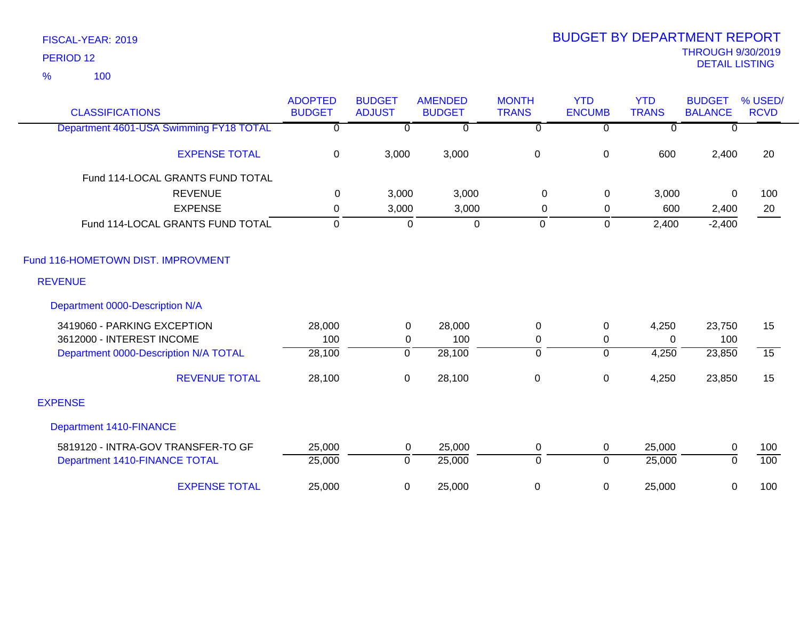100 %

| <b>CLASSIFICATIONS</b>                  | <b>ADOPTED</b><br><b>BUDGET</b> | <b>BUDGET</b><br><b>ADJUST</b> | <b>AMENDED</b><br><b>BUDGET</b> | <b>MONTH</b><br><b>TRANS</b> | <b>YTD</b><br><b>ENCUMB</b> | <b>YTD</b><br><b>TRANS</b> | <b>BUDGET</b><br><b>BALANCE</b> | % USED/<br><b>RCVD</b> |
|-----------------------------------------|---------------------------------|--------------------------------|---------------------------------|------------------------------|-----------------------------|----------------------------|---------------------------------|------------------------|
| Department 4601-USA Swimming FY18 TOTAL | $\overline{0}$                  | $\overline{0}$                 | $\overline{0}$                  | $\overline{0}$               | $\overline{0}$              | $\overline{0}$             | $\mathbf{0}$                    |                        |
| <b>EXPENSE TOTAL</b>                    | $\mathbf 0$                     | 3,000                          | 3,000                           | 0                            | $\pmb{0}$                   | 600                        | 2,400                           | 20                     |
| Fund 114-LOCAL GRANTS FUND TOTAL        |                                 |                                |                                 |                              |                             |                            |                                 |                        |
| <b>REVENUE</b>                          | 0                               | 3,000                          | 3,000                           | $\mathbf 0$                  | $\mathsf 0$                 | 3,000                      | $\mathbf 0$                     | 100                    |
| <b>EXPENSE</b>                          | $\mathbf 0$                     | 3,000                          | 3,000                           | 0                            | 0                           | 600                        | 2,400                           | 20                     |
| Fund 114-LOCAL GRANTS FUND TOTAL        | $\mathbf{0}$                    | 0                              | $\overline{0}$                  | 0                            | $\mathbf 0$                 | 2,400                      | $-2,400$                        |                        |
| Fund 116-HOMETOWN DIST. IMPROVMENT      |                                 |                                |                                 |                              |                             |                            |                                 |                        |
| <b>REVENUE</b>                          |                                 |                                |                                 |                              |                             |                            |                                 |                        |
| Department 0000-Description N/A         |                                 |                                |                                 |                              |                             |                            |                                 |                        |
| 3419060 - PARKING EXCEPTION             | 28,000                          | 0                              | 28,000                          | $\mathbf 0$                  | $\mathbf 0$                 | 4,250                      | 23,750                          | 15                     |
| 3612000 - INTEREST INCOME               | 100                             | $\mathbf 0$                    | 100                             | $\pmb{0}$                    | $\pmb{0}$                   | $\Omega$                   | 100                             |                        |
| Department 0000-Description N/A TOTAL   | 28,100                          | $\overline{0}$                 | 28,100                          | $\overline{0}$               | $\overline{0}$              | 4,250                      | 23,850                          | $\overline{15}$        |
| <b>REVENUE TOTAL</b>                    | 28,100                          | $\mathbf 0$                    | 28,100                          | $\boldsymbol{0}$             | $\mathbf 0$                 | 4,250                      | 23,850                          | 15                     |
| <b>EXPENSE</b>                          |                                 |                                |                                 |                              |                             |                            |                                 |                        |
| <b>Department 1410-FINANCE</b>          |                                 |                                |                                 |                              |                             |                            |                                 |                        |
| 5819120 - INTRA-GOV TRANSFER-TO GF      | 25,000                          | $\mathbf 0$                    | 25,000                          | 0                            | $\mathbf 0$                 | 25,000                     | 0                               | 100                    |
| Department 1410-FINANCE TOTAL           | 25,000                          | $\overline{0}$                 | 25,000                          | $\overline{0}$               | $\overline{0}$              | 25,000                     | $\Omega$                        | 100                    |
| <b>EXPENSE TOTAL</b>                    | 25,000                          | 0                              | 25,000                          | $\boldsymbol{0}$             | $\mathbf 0$                 | 25,000                     | 0                               | 100                    |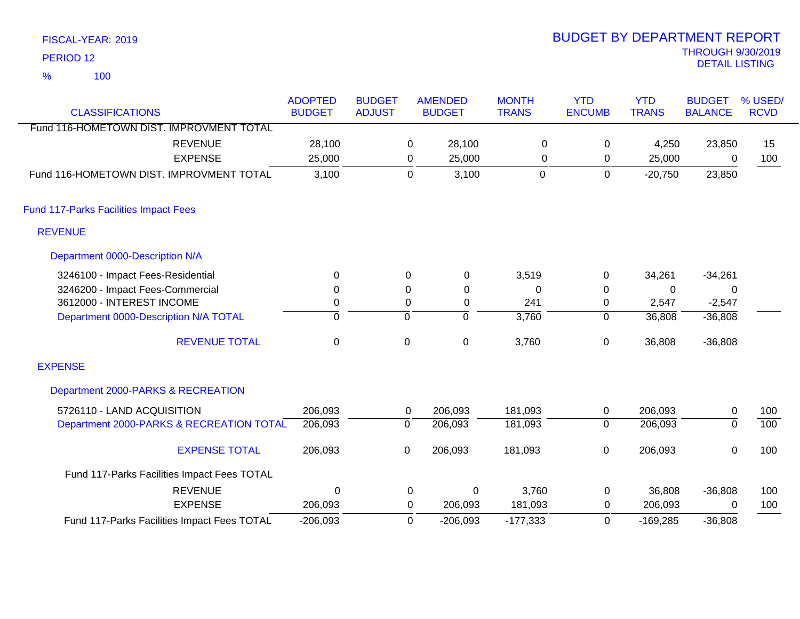| FISCAL-YEAR: 2019    | <b>BUDGET BY DEPARTMENT REPORT</b>         |
|----------------------|--------------------------------------------|
| PERIOD <sub>12</sub> | <b>THROUGH 9/30/2019</b><br>DETAIL LISTING |
| 100<br>$\frac{1}{2}$ |                                            |

# BUDGET BY DEPARTMENT REPORT

|                                              | <b>ADOPTED</b> | <b>BUDGET</b> |                  | <b>AMENDED</b> | <b>MONTH</b> | <b>YTD</b>     | <b>YTD</b>   | <b>BUDGET</b>  | % USED/     |
|----------------------------------------------|----------------|---------------|------------------|----------------|--------------|----------------|--------------|----------------|-------------|
| <b>CLASSIFICATIONS</b>                       | <b>BUDGET</b>  | <b>ADJUST</b> |                  | <b>BUDGET</b>  | <b>TRANS</b> | <b>ENCUMB</b>  | <b>TRANS</b> | <b>BALANCE</b> | <b>RCVD</b> |
| Fund 116-HOMETOWN DIST. IMPROVMENT TOTAL     |                |               |                  |                |              |                |              |                |             |
| <b>REVENUE</b>                               | 28,100         |               | 0                | 28,100         | $\mathbf 0$  | 0              | 4,250        | 23,850         | 15          |
| <b>EXPENSE</b>                               | 25,000         |               | 0                | 25,000         | 0            | 0              | 25,000       | 0              | 100         |
| Fund 116-HOMETOWN DIST. IMPROVMENT TOTAL     | 3,100          |               | $\mathbf 0$      | 3,100          | $\mathbf 0$  | $\mathbf 0$    | $-20,750$    | 23,850         |             |
| <b>Fund 117-Parks Facilities Impact Fees</b> |                |               |                  |                |              |                |              |                |             |
| <b>REVENUE</b>                               |                |               |                  |                |              |                |              |                |             |
| Department 0000-Description N/A              |                |               |                  |                |              |                |              |                |             |
| 3246100 - Impact Fees-Residential            | 0              |               | 0                | 0              | 3,519        | 0              | 34,261       | $-34,261$      |             |
| 3246200 - Impact Fees-Commercial             | $\mathbf 0$    |               | $\boldsymbol{0}$ | $\mathbf 0$    | 0            | $\pmb{0}$      | $\mathbf 0$  | 0              |             |
| 3612000 - INTEREST INCOME                    | $\mathbf 0$    |               | 0                | $\mathbf 0$    | 241          | 0              | 2,547        | $-2,547$       |             |
| Department 0000-Description N/A TOTAL        | $\mathbf 0$    |               | $\mathbf 0$      | $\Omega$       | 3,760        | $\mathbf 0$    | 36,808       | $-36,808$      |             |
| <b>REVENUE TOTAL</b>                         | $\pmb{0}$      |               | $\mathsf 0$      | $\mathbf 0$    | 3,760        | $\pmb{0}$      | 36,808       | $-36,808$      |             |
| <b>EXPENSE</b>                               |                |               |                  |                |              |                |              |                |             |
| Department 2000-PARKS & RECREATION           |                |               |                  |                |              |                |              |                |             |
| 5726110 - LAND ACQUISITION                   | 206,093        |               | 0                | 206,093        | 181,093      | 0              | 206,093      | $\pmb{0}$      | 100         |
| Department 2000-PARKS & RECREATION TOTAL     | 206,093        |               | $\overline{0}$   | 206,093        | 181,093      | $\overline{0}$ | 206,093      | $\overline{0}$ | 100         |
| <b>EXPENSE TOTAL</b>                         | 206,093        |               | 0                | 206,093        | 181,093      | $\mathbf 0$    | 206,093      | $\mathbf 0$    | 100         |
| Fund 117-Parks Facilities Impact Fees TOTAL  |                |               |                  |                |              |                |              |                |             |
| <b>REVENUE</b>                               | 0              |               | 0                | 0              | 3,760        | $\mathbf 0$    | 36,808       | $-36,808$      | 100         |
| <b>EXPENSE</b>                               | 206,093        |               | 0                | 206,093        | 181,093      | 0              | 206,093      | 0              | 100         |
| Fund 117-Parks Facilities Impact Fees TOTAL  | $-206,093$     |               | 0                | $-206,093$     | $-177,333$   | 0              | $-169,285$   | $-36,808$      |             |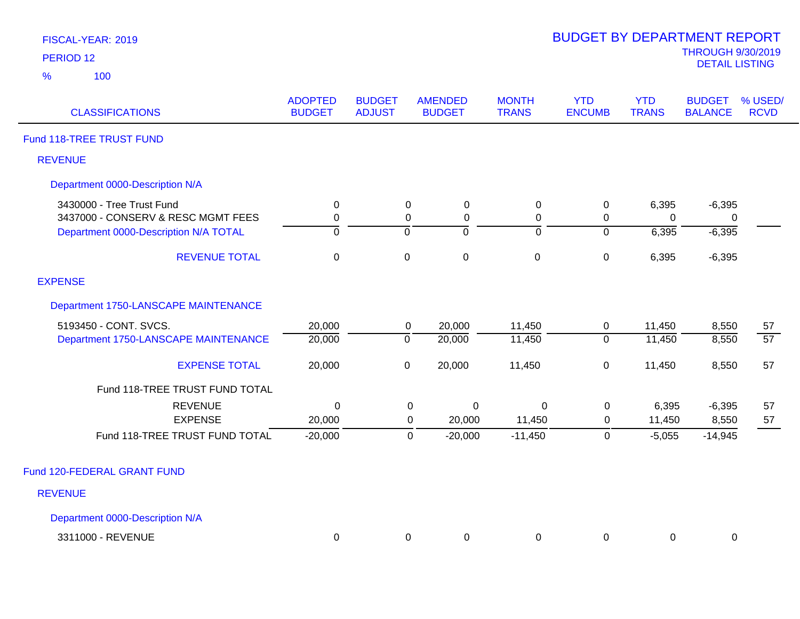| FISCAL-YEAR: 201 |  |
|------------------|--|
|                  |  |

| <b>CLASSIFICATIONS</b>                | <b>ADOPTED</b><br><b>BUDGET</b> | <b>BUDGET</b><br><b>ADJUST</b> | <b>AMENDED</b><br><b>BUDGET</b> | <b>MONTH</b><br><b>TRANS</b> | <b>YTD</b><br><b>ENCUMB</b> | <b>YTD</b><br><b>TRANS</b> | <b>BUDGET</b><br><b>BALANCE</b> | % USED/<br><b>RCVD</b> |
|---------------------------------------|---------------------------------|--------------------------------|---------------------------------|------------------------------|-----------------------------|----------------------------|---------------------------------|------------------------|
| Fund 118-TREE TRUST FUND              |                                 |                                |                                 |                              |                             |                            |                                 |                        |
| <b>REVENUE</b>                        |                                 |                                |                                 |                              |                             |                            |                                 |                        |
| Department 0000-Description N/A       |                                 |                                |                                 |                              |                             |                            |                                 |                        |
| 3430000 - Tree Trust Fund             | $\mathbf 0$                     | $\mathbf 0$                    | 0                               | 0                            | 0                           | 6,395                      | $-6,395$                        |                        |
| 3437000 - CONSERV & RESC MGMT FEES    | $\mathbf 0$                     | $\mathbf 0$                    | $\mathbf 0$                     | $\mathbf 0$                  | $\mathbf 0$                 | 0                          | 0                               |                        |
| Department 0000-Description N/A TOTAL | 0                               | 0                              | $\overline{0}$                  | ō                            | $\overline{0}$              | 6,395                      | $-6,395$                        |                        |
| <b>REVENUE TOTAL</b>                  | $\mathbf{0}$                    | $\mathbf 0$                    | $\mathbf 0$                     | $\mathbf 0$                  | $\mathbf 0$                 | 6,395                      | $-6,395$                        |                        |
| <b>EXPENSE</b>                        |                                 |                                |                                 |                              |                             |                            |                                 |                        |
| Department 1750-LANSCAPE MAINTENANCE  |                                 |                                |                                 |                              |                             |                            |                                 |                        |
| 5193450 - CONT. SVCS.                 | 20,000                          |                                | 20,000<br>0                     | 11,450                       | $\mathbf 0$                 | 11,450                     | 8,550                           | 57                     |
| Department 1750-LANSCAPE MAINTENANCE  | 20,000                          | $\overline{0}$                 | 20,000                          | 11,450                       | $\mathbf 0$                 | 11,450                     | 8,550                           | 57                     |
| <b>EXPENSE TOTAL</b>                  | 20,000                          | $\pmb{0}$                      | 20,000                          | 11,450                       | $\pmb{0}$                   | 11,450                     | 8,550                           | 57                     |
| Fund 118-TREE TRUST FUND TOTAL        |                                 |                                |                                 |                              |                             |                            |                                 |                        |
| <b>REVENUE</b>                        | 0                               |                                | $\pmb{0}$<br>$\pmb{0}$          | $\mathbf 0$                  | 0                           | 6,395                      | $-6,395$                        | 57                     |
| <b>EXPENSE</b>                        | 20,000                          |                                | $\mathbf 0$<br>20,000           | 11,450                       | 0                           | 11,450                     | 8,550                           | 57                     |
| Fund 118-TREE TRUST FUND TOTAL        | $-20,000$                       |                                | $-20,000$<br>$\mathbf 0$        | $-11,450$                    | $\pmb{0}$                   | $-5,055$                   | $-14,945$                       |                        |
| Fund 120-FEDERAL GRANT FUND           |                                 |                                |                                 |                              |                             |                            |                                 |                        |
| <b>REVENUE</b>                        |                                 |                                |                                 |                              |                             |                            |                                 |                        |
| Department 0000-Description N/A       |                                 |                                |                                 |                              |                             |                            |                                 |                        |
| 3311000 - REVENUE                     | $\mathbf 0$                     |                                | $\mathbf 0$<br>0                | $\mathbf 0$                  | $\mathbf 0$                 | 0                          | $\pmb{0}$                       |                        |
|                                       |                                 |                                |                                 |                              |                             |                            |                                 |                        |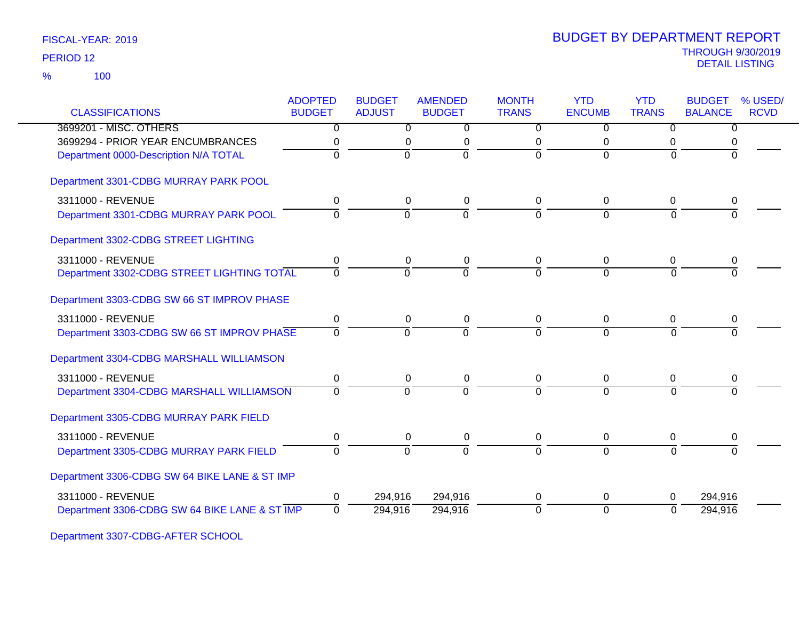100 %

| <b>CLASSIFICATIONS</b>                        | <b>ADOPTED</b><br><b>BUDGET</b> | <b>BUDGET</b><br><b>ADJUST</b> | <b>AMENDED</b><br><b>BUDGET</b> | <b>MONTH</b><br><b>TRANS</b> | <b>YTD</b><br><b>ENCUMB</b> | <b>YTD</b><br><b>TRANS</b> | <b>BUDGET</b><br><b>BALANCE</b> | % USED/<br><b>RCVD</b> |
|-----------------------------------------------|---------------------------------|--------------------------------|---------------------------------|------------------------------|-----------------------------|----------------------------|---------------------------------|------------------------|
|                                               |                                 |                                |                                 |                              |                             |                            |                                 |                        |
| 3699201 - MISC. OTHERS                        | 0                               | 0                              | 0                               | 0                            | $\Omega$                    | $\Omega$                   | $\overline{0}$                  |                        |
| 3699294 - PRIOR YEAR ENCUMBRANCES             | 0                               | 0                              | $\pmb{0}$                       | 0                            | 0                           | 0                          | 0                               |                        |
| Department 0000-Description N/A TOTAL         | $\Omega$                        | $\overline{0}$                 | $\overline{0}$                  | $\Omega$                     | $\Omega$                    | $\Omega$                   | $\Omega$                        |                        |
| Department 3301-CDBG MURRAY PARK POOL         |                                 |                                |                                 |                              |                             |                            |                                 |                        |
| 3311000 - REVENUE                             | 0                               | 0                              | $\mathbf 0$                     | $\mathbf 0$                  | $\mathbf 0$                 | 0                          | 0                               |                        |
| Department 3301-CDBG MURRAY PARK POOL         | $\Omega$                        | $\Omega$                       | $\Omega$                        | $\Omega$                     | $\Omega$                    | $\Omega$                   | <sup>0</sup>                    |                        |
| Department 3302-CDBG STREET LIGHTING          |                                 |                                |                                 |                              |                             |                            |                                 |                        |
| 3311000 - REVENUE                             | 0                               | 0                              | $\mathbf 0$                     | 0                            | 0                           | 0                          | 0                               |                        |
| Department 3302-CDBG STREET LIGHTING TOTAL    | $\Omega$                        | $\Omega$                       | $\Omega$                        | $\Omega$                     | $\overline{0}$              | $\Omega$                   |                                 |                        |
| Department 3303-CDBG SW 66 ST IMPROV PHASE    |                                 |                                |                                 |                              |                             |                            |                                 |                        |
| 3311000 - REVENUE                             | 0                               | 0                              | 0                               | $\Omega$                     | 0                           | 0                          | 0                               |                        |
| Department 3303-CDBG SW 66 ST IMPROV PHASE    | $\overline{0}$                  | $\overline{0}$                 | $\overline{0}$                  | $\Omega$                     | $\mathbf 0$                 | $\Omega$                   | $\Omega$                        |                        |
| Department 3304-CDBG MARSHALL WILLIAMSON      |                                 |                                |                                 |                              |                             |                            |                                 |                        |
| 3311000 - REVENUE                             | 0                               | 0                              | 0                               | 0                            | $\mathbf 0$                 | 0                          | 0                               |                        |
| Department 3304-CDBG MARSHALL WILLIAMSON      | $\Omega$                        | $\Omega$                       | $\Omega$                        | $\overline{0}$               | $\Omega$                    | $\Omega$                   | $\Omega$                        |                        |
| Department 3305-CDBG MURRAY PARK FIELD        |                                 |                                |                                 |                              |                             |                            |                                 |                        |
| 3311000 - REVENUE                             | 0                               | $\mathbf 0$                    | $\pmb{0}$                       | 0                            | $\mathbf 0$                 | 0                          | 0                               |                        |
| Department 3305-CDBG MURRAY PARK FIELD        | $\Omega$                        | $\Omega$                       | $\Omega$                        | $\Omega$                     | $\overline{0}$              | $\Omega$                   |                                 |                        |
| Department 3306-CDBG SW 64 BIKE LANE & ST IMP |                                 |                                |                                 |                              |                             |                            |                                 |                        |
| 3311000 - REVENUE                             | 0                               | 294,916                        | 294,916                         | 0                            | $\mathbf 0$                 | 0                          | 294,916                         |                        |
| Department 3306-CDBG SW 64 BIKE LANE & ST IMP | $\mathbf 0$                     | 294,916                        | 294,916                         | $\Omega$                     | $\mathbf 0$                 | $\Omega$                   | 294,916                         |                        |
|                                               |                                 |                                |                                 |                              |                             |                            |                                 |                        |

Department 3307-CDBG-AFTER SCHOOL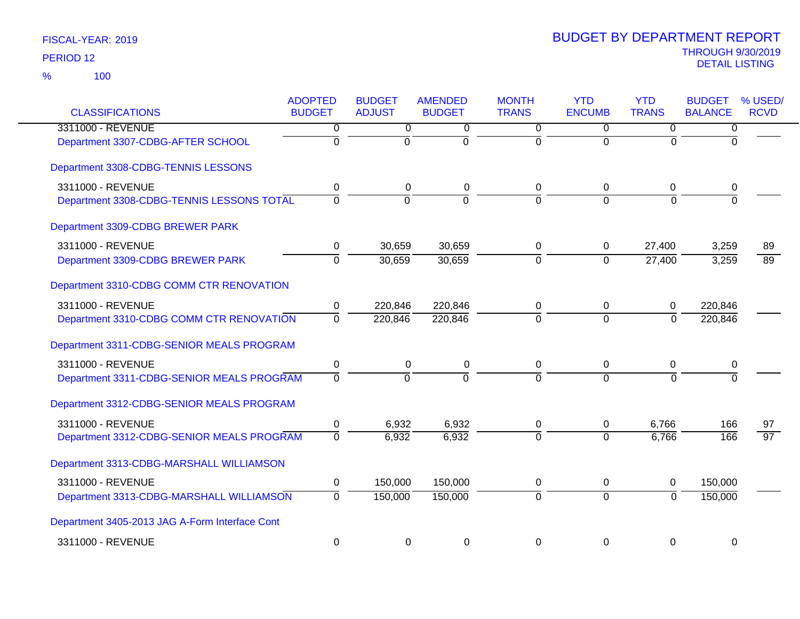| <b>CLASSIFICATIONS</b>                         | <b>ADOPTED</b><br><b>BUDGET</b> | <b>BUDGET</b><br><b>ADJUST</b> | <b>AMENDED</b><br><b>BUDGET</b> | <b>MONTH</b><br><b>TRANS</b> | <b>YTD</b><br><b>ENCUMB</b> | <b>YTD</b><br><b>TRANS</b> | <b>BUDGET</b><br><b>BALANCE</b> | % USED/<br><b>RCVD</b> |
|------------------------------------------------|---------------------------------|--------------------------------|---------------------------------|------------------------------|-----------------------------|----------------------------|---------------------------------|------------------------|
| 3311000 - REVENUE                              | 0                               | 0                              | 0                               | 0                            | $\overline{0}$              | 0                          | 0                               |                        |
| Department 3307-CDBG-AFTER SCHOOL              | $\overline{0}$                  | $\mathbf 0$                    | $\overline{0}$                  | $\mathbf 0$                  | $\overline{0}$              | $\Omega$                   | $\Omega$                        |                        |
| Department 3308-CDBG-TENNIS LESSONS            |                                 |                                |                                 |                              |                             |                            |                                 |                        |
| 3311000 - REVENUE                              | 0                               | 0                              | 0                               | 0                            | 0                           | 0                          | 0                               |                        |
| Department 3308-CDBG-TENNIS LESSONS TOTAL      | $\overline{0}$                  | $\overline{0}$                 | $\overline{0}$                  | $\overline{0}$               | $\overline{0}$              | $\overline{0}$             | ō                               |                        |
| Department 3309-CDBG BREWER PARK               |                                 |                                |                                 |                              |                             |                            |                                 |                        |
| 3311000 - REVENUE                              | 0                               | 30,659                         | 30,659                          | 0                            | 0                           | 27,400                     | 3,259                           | 89                     |
| Department 3309-CDBG BREWER PARK               | $\overline{0}$                  | 30,659                         | 30,659                          | ō                            | $\overline{0}$              | 27,400                     | 3,259                           | $\overline{89}$        |
| Department 3310-CDBG COMM CTR RENOVATION       |                                 |                                |                                 |                              |                             |                            |                                 |                        |
| 3311000 - REVENUE                              | 0                               | 220,846                        | 220,846                         | 0                            | 0                           | 0                          | 220,846                         |                        |
| Department 3310-CDBG COMM CTR RENOVATION       | $\overline{0}$                  | 220,846                        | 220,846                         | $\overline{0}$               | $\overline{0}$              | $\mathbf 0$                | 220,846                         |                        |
| Department 3311-CDBG-SENIOR MEALS PROGRAM      |                                 |                                |                                 |                              |                             |                            |                                 |                        |
| 3311000 - REVENUE                              | $\pmb{0}$                       | $\pmb{0}$                      | 0                               | $\mathbf 0$                  | 0                           | $\pmb{0}$                  | 0                               |                        |
| Department 3311-CDBG-SENIOR MEALS PROGRAM      | $\overline{0}$                  | $\overline{0}$                 | $\overline{0}$                  | $\overline{0}$               | $\overline{0}$              | $\Omega$                   | $\Omega$                        |                        |
| Department 3312-CDBG-SENIOR MEALS PROGRAM      |                                 |                                |                                 |                              |                             |                            |                                 |                        |
| 3311000 - REVENUE                              | $\pmb{0}$                       | 6,932                          | 6,932                           | 0                            | 0                           | 6,766                      | 166                             | 97                     |
| Department 3312-CDBG-SENIOR MEALS PROGRAM      | 0                               | 6,932                          | 6,932                           | 0                            | $\overline{0}$              | 6,766                      | 166                             | $\overline{97}$        |
| Department 3313-CDBG-MARSHALL WILLIAMSON       |                                 |                                |                                 |                              |                             |                            |                                 |                        |
| 3311000 - REVENUE                              | $\pmb{0}$                       | 150,000                        | 150,000                         | 0                            | 0                           | 0                          | 150,000                         |                        |
| Department 3313-CDBG-MARSHALL WILLIAMSON       | $\overline{0}$                  | 150,000                        | 150,000                         | $\overline{0}$               | $\overline{0}$              | $\overline{0}$             | 150,000                         |                        |
| Department 3405-2013 JAG A-Form Interface Cont |                                 |                                |                                 |                              |                             |                            |                                 |                        |
| 3311000 - REVENUE                              | $\mathbf 0$                     | $\mathbf 0$                    | $\mathbf 0$                     | $\mathbf 0$                  | $\mathbf 0$                 | $\mathbf 0$                | $\mathbf 0$                     |                        |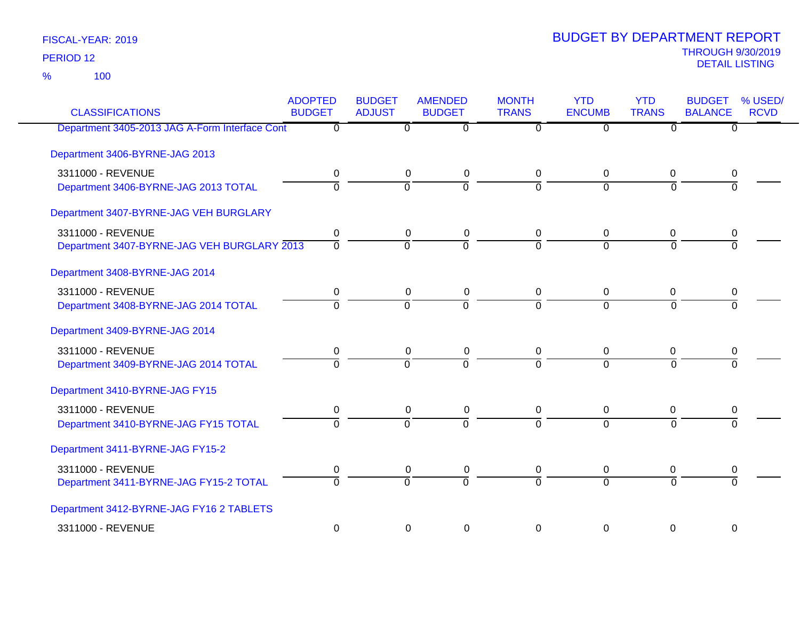100 %

| <b>CLASSIFICATIONS</b>                         | <b>ADOPTED</b><br><b>BUDGET</b> | <b>BUDGET</b><br><b>ADJUST</b> | <b>AMENDED</b><br><b>BUDGET</b> | <b>MONTH</b><br><b>TRANS</b> | <b>YTD</b><br><b>ENCUMB</b> | <b>YTD</b><br><b>TRANS</b> | <b>BUDGET</b><br><b>BALANCE</b> | % USED/<br><b>RCVD</b> |
|------------------------------------------------|---------------------------------|--------------------------------|---------------------------------|------------------------------|-----------------------------|----------------------------|---------------------------------|------------------------|
| Department 3405-2013 JAG A-Form Interface Cont | $\overline{0}$                  | 0                              | $\overline{0}$                  | $\overline{0}$               | $\Omega$                    | $\overline{0}$             | 0                               |                        |
| Department 3406-BYRNE-JAG 2013                 |                                 |                                |                                 |                              |                             |                            |                                 |                        |
| 3311000 - REVENUE                              | 0                               | 0                              | 0                               | 0                            | 0                           | $\mathbf 0$                | 0                               |                        |
| Department 3406-BYRNE-JAG 2013 TOTAL           | $\overline{0}$                  | $\overline{0}$                 | ō                               | $\overline{0}$               | $\mathbf 0$                 | $\overline{0}$             | $\Omega$                        |                        |
| Department 3407-BYRNE-JAG VEH BURGLARY         |                                 |                                |                                 |                              |                             |                            |                                 |                        |
| 3311000 - REVENUE                              | 0                               | 0                              | $\pmb{0}$                       | $\mathbf 0$                  | 0                           | 0                          | 0                               |                        |
| Department 3407-BYRNE-JAG VEH BURGLARY 2013    | ᅙ                               | ō                              | $\overline{0}$                  | $\overline{0}$               | $\overline{0}$              | $\Omega$                   | $\overline{0}$                  |                        |
| Department 3408-BYRNE-JAG 2014                 |                                 |                                |                                 |                              |                             |                            |                                 |                        |
| 3311000 - REVENUE                              | 0                               | 0                              | 0                               | 0                            | 0                           | 0                          | 0                               |                        |
| Department 3408-BYRNE-JAG 2014 TOTAL           | $\overline{0}$                  | $\overline{0}$                 | $\overline{0}$                  | $\Omega$                     | $\Omega$                    | $\Omega$                   | $\Omega$                        |                        |
| Department 3409-BYRNE-JAG 2014                 |                                 |                                |                                 |                              |                             |                            |                                 |                        |
| 3311000 - REVENUE                              | 0                               | 0                              | 0                               | 0                            | 0                           | 0                          | 0                               |                        |
| Department 3409-BYRNE-JAG 2014 TOTAL           | $\overline{0}$                  | $\overline{0}$                 | $\overline{0}$                  | $\overline{0}$               | $\overline{0}$              | $\Omega$                   | $\overline{0}$                  |                        |
| Department 3410-BYRNE-JAG FY15                 |                                 |                                |                                 |                              |                             |                            |                                 |                        |
| 3311000 - REVENUE                              | 0                               | $\mathbf 0$                    | $\pmb{0}$                       | $\mathbf 0$                  | $\mathbf 0$                 | 0                          | 0                               |                        |
| Department 3410-BYRNE-JAG FY15 TOTAL           | $\overline{0}$                  | $\overline{0}$                 | $\overline{0}$                  | $\overline{0}$               | $\overline{0}$              | $\overline{0}$             | $\Omega$                        |                        |
| Department 3411-BYRNE-JAG FY15-2               |                                 |                                |                                 |                              |                             |                            |                                 |                        |
| 3311000 - REVENUE                              | 0                               | 0                              | 0                               | 0                            | 0                           | 0                          | 0                               |                        |
| Department 3411-BYRNE-JAG FY15-2 TOTAL         | $\overline{0}$                  | ō                              | $\overline{0}$                  | $\overline{0}$               | $\overline{0}$              | $\overline{0}$             | $\overline{0}$                  |                        |
| Department 3412-BYRNE-JAG FY16 2 TABLETS       |                                 |                                |                                 |                              |                             |                            |                                 |                        |
| 3311000 - REVENUE                              | $\pmb{0}$                       | 0                              | $\pmb{0}$                       | $\mathbf 0$                  | 0                           | 0                          | 0                               |                        |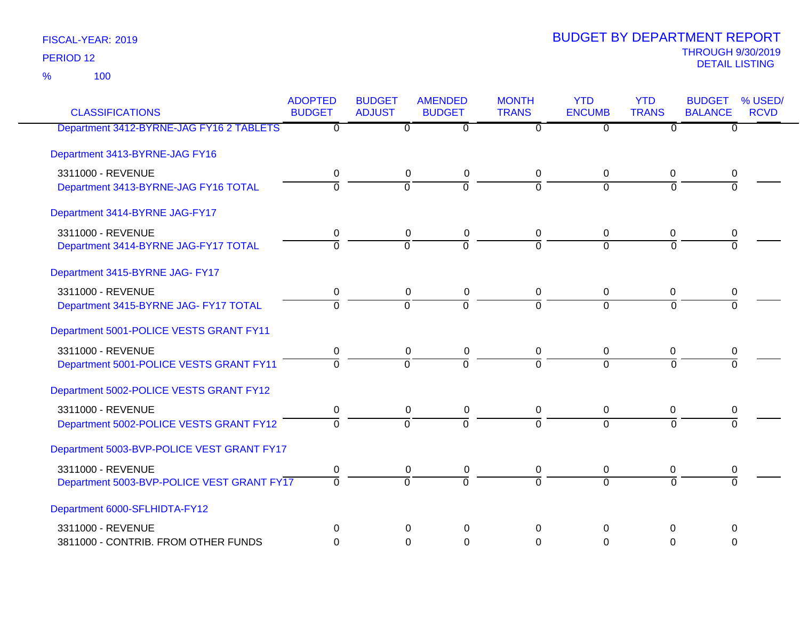100 %

| <b>CLASSIFICATIONS</b>                     | <b>ADOPTED</b><br><b>BUDGET</b> | <b>BUDGET</b><br><b>ADJUST</b> | <b>AMENDED</b><br><b>BUDGET</b> | <b>MONTH</b><br><b>TRANS</b> | <b>YTD</b><br><b>ENCUMB</b> | <b>YTD</b><br><b>TRANS</b> | <b>BUDGET</b><br><b>BALANCE</b> | % USED/<br><b>RCVD</b> |
|--------------------------------------------|---------------------------------|--------------------------------|---------------------------------|------------------------------|-----------------------------|----------------------------|---------------------------------|------------------------|
| Department 3412-BYRNE-JAG FY16 2 TABLETS   | $\overline{0}$                  | $\overline{0}$                 | $\overline{0}$                  | $\overline{0}$               | $\overline{0}$              | $\overline{0}$             | $\overline{0}$                  |                        |
| Department 3413-BYRNE-JAG FY16             |                                 |                                |                                 |                              |                             |                            |                                 |                        |
| 3311000 - REVENUE                          | 0                               | 0                              | $\pmb{0}$                       | $\mathbf 0$                  | 0                           | 0                          | 0                               |                        |
| Department 3413-BYRNE-JAG FY16 TOTAL       | $\overline{0}$                  | $\overline{0}$                 | $\overline{0}$                  | $\Omega$                     | $\Omega$                    | $\Omega$                   | $\overline{0}$                  |                        |
| Department 3414-BYRNE JAG-FY17             |                                 |                                |                                 |                              |                             |                            |                                 |                        |
| 3311000 - REVENUE                          | 0                               | $\mathbf 0$                    | $\pmb{0}$                       | 0                            | 0                           | 0                          | 0                               |                        |
| Department 3414-BYRNE JAG-FY17 TOTAL       | $\Omega$                        | $\Omega$                       | $\Omega$                        | $\Omega$                     | $\Omega$                    | $\Omega$                   | $\Omega$                        |                        |
| Department 3415-BYRNE JAG- FY17            |                                 |                                |                                 |                              |                             |                            |                                 |                        |
| 3311000 - REVENUE                          | $\mathbf 0$                     | $\mathbf 0$                    | $\pmb{0}$                       | $\mathbf 0$                  | 0                           | 0                          | 0                               |                        |
| Department 3415-BYRNE JAG- FY17 TOTAL      | $\Omega$                        | $\Omega$                       | $\overline{0}$                  | $\Omega$                     | $\Omega$                    | $\Omega$                   | $\Omega$                        |                        |
| Department 5001-POLICE VESTS GRANT FY11    |                                 |                                |                                 |                              |                             |                            |                                 |                        |
| 3311000 - REVENUE                          | 0                               | 0                              | 0                               | 0                            | 0                           | 0                          | 0                               |                        |
| Department 5001-POLICE VESTS GRANT FY11    | $\overline{0}$                  | $\overline{0}$                 | $\overline{0}$                  | $\Omega$                     | $\overline{0}$              | $\overline{0}$             | $\overline{0}$                  |                        |
| Department 5002-POLICE VESTS GRANT FY12    |                                 |                                |                                 |                              |                             |                            |                                 |                        |
| 3311000 - REVENUE                          | $\mathbf 0$                     | $\mathbf 0$                    | $\pmb{0}$                       | $\mathbf 0$                  | 0                           | 0                          | 0                               |                        |
| Department 5002-POLICE VESTS GRANT FY12    | $\overline{0}$                  | $\overline{0}$                 | $\overline{0}$                  | $\Omega$                     | $\overline{0}$              | $\Omega$                   | $\Omega$                        |                        |
| Department 5003-BVP-POLICE VEST GRANT FY17 |                                 |                                |                                 |                              |                             |                            |                                 |                        |
| 3311000 - REVENUE                          | 0                               | 0                              | 0                               | 0                            | 0                           | 0                          | 0                               |                        |
| Department 5003-BVP-POLICE VEST GRANT FY17 | $\overline{0}$                  | $\Omega$                       | $\overline{0}$                  | $\Omega$                     | $\Omega$                    | $\Omega$                   | $\Omega$                        |                        |
| Department 6000-SFLHIDTA-FY12              |                                 |                                |                                 |                              |                             |                            |                                 |                        |
| 3311000 - REVENUE                          | $\Omega$                        | 0                              | $\Omega$                        | $\Omega$                     | 0                           | $\Omega$                   | 0                               |                        |
| 3811000 - CONTRIB. FROM OTHER FUNDS        | $\Omega$                        | $\Omega$                       | $\mathbf 0$                     | $\Omega$                     | $\Omega$                    | $\Omega$                   | $\Omega$                        |                        |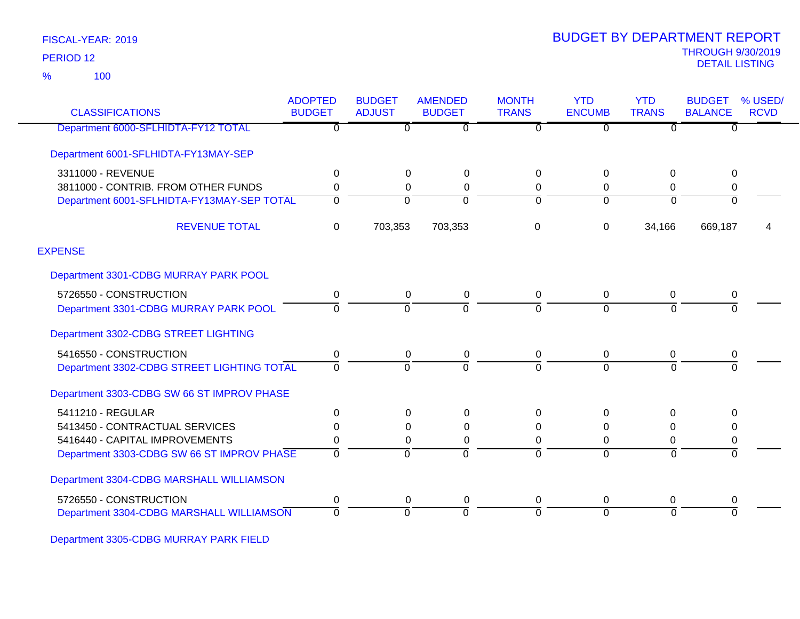100 %

| <b>CLASSIFICATIONS</b>                     | <b>ADOPTED</b><br><b>BUDGET</b> | <b>BUDGET</b><br><b>ADJUST</b> | <b>AMENDED</b><br><b>BUDGET</b> | <b>MONTH</b><br><b>TRANS</b> | <b>YTD</b><br><b>ENCUMB</b> | <b>YTD</b><br><b>TRANS</b> | <b>BUDGET</b><br><b>BALANCE</b> | % USED/<br><b>RCVD</b> |
|--------------------------------------------|---------------------------------|--------------------------------|---------------------------------|------------------------------|-----------------------------|----------------------------|---------------------------------|------------------------|
| Department 6000-SFLHIDTA-FY12 TOTAL        | $\overline{0}$                  | 0                              | $\overline{0}$                  | $\overline{0}$               | $\overline{0}$              | $\Omega$                   | $\overline{0}$                  |                        |
| Department 6001-SFLHIDTA-FY13MAY-SEP       |                                 |                                |                                 |                              |                             |                            |                                 |                        |
| 3311000 - REVENUE                          | 0                               | $\mathbf 0$                    | 0                               | 0                            | 0                           | $\mathbf 0$                | 0                               |                        |
| 3811000 - CONTRIB. FROM OTHER FUNDS        | 0                               | 0                              | $\Omega$                        | 0                            | $\mathbf 0$                 | $\mathbf 0$                | 0                               |                        |
| Department 6001-SFLHIDTA-FY13MAY-SEP TOTAL | $\Omega$                        | $\Omega$                       | $\Omega$                        | $\Omega$                     | $\Omega$                    | $\Omega$                   | $\Omega$                        |                        |
| <b>REVENUE TOTAL</b>                       | $\Omega$                        | 703,353                        | 703,353                         | 0                            | $\Omega$                    | 34,166                     | 669,187                         | 4                      |
| <b>EXPENSE</b>                             |                                 |                                |                                 |                              |                             |                            |                                 |                        |
| Department 3301-CDBG MURRAY PARK POOL      |                                 |                                |                                 |                              |                             |                            |                                 |                        |
| 5726550 - CONSTRUCTION                     | 0                               | 0                              | 0                               | 0                            | $\mathbf 0$                 | 0                          | 0                               |                        |
| Department 3301-CDBG MURRAY PARK POOL      | $\Omega$                        | 0                              | $\Omega$                        | 0                            | $\Omega$                    | $\Omega$                   | $\Omega$                        |                        |
| Department 3302-CDBG STREET LIGHTING       |                                 |                                |                                 |                              |                             |                            |                                 |                        |
| 5416550 - CONSTRUCTION                     | 0                               | 0                              | 0                               | 0                            | $\Omega$                    | $\mathbf 0$                | 0                               |                        |
| Department 3302-CDBG STREET LIGHTING TOTAL | $\mathbf{0}$                    | $\Omega$                       | $\Omega$                        | ō                            | $\Omega$                    | $\Omega$                   | $\overline{0}$                  |                        |
| Department 3303-CDBG SW 66 ST IMPROV PHASE |                                 |                                |                                 |                              |                             |                            |                                 |                        |
| 5411210 - REGULAR                          | 0                               | 0                              | $\Omega$                        | 0                            | $\Omega$                    | 0                          | 0                               |                        |
| 5413450 - CONTRACTUAL SERVICES             | 0                               | 0                              | 0                               | 0                            | 0                           | $\mathbf 0$                | 0                               |                        |
| 5416440 - CAPITAL IMPROVEMENTS             | 0                               | $\mathbf 0$                    | $\Omega$                        | 0                            | 0                           | $\mathbf 0$                | 0                               |                        |
| Department 3303-CDBG SW 66 ST IMPROV PHASE | $\Omega$                        | $\Omega$                       | $\Omega$                        | $\Omega$                     | $\Omega$                    | $\Omega$                   | $\overline{0}$                  |                        |
| Department 3304-CDBG MARSHALL WILLIAMSON   |                                 |                                |                                 |                              |                             |                            |                                 |                        |
| 5726550 - CONSTRUCTION                     | 0                               | 0                              | 0                               | 0                            | $\mathbf 0$                 | $\mathbf 0$                | 0                               |                        |
| Department 3304-CDBG MARSHALL WILLIAMSON   | $\Omega$                        | $\Omega$                       | $\Omega$                        | $\Omega$                     | $\Omega$                    | $\Omega$                   | $\Omega$                        |                        |

Department 3305-CDBG MURRAY PARK FIELD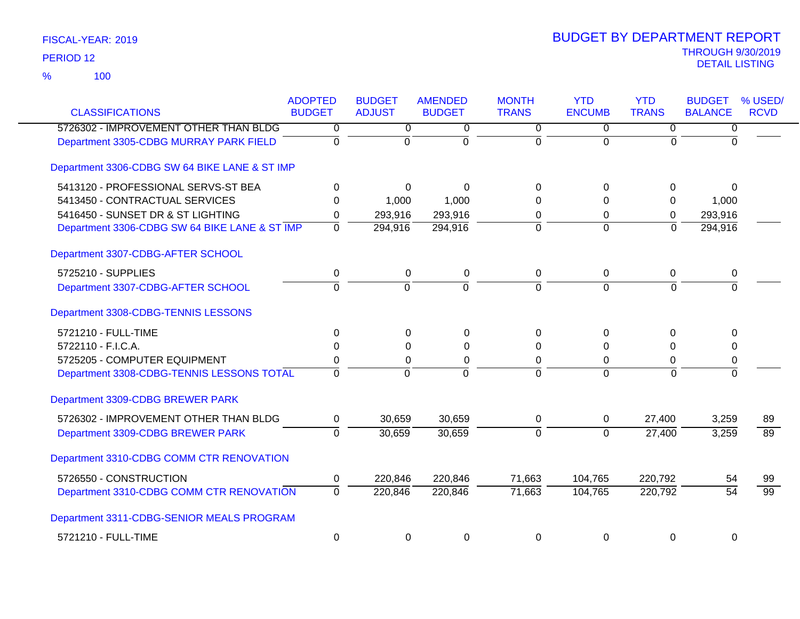| <b>CLASSIFICATIONS</b>                        | <b>ADOPTED</b><br><b>BUDGET</b> | <b>BUDGET</b><br><b>ADJUST</b> | <b>AMENDED</b><br><b>BUDGET</b> | <b>MONTH</b><br><b>TRANS</b> | <b>YTD</b><br><b>ENCUMB</b> | <b>YTD</b><br><b>TRANS</b> | <b>BUDGET</b><br><b>BALANCE</b> | % USED/<br><b>RCVD</b> |
|-----------------------------------------------|---------------------------------|--------------------------------|---------------------------------|------------------------------|-----------------------------|----------------------------|---------------------------------|------------------------|
| 5726302 - IMPROVEMENT OTHER THAN BLDG         | 0                               | 0                              | 0                               | 0                            | 0                           | 0                          | $\overline{0}$                  |                        |
| Department 3305-CDBG MURRAY PARK FIELD        | $\mathbf 0$                     | $\mathbf 0$                    | $\mathbf 0$                     | $\mathbf 0$                  | $\Omega$                    | $\overline{0}$             | $\Omega$                        |                        |
| Department 3306-CDBG SW 64 BIKE LANE & ST IMP |                                 |                                |                                 |                              |                             |                            |                                 |                        |
| 5413120 - PROFESSIONAL SERVS-ST BEA           | 0                               | $\Omega$                       | $\Omega$                        | $\Omega$                     | $\Omega$                    | 0                          | $\mathbf 0$                     |                        |
| 5413450 - CONTRACTUAL SERVICES                | $\Omega$                        | 1,000                          | 1,000                           | $\Omega$                     | $\Omega$                    | 0                          | 1,000                           |                        |
| 5416450 - SUNSET DR & ST LIGHTING             | 0                               | 293,916                        | 293,916                         | 0                            | 0                           | 0                          | 293,916                         |                        |
| Department 3306-CDBG SW 64 BIKE LANE & ST IMP | $\mathbf 0$                     | 294,916                        | 294,916                         | $\Omega$                     | $\Omega$                    | $\overline{0}$             | 294,916                         |                        |
| Department 3307-CDBG-AFTER SCHOOL             |                                 |                                |                                 |                              |                             |                            |                                 |                        |
| 5725210 - SUPPLIES                            | 0                               | $\mathbf 0$                    | $\pmb{0}$                       | 0                            | $\mathbf 0$                 | 0                          | 0                               |                        |
| Department 3307-CDBG-AFTER SCHOOL             | $\overline{0}$                  | $\overline{0}$                 | $\overline{0}$                  | $\overline{0}$               | $\overline{0}$              | $\overline{0}$             | $\overline{0}$                  |                        |
| Department 3308-CDBG-TENNIS LESSONS           |                                 |                                |                                 |                              |                             |                            |                                 |                        |
| 5721210 - FULL-TIME                           | $\Omega$                        | $\Omega$                       | 0                               | $\Omega$                     | $\Omega$                    | $\Omega$                   | $\Omega$                        |                        |
| 5722110 - F.I.C.A.                            | $\Omega$                        | $\Omega$                       | 0                               | $\Omega$                     | $\Omega$                    | $\Omega$                   | 0                               |                        |
| 5725205 - COMPUTER EQUIPMENT                  | 0                               | 0                              | $\mathbf 0$                     | 0                            | 0                           | 0                          | 0                               |                        |
| Department 3308-CDBG-TENNIS LESSONS TOTAL     | $\Omega$                        | $\Omega$                       | $\overline{0}$                  | $\Omega$                     | $\Omega$                    | $\Omega$                   | $\overline{0}$                  |                        |
| Department 3309-CDBG BREWER PARK              |                                 |                                |                                 |                              |                             |                            |                                 |                        |
| 5726302 - IMPROVEMENT OTHER THAN BLDG         | 0                               | 30,659                         | 30,659                          | $\mathbf 0$                  | $\mathbf 0$                 | 27,400                     | 3,259                           | 89                     |
| Department 3309-CDBG BREWER PARK              | $\Omega$                        | 30,659                         | 30,659                          | $\overline{0}$               | $\Omega$                    | 27,400                     | 3,259                           | 89                     |
| Department 3310-CDBG COMM CTR RENOVATION      |                                 |                                |                                 |                              |                             |                            |                                 |                        |
| 5726550 - CONSTRUCTION                        | $\mathbf 0$                     | 220,846                        | 220,846                         | 71,663                       | 104,765                     | 220,792                    | 54                              | 99                     |
| Department 3310-CDBG COMM CTR RENOVATION      | $\Omega$                        | 220,846                        | 220,846                         | 71,663                       | 104,765                     | 220,792                    | $\overline{54}$                 | $\overline{99}$        |
| Department 3311-CDBG-SENIOR MEALS PROGRAM     |                                 |                                |                                 |                              |                             |                            |                                 |                        |
| 5721210 - FULL-TIME                           | 0                               | 0                              | 0                               | 0                            | 0                           | $\pmb{0}$                  | 0                               |                        |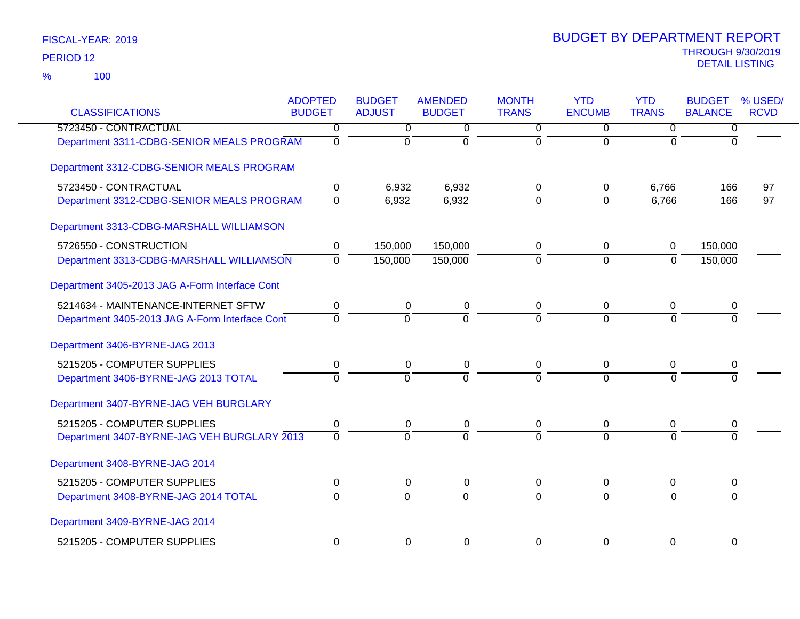100 %

| <b>CLASSIFICATIONS</b>                         | <b>ADOPTED</b><br><b>BUDGET</b> | <b>BUDGET</b><br><b>ADJUST</b> | <b>AMENDED</b><br><b>BUDGET</b> | <b>MONTH</b><br><b>TRANS</b> | <b>YTD</b><br><b>ENCUMB</b> | <b>YTD</b><br><b>TRANS</b> | <b>BUDGET</b><br><b>BALANCE</b> | % USED/<br><b>RCVD</b> |
|------------------------------------------------|---------------------------------|--------------------------------|---------------------------------|------------------------------|-----------------------------|----------------------------|---------------------------------|------------------------|
| 5723450 - CONTRACTUAL                          | 0                               | $\overline{0}$                 | 0                               | $\overline{0}$               | $\overline{0}$              | $\overline{0}$             | $\overline{0}$                  |                        |
| Department 3311-CDBG-SENIOR MEALS PROGRAM      | $\overline{0}$                  | $\overline{0}$                 | $\overline{0}$                  | $\overline{0}$               | $\overline{0}$              | $\mathbf 0$                | $\overline{0}$                  |                        |
| Department 3312-CDBG-SENIOR MEALS PROGRAM      |                                 |                                |                                 |                              |                             |                            |                                 |                        |
| 5723450 - CONTRACTUAL                          | 0                               | 6,932                          | 6,932                           | 0                            | 0                           | 6,766                      | 166                             | 97                     |
| Department 3312-CDBG-SENIOR MEALS PROGRAM      | $\overline{0}$                  | 6,932                          | 6,932                           | $\overline{0}$               | $\Omega$                    | 6,766                      | 166                             | $\overline{97}$        |
| Department 3313-CDBG-MARSHALL WILLIAMSON       |                                 |                                |                                 |                              |                             |                            |                                 |                        |
| 5726550 - CONSTRUCTION                         | 0                               | 150,000                        | 150,000                         | 0                            | 0                           | 0                          | 150,000                         |                        |
| Department 3313-CDBG-MARSHALL WILLIAMSON       | $\overline{0}$                  | 150,000                        | 150,000                         | $\overline{0}$               | $\overline{0}$              | $\overline{0}$             | 150,000                         |                        |
| Department 3405-2013 JAG A-Form Interface Cont |                                 |                                |                                 |                              |                             |                            |                                 |                        |
| 5214634 - MAINTENANCE-INTERNET SFTW            | $\pmb{0}$                       | 0                              | 0                               | 0                            | 0                           | 0                          | 0                               |                        |
| Department 3405-2013 JAG A-Form Interface Cont | $\Omega$                        | $\Omega$                       | $\Omega$                        | $\overline{0}$               | $\overline{0}$              | $\Omega$                   |                                 |                        |
| Department 3406-BYRNE-JAG 2013                 |                                 |                                |                                 |                              |                             |                            |                                 |                        |
| 5215205 - COMPUTER SUPPLIES                    | 0                               | 0                              | 0                               | 0                            | 0                           | 0                          | 0                               |                        |
| Department 3406-BYRNE-JAG 2013 TOTAL           | $\overline{0}$                  | $\Omega$                       | $\overline{0}$                  | $\overline{0}$               | $\overline{0}$              | $\Omega$                   |                                 |                        |
| Department 3407-BYRNE-JAG VEH BURGLARY         |                                 |                                |                                 |                              |                             |                            |                                 |                        |
| 5215205 - COMPUTER SUPPLIES                    | 0                               | 0                              | 0                               | 0                            | 0                           | 0                          | 0                               |                        |
| Department 3407-BYRNE-JAG VEH BURGLARY 2013    | $\overline{0}$                  | $\Omega$                       | $\overline{0}$                  | $\overline{0}$               | $\overline{0}$              | $\Omega$                   | $\Omega$                        |                        |
| Department 3408-BYRNE-JAG 2014                 |                                 |                                |                                 |                              |                             |                            |                                 |                        |
| 5215205 - COMPUTER SUPPLIES                    | 0                               | $\pmb{0}$                      | 0                               | 0                            | 0                           | 0                          | 0                               |                        |
| Department 3408-BYRNE-JAG 2014 TOTAL           | $\overline{0}$                  | $\overline{0}$                 | $\overline{0}$                  | $\overline{0}$               | $\overline{0}$              | $\Omega$                   | $\Omega$                        |                        |
| Department 3409-BYRNE-JAG 2014                 |                                 |                                |                                 |                              |                             |                            |                                 |                        |
| 5215205 - COMPUTER SUPPLIES                    | $\mathbf 0$                     | $\mathbf 0$                    | $\mathbf 0$                     | $\Omega$                     | $\mathbf 0$                 | $\mathbf 0$                | 0                               |                        |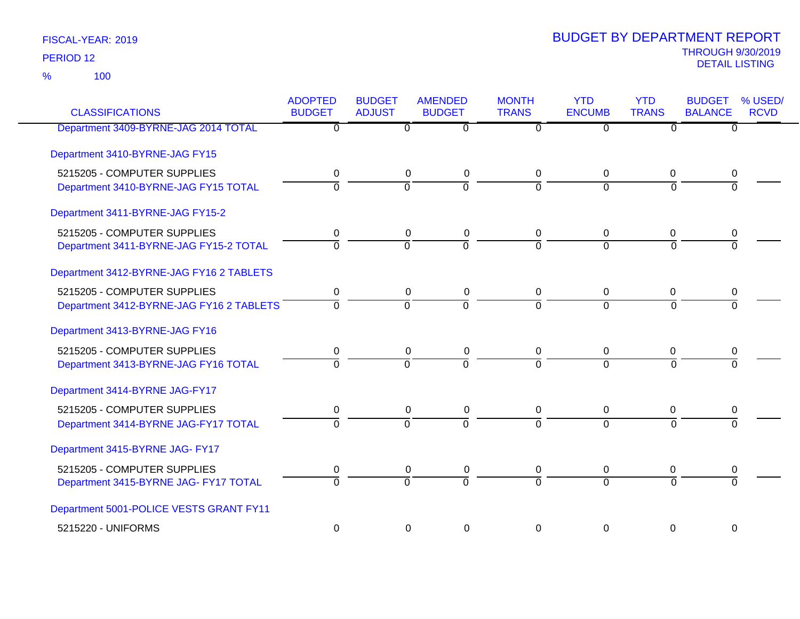100 %

| <b>CLASSIFICATIONS</b>                   | <b>ADOPTED</b><br><b>BUDGET</b> | <b>BUDGET</b><br><b>ADJUST</b> | <b>AMENDED</b><br><b>BUDGET</b> | <b>MONTH</b><br><b>TRANS</b> | <b>YTD</b><br><b>ENCUMB</b> | <b>YTD</b><br><b>TRANS</b> | <b>BUDGET</b><br><b>BALANCE</b> | % USED/<br><b>RCVD</b> |
|------------------------------------------|---------------------------------|--------------------------------|---------------------------------|------------------------------|-----------------------------|----------------------------|---------------------------------|------------------------|
| Department 3409-BYRNE-JAG 2014 TOTAL     | 0                               | $\overline{0}$                 | $\overline{0}$                  | $\overline{0}$               | 0                           | $\overline{0}$             | $\overline{0}$                  |                        |
| Department 3410-BYRNE-JAG FY15           |                                 |                                |                                 |                              |                             |                            |                                 |                        |
| 5215205 - COMPUTER SUPPLIES              | 0                               | 0                              | 0                               | $\Omega$                     | $\Omega$                    | $\mathbf 0$                | 0                               |                        |
| Department 3410-BYRNE-JAG FY15 TOTAL     | 0                               | $\overline{0}$                 | ō                               | $\overline{0}$               | $\overline{0}$              | $\overline{0}$             | $\overline{0}$                  |                        |
| Department 3411-BYRNE-JAG FY15-2         |                                 |                                |                                 |                              |                             |                            |                                 |                        |
| 5215205 - COMPUTER SUPPLIES              | 0                               | 0                              | 0                               | 0                            | 0                           | 0                          | 0                               |                        |
| Department 3411-BYRNE-JAG FY15-2 TOTAL   | $\overline{0}$                  | $\overline{0}$                 | $\overline{0}$                  | $\overline{0}$               | $\overline{0}$              | $\overline{0}$             | $\Omega$                        |                        |
| Department 3412-BYRNE-JAG FY16 2 TABLETS |                                 |                                |                                 |                              |                             |                            |                                 |                        |
| 5215205 - COMPUTER SUPPLIES              | 0                               | 0                              | 0                               | $\mathbf 0$                  | 0                           | 0                          | 0                               |                        |
| Department 3412-BYRNE-JAG FY16 2 TABLETS | $\overline{0}$                  | $\overline{0}$                 | $\overline{0}$                  | $\Omega$                     | $\Omega$                    | $\Omega$                   | $\Omega$                        |                        |
| Department 3413-BYRNE-JAG FY16           |                                 |                                |                                 |                              |                             |                            |                                 |                        |
| 5215205 - COMPUTER SUPPLIES              | 0                               | 0                              | 0                               | 0                            | 0                           | 0                          | 0                               |                        |
| Department 3413-BYRNE-JAG FY16 TOTAL     | $\overline{0}$                  | $\overline{0}$                 | $\overline{0}$                  | $\Omega$                     | $\Omega$                    | $\overline{0}$             | $\overline{0}$                  |                        |
| Department 3414-BYRNE JAG-FY17           |                                 |                                |                                 |                              |                             |                            |                                 |                        |
| 5215205 - COMPUTER SUPPLIES              | 0                               | 0                              | 0                               | 0                            | 0                           | 0                          | 0                               |                        |
| Department 3414-BYRNE JAG-FY17 TOTAL     | $\overline{0}$                  | $\Omega$                       | $\overline{0}$                  | $\Omega$                     | $\Omega$                    | $\Omega$                   | $\Omega$                        |                        |
| Department 3415-BYRNE JAG- FY17          |                                 |                                |                                 |                              |                             |                            |                                 |                        |
| 5215205 - COMPUTER SUPPLIES              | 0                               | 0                              | 0                               | 0                            | 0                           | 0                          | 0                               |                        |
| Department 3415-BYRNE JAG- FY17 TOTAL    | $\overline{0}$                  | $\overline{0}$                 | $\overline{0}$                  | $\overline{0}$               | $\overline{0}$              | $\overline{0}$             | $\overline{0}$                  |                        |
| Department 5001-POLICE VESTS GRANT FY11  |                                 |                                |                                 |                              |                             |                            |                                 |                        |
| 5215220 - UNIFORMS                       | $\mathbf 0$                     | $\mathbf 0$                    | 0                               | $\Omega$                     | $\Omega$                    | $\mathbf 0$                | $\mathbf 0$                     |                        |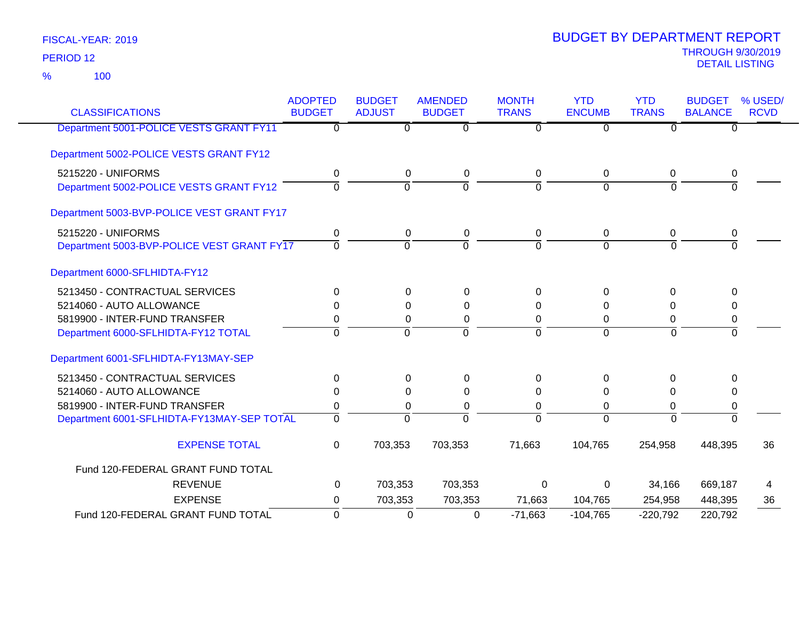100 %

| <b>CLASSIFICATIONS</b>                     | <b>ADOPTED</b><br><b>BUDGET</b> | <b>BUDGET</b><br><b>ADJUST</b> | <b>AMENDED</b><br><b>BUDGET</b> | <b>MONTH</b><br><b>TRANS</b> | <b>YTD</b><br><b>ENCUMB</b> | <b>YTD</b><br><b>TRANS</b> | <b>BUDGET</b><br><b>BALANCE</b> | % USED/<br><b>RCVD</b> |
|--------------------------------------------|---------------------------------|--------------------------------|---------------------------------|------------------------------|-----------------------------|----------------------------|---------------------------------|------------------------|
| Department 5001-POLICE VESTS GRANT FY11    | 0                               | 0                              | $\overline{0}$                  | 0                            | $\overline{0}$              | $\overline{0}$             | $\overline{0}$                  |                        |
| Department 5002-POLICE VESTS GRANT FY12    |                                 |                                |                                 |                              |                             |                            |                                 |                        |
| 5215220 - UNIFORMS                         | 0                               | 0                              | 0                               | 0                            | $\mathbf 0$                 | 0                          | 0                               |                        |
| Department 5002-POLICE VESTS GRANT FY12    | $\Omega$                        | $\overline{0}$                 | $\overline{0}$                  | $\Omega$                     | $\Omega$                    | $\Omega$                   | $\overline{0}$                  |                        |
| Department 5003-BVP-POLICE VEST GRANT FY17 |                                 |                                |                                 |                              |                             |                            |                                 |                        |
| 5215220 - UNIFORMS                         | 0                               | 0                              | 0                               | 0                            | 0                           | 0                          | 0                               |                        |
| Department 5003-BVP-POLICE VEST GRANT FY17 | 0                               | $\mathbf 0$                    | $\Omega$                        | $\Omega$                     | $\Omega$                    | $\Omega$                   | $\Omega$                        |                        |
| Department 6000-SFLHIDTA-FY12              |                                 |                                |                                 |                              |                             |                            |                                 |                        |
| 5213450 - CONTRACTUAL SERVICES             | $\Omega$                        | 0                              | $\Omega$                        | $\Omega$                     | $\Omega$                    | $\Omega$                   | $\Omega$                        |                        |
| 5214060 - AUTO ALLOWANCE                   | $\Omega$                        | 0                              | 0                               | 0                            | 0                           | 0                          | 0                               |                        |
| 5819900 - INTER-FUND TRANSFER              | 0                               | 0                              | 0                               | 0                            | 0                           | 0                          | 0                               |                        |
| Department 6000-SFLHIDTA-FY12 TOTAL        | 0                               | $\overline{0}$                 | $\overline{0}$                  | $\mathbf 0$                  | $\mathbf 0$                 | $\overline{0}$             | $\overline{0}$                  |                        |
| Department 6001-SFLHIDTA-FY13MAY-SEP       |                                 |                                |                                 |                              |                             |                            |                                 |                        |
| 5213450 - CONTRACTUAL SERVICES             | 0                               | 0                              | 0                               | 0                            | 0                           | $\Omega$                   | 0                               |                        |
| 5214060 - AUTO ALLOWANCE                   | $\Omega$                        | 0                              | $\Omega$                        | $\Omega$                     | $\Omega$                    | $\Omega$                   | 0                               |                        |
| 5819900 - INTER-FUND TRANSFER              | 0                               | 0                              | 0                               | 0                            | $\mathbf 0$                 | 0                          | 0                               |                        |
| Department 6001-SFLHIDTA-FY13MAY-SEP TOTAL | 0                               | $\mathbf 0$                    | $\mathbf 0$                     | $\Omega$                     | $\mathbf 0$                 | $\Omega$                   | $\Omega$                        |                        |
| <b>EXPENSE TOTAL</b>                       | 0                               | 703,353                        | 703,353                         | 71,663                       | 104,765                     | 254,958                    | 448,395                         | 36                     |
| Fund 120-FEDERAL GRANT FUND TOTAL          |                                 |                                |                                 |                              |                             |                            |                                 |                        |
| <b>REVENUE</b>                             | 0                               | 703,353                        | 703,353                         | 0                            | 0                           | 34,166                     | 669,187                         | 4                      |
| <b>EXPENSE</b>                             | 0                               | 703,353                        | 703,353                         | 71,663                       | 104,765                     | 254,958                    | 448,395                         | 36                     |
| Fund 120-FEDERAL GRANT FUND TOTAL          | $\Omega$                        | 0                              | 0                               | $-71,663$                    | $-104,765$                  | $-220,792$                 | 220,792                         |                        |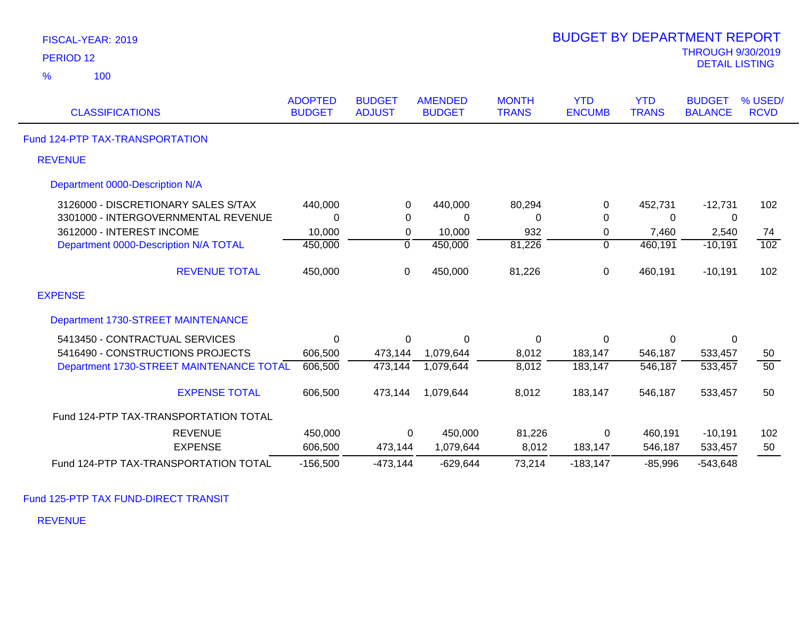| PERIOD <sub>12</sub>                     |                                 |                                |                                 |                              |                             |                            | <b>THROUGH 9/30/2019</b><br><b>DETAIL LISTING</b> |                        |
|------------------------------------------|---------------------------------|--------------------------------|---------------------------------|------------------------------|-----------------------------|----------------------------|---------------------------------------------------|------------------------|
| %<br>100                                 |                                 |                                |                                 |                              |                             |                            |                                                   |                        |
| <b>CLASSIFICATIONS</b>                   | <b>ADOPTED</b><br><b>BUDGET</b> | <b>BUDGET</b><br><b>ADJUST</b> | <b>AMENDED</b><br><b>BUDGET</b> | <b>MONTH</b><br><b>TRANS</b> | <b>YTD</b><br><b>ENCUMB</b> | <b>YTD</b><br><b>TRANS</b> | <b>BUDGET</b><br><b>BALANCE</b>                   | % USED/<br><b>RCVD</b> |
| Fund 124-PTP TAX-TRANSPORTATION          |                                 |                                |                                 |                              |                             |                            |                                                   |                        |
| <b>REVENUE</b>                           |                                 |                                |                                 |                              |                             |                            |                                                   |                        |
| Department 0000-Description N/A          |                                 |                                |                                 |                              |                             |                            |                                                   |                        |
| 3126000 - DISCRETIONARY SALES S/TAX      | 440,000                         | 0                              | 440,000                         | 80,294                       | 0                           | 452,731                    | $-12,731$                                         | 102                    |
| 3301000 - INTERGOVERNMENTAL REVENUE      | $\Omega$                        | $\Omega$                       | $\mathbf{0}$                    | $\Omega$                     | $\Omega$                    | $\Omega$                   | 0                                                 |                        |
| 3612000 - INTEREST INCOME                | 10,000                          | 0                              | 10,000                          | 932                          | 0                           | 7,460                      | 2,540                                             | 74                     |
| Department 0000-Description N/A TOTAL    | 450,000                         | $\overline{0}$                 | 450,000                         | 81,226                       | $\overline{0}$              | 460,191                    | $-10,191$                                         | 102                    |
| <b>REVENUE TOTAL</b>                     | 450,000                         | $\pmb{0}$                      | 450,000                         | 81,226                       | $\pmb{0}$                   | 460,191                    | $-10,191$                                         | 102                    |
| <b>EXPENSE</b>                           |                                 |                                |                                 |                              |                             |                            |                                                   |                        |
| Department 1730-STREET MAINTENANCE       |                                 |                                |                                 |                              |                             |                            |                                                   |                        |
| 5413450 - CONTRACTUAL SERVICES           | $\mathbf{0}$                    | 0                              | $\overline{0}$                  | 0                            | $\mathbf 0$                 | 0                          | 0                                                 |                        |
| 5416490 - CONSTRUCTIONS PROJECTS         | 606,500                         | 473,144                        | 1,079,644                       | 8,012                        | 183,147                     | 546,187                    | 533,457                                           | 50                     |
| Department 1730-STREET MAINTENANCE TOTAL | 606,500                         | 473,144                        | 1,079,644                       | 8,012                        | 183,147                     | 546,187                    | 533,457                                           | 50                     |
| <b>EXPENSE TOTAL</b>                     | 606,500                         | 473,144                        | 1,079,644                       | 8,012                        | 183,147                     | 546,187                    | 533,457                                           | 50                     |
| Fund 124-PTP TAX-TRANSPORTATION TOTAL    |                                 |                                |                                 |                              |                             |                            |                                                   |                        |
| <b>REVENUE</b>                           | 450,000                         | 0                              | 450,000                         | 81,226                       | 0                           | 460,191                    | $-10,191$                                         | 102                    |
| <b>EXPENSE</b>                           | 606,500                         | 473,144                        | 1,079,644                       | 8,012                        | 183,147                     | 546,187                    | 533,457                                           | 50                     |
| Fund 124-PTP TAX-TRANSPORTATION TOTAL    | $-156,500$                      | $-473,144$                     | $-629,644$                      | 73,214                       | $-183,147$                  | $-85,996$                  | $-543,648$                                        |                        |

BUDGET BY DEPARTMENT REPORT

Fund 125-PTP TAX FUND-DIRECT TRANSIT

REVENUE

FISCAL-YEAR: 2019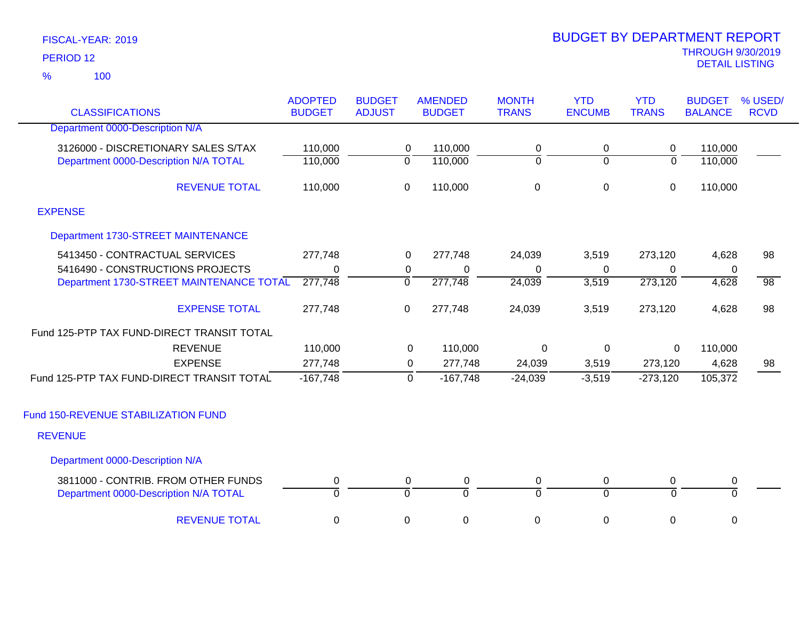100 %

| <b>CLASSIFICATIONS</b>                                                       | <b>ADOPTED</b><br><b>BUDGET</b> | <b>BUDGET</b><br><b>ADJUST</b> |                | <b>AMENDED</b><br><b>BUDGET</b> | <b>MONTH</b><br><b>TRANS</b> | <b>YTD</b><br><b>ENCUMB</b> | <b>YTD</b><br><b>TRANS</b>  | <b>BUDGET</b><br><b>BALANCE</b> | % USED/<br><b>RCVD</b> |
|------------------------------------------------------------------------------|---------------------------------|--------------------------------|----------------|---------------------------------|------------------------------|-----------------------------|-----------------------------|---------------------------------|------------------------|
| Department 0000-Description N/A                                              |                                 |                                |                |                                 |                              |                             |                             |                                 |                        |
| 3126000 - DISCRETIONARY SALES S/TAX                                          | 110,000                         |                                | 0              | 110,000                         | 0                            | 0                           | 0                           | 110,000                         |                        |
| Department 0000-Description N/A TOTAL                                        | 110,000                         | $\overline{0}$                 |                | 110,000                         | $\overline{0}$               | $\overline{0}$              | $\overline{0}$              | 110,000                         |                        |
| <b>REVENUE TOTAL</b>                                                         | 110,000                         | $\mathbf 0$                    |                | 110,000                         | $\pmb{0}$                    | 0                           | $\mathbf 0$                 | 110,000                         |                        |
| <b>EXPENSE</b>                                                               |                                 |                                |                |                                 |                              |                             |                             |                                 |                        |
| Department 1730-STREET MAINTENANCE                                           |                                 |                                |                |                                 |                              |                             |                             |                                 |                        |
| 5413450 - CONTRACTUAL SERVICES                                               | 277,748                         |                                | $\mathbf 0$    | 277,748                         | 24,039                       | 3,519                       | 273,120                     | 4,628                           | 98                     |
| 5416490 - CONSTRUCTIONS PROJECTS                                             | 0                               |                                | 0              | 0                               | 0                            | 0                           | 0                           | 0                               |                        |
| Department 1730-STREET MAINTENANCE TOTAL                                     | 277,748                         | $\overline{0}$                 |                | 277,748                         | 24,039                       | 3,519                       | 273,120                     | 4,628                           | $\overline{98}$        |
| <b>EXPENSE TOTAL</b>                                                         | 277,748                         | $\mathbf 0$                    |                | 277,748                         | 24,039                       | 3,519                       | 273,120                     | 4,628                           | 98                     |
| Fund 125-PTP TAX FUND-DIRECT TRANSIT TOTAL                                   |                                 |                                |                |                                 |                              |                             |                             |                                 |                        |
| <b>REVENUE</b>                                                               | 110,000                         |                                | 0              | 110,000                         | 0                            | $\mathbf 0$                 | $\mathbf 0$                 | 110,000                         |                        |
| <b>EXPENSE</b>                                                               | 277,748                         |                                | 0              | 277,748                         | 24,039                       | 3,519                       | 273,120                     | 4,628                           | 98                     |
| Fund 125-PTP TAX FUND-DIRECT TRANSIT TOTAL                                   | $-167,748$                      |                                | $\overline{0}$ | $-167,748$                      | $-24,039$                    | $-3,519$                    | $-273,120$                  | 105,372                         |                        |
| Fund 150-REVENUE STABILIZATION FUND                                          |                                 |                                |                |                                 |                              |                             |                             |                                 |                        |
| <b>REVENUE</b>                                                               |                                 |                                |                |                                 |                              |                             |                             |                                 |                        |
| Department 0000-Description N/A                                              |                                 |                                |                |                                 |                              |                             |                             |                                 |                        |
| 3811000 - CONTRIB. FROM OTHER FUNDS<br>Department 0000-Description N/A TOTAL | 0<br>$\overline{0}$             | $\overline{0}$                 | 0              | 0<br>ō                          | 0<br>$\overline{0}$          | 0<br>$\Omega$               | $\pmb{0}$<br>$\overline{0}$ | 0<br>$\overline{0}$             |                        |
| <b>REVENUE TOTAL</b>                                                         | 0                               | 0                              |                | $\pmb{0}$                       | $\mathbf 0$                  | 0                           | 0                           | 0                               |                        |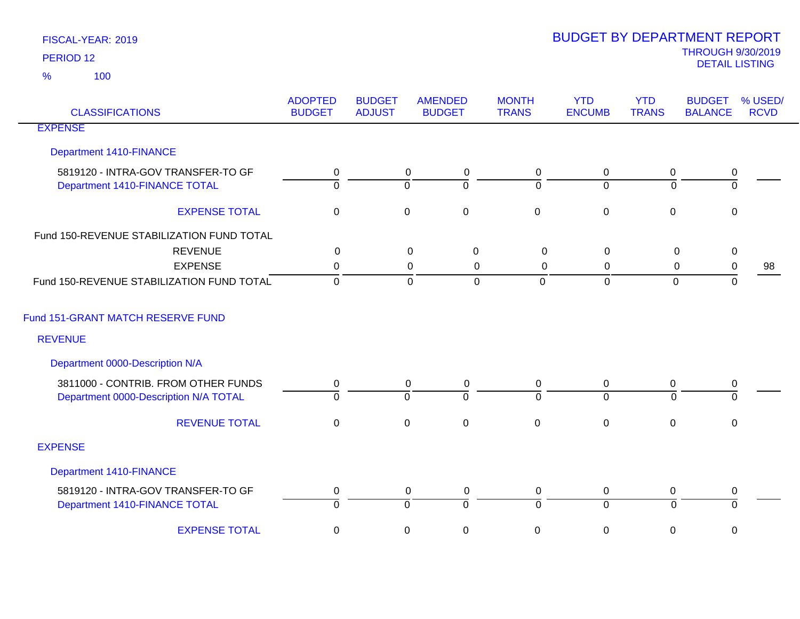| <b>CLASSIFICATIONS</b>                                              | <b>ADOPTED</b><br><b>BUDGET</b> | <b>BUDGET</b><br><b>ADJUST</b> | <b>AMENDED</b><br><b>BUDGET</b>              | <b>MONTH</b><br><b>TRANS</b> | <b>YTD</b><br><b>ENCUMB</b>   | <b>YTD</b><br><b>TRANS</b> | <b>BUDGET</b><br><b>BALANCE</b> | % USED/<br><b>RCVD</b> |
|---------------------------------------------------------------------|---------------------------------|--------------------------------|----------------------------------------------|------------------------------|-------------------------------|----------------------------|---------------------------------|------------------------|
| <b>EXPENSE</b>                                                      |                                 |                                |                                              |                              |                               |                            |                                 |                        |
| <b>Department 1410-FINANCE</b>                                      |                                 |                                |                                              |                              |                               |                            |                                 |                        |
| 5819120 - INTRA-GOV TRANSFER-TO GF<br>Department 1410-FINANCE TOTAL | 0<br>$\Omega$                   |                                | $\overline{0}$<br>$\pmb{0}$<br>0<br>$\Omega$ | 0<br>$\Omega$                | $\mathbf 0$<br>$\overline{0}$ | $\mathbf 0$<br>$\Omega$    | $\pmb{0}$<br>$\overline{0}$     |                        |
| <b>EXPENSE TOTAL</b>                                                | $\boldsymbol{0}$                |                                | $\pmb{0}$<br>$\mathsf 0$                     | $\pmb{0}$                    | $\mathbf 0$                   | $\mathbf 0$                | $\mathbf 0$                     |                        |
| Fund 150-REVENUE STABILIZATION FUND TOTAL                           |                                 |                                |                                              |                              |                               |                            |                                 |                        |
| <b>REVENUE</b>                                                      | $\mathbf 0$                     |                                | $\mathbf 0$<br>$\pmb{0}$                     | $\mathbf 0$                  | $\mathbf 0$                   | $\mathbf 0$                | $\mathbf 0$                     |                        |
| <b>EXPENSE</b>                                                      | 0                               |                                | $\mathbf{0}$<br>0                            | 0                            | 0                             | 0                          | 0                               | 98                     |
| Fund 150-REVENUE STABILIZATION FUND TOTAL                           | $\mathbf 0$                     |                                | $\overline{0}$<br>$\mathbf 0$                | $\mathbf{0}$                 | $\overline{0}$                | $\mathbf{0}$               | 0                               |                        |
| Fund 151-GRANT MATCH RESERVE FUND                                   |                                 |                                |                                              |                              |                               |                            |                                 |                        |
| <b>REVENUE</b>                                                      |                                 |                                |                                              |                              |                               |                            |                                 |                        |
| Department 0000-Description N/A                                     |                                 |                                |                                              |                              |                               |                            |                                 |                        |
| 3811000 - CONTRIB. FROM OTHER FUNDS                                 | 0                               |                                | $\mathbf 0$<br>0                             | 0                            | 0                             | 0                          | 0                               |                        |
| Department 0000-Description N/A TOTAL                               | $\overline{0}$                  |                                | $\overline{0}$<br>$\overline{0}$             | $\overline{0}$               | $\overline{0}$                | $\Omega$                   | $\overline{0}$                  |                        |
| <b>REVENUE TOTAL</b>                                                | $\pmb{0}$                       |                                | $\pmb{0}$<br>$\pmb{0}$                       | $\pmb{0}$                    | $\mathsf{O}\xspace$           | $\boldsymbol{0}$           | $\mathsf 0$                     |                        |
| <b>EXPENSE</b>                                                      |                                 |                                |                                              |                              |                               |                            |                                 |                        |
| Department 1410-FINANCE                                             |                                 |                                |                                              |                              |                               |                            |                                 |                        |
| 5819120 - INTRA-GOV TRANSFER-TO GF                                  | 0                               |                                | $\mathbf 0$<br>$\boldsymbol{0}$              | 0                            | 0                             | 0                          | 0                               |                        |
| Department 1410-FINANCE TOTAL                                       | $\overline{0}$                  |                                | $\overline{0}$<br>$\overline{0}$             | $\overline{0}$               | $\overline{0}$                | $\Omega$                   | $\overline{0}$                  |                        |
| <b>EXPENSE TOTAL</b>                                                | $\boldsymbol{0}$                |                                | $\pmb{0}$<br>$\pmb{0}$                       | $\mathbf 0$                  | $\mathbf 0$                   | 0                          | 0                               |                        |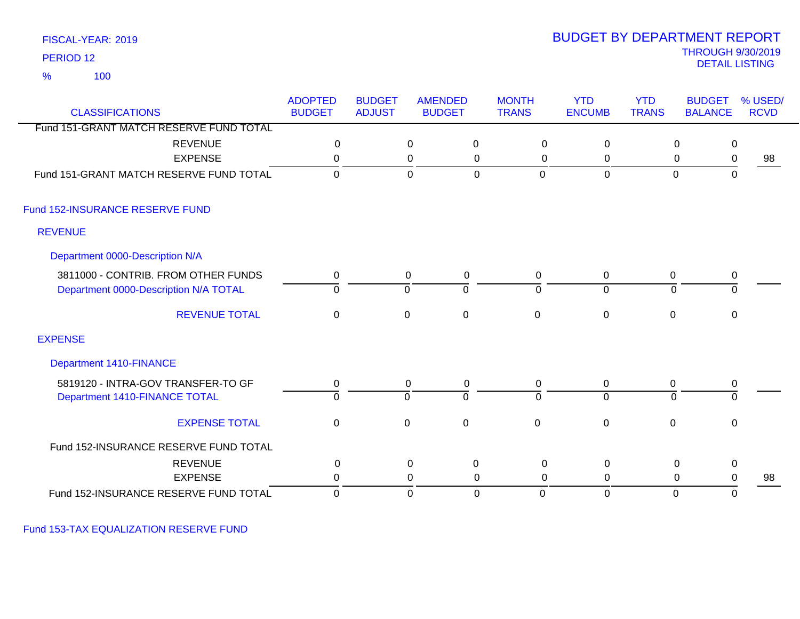100 %

### THROUGH 9/30/2019<br>DETAIL LISTING DETAIL LISTING PERIOD <sup>12</sup> BUDGET BY DEPARTMENT REPORT

|                                                                   | <b>ADOPTED</b> | <b>BUDGET</b> |                            | <b>AMENDED</b> | <b>MONTH</b> | <b>YTD</b>     | <b>YTD</b>   | <b>BUDGET</b>                                            | % USED/     |
|-------------------------------------------------------------------|----------------|---------------|----------------------------|----------------|--------------|----------------|--------------|----------------------------------------------------------|-------------|
| <b>CLASSIFICATIONS</b><br>Fund 151-GRANT MATCH RESERVE FUND TOTAL | <b>BUDGET</b>  | <b>ADJUST</b> |                            | <b>BUDGET</b>  | <b>TRANS</b> | <b>ENCUMB</b>  | <b>TRANS</b> | <b>BALANCE</b>                                           | <b>RCVD</b> |
|                                                                   |                |               |                            |                |              |                |              |                                                          |             |
| <b>REVENUE</b><br><b>EXPENSE</b>                                  | 0<br>$\Omega$  |               | $\mathbf 0$<br>$\mathsf 0$ | 0<br>0         | 0<br>0       | 0<br>0         |              | $\mathbf 0$<br>$\mathbf 0$<br>$\mathbf 0$<br>$\mathbf 0$ | 98          |
| Fund 151-GRANT MATCH RESERVE FUND TOTAL                           | $\Omega$       |               |                            | $\overline{0}$ | $\mathbf 0$  | $\mathbf 0$    |              | $\mathbf 0$<br>$\mathbf 0$                               |             |
|                                                                   |                |               | $\mathbf 0$                |                |              |                |              |                                                          |             |
| Fund 152-INSURANCE RESERVE FUND                                   |                |               |                            |                |              |                |              |                                                          |             |
| <b>REVENUE</b>                                                    |                |               |                            |                |              |                |              |                                                          |             |
| Department 0000-Description N/A                                   |                |               |                            |                |              |                |              |                                                          |             |
| 3811000 - CONTRIB. FROM OTHER FUNDS                               | 0              |               | 0                          | 0              | 0            | 0              | 0            | 0                                                        |             |
| Department 0000-Description N/A TOTAL                             | $\Omega$       |               | $\mathbf 0$                | $\overline{0}$ | $\mathbf 0$  | $\overline{0}$ |              | 0<br>0                                                   |             |
| <b>REVENUE TOTAL</b>                                              | 0              |               | $\overline{0}$             | $\pmb{0}$      | $\mathbf 0$  | $\pmb{0}$      | $\mathbf 0$  | $\mathsf 0$                                              |             |
| <b>EXPENSE</b>                                                    |                |               |                            |                |              |                |              |                                                          |             |
| <b>Department 1410-FINANCE</b>                                    |                |               |                            |                |              |                |              |                                                          |             |
| 5819120 - INTRA-GOV TRANSFER-TO GF                                | 0              |               | 0                          | 0              | 0            | 0              | 0            | 0                                                        |             |
| Department 1410-FINANCE TOTAL                                     | $\overline{0}$ |               | $\mathbf 0$                | $\overline{0}$ | $\Omega$     | $\overline{0}$ |              | $\overline{0}$<br>0                                      |             |
| <b>EXPENSE TOTAL</b>                                              | 0              |               | $\mathbf 0$                | $\mathbf 0$    | $\mathbf 0$  | $\mathbf 0$    | $\mathbf 0$  | 0                                                        |             |
| Fund 152-INSURANCE RESERVE FUND TOTAL                             |                |               |                            |                |              |                |              |                                                          |             |
| <b>REVENUE</b>                                                    | $\pmb{0}$      |               | $\mathbf 0$                | $\mathbf 0$    | $\mathbf 0$  | $\mathbf 0$    |              | $\mathbf 0$<br>$\pmb{0}$                                 |             |
| <b>EXPENSE</b>                                                    | $\Omega$       |               | $\mathbf 0$                | 0              | 0            | 0              |              | $\mathbf 0$<br>$\mathbf 0$                               | 98          |
| Fund 152-INSURANCE RESERVE FUND TOTAL                             | 0              |               | 0                          | 0              | 0            | $\mathbf 0$    |              | $\mathbf 0$<br>0                                         |             |

Fund 153-TAX EQUALIZATION RESERVE FUND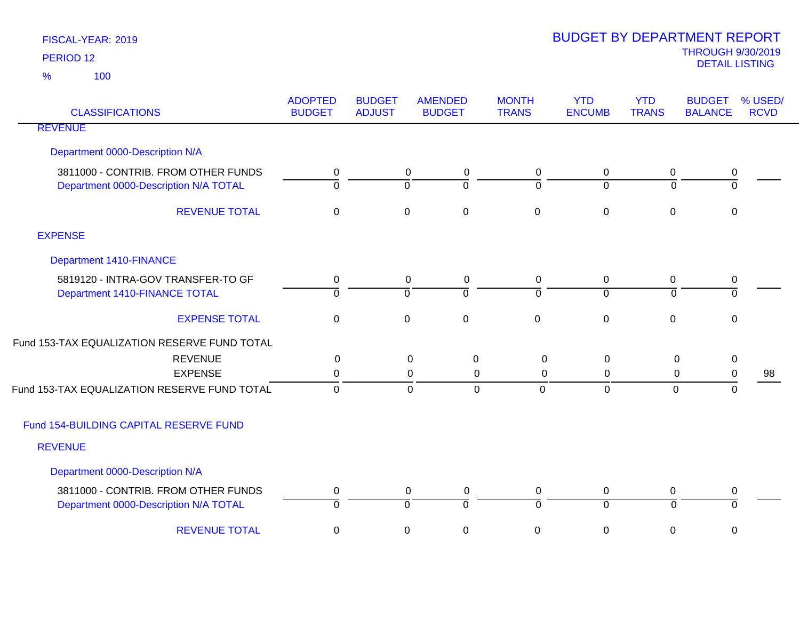| <b>CLASSIFICATIONS</b>                       | <b>ADOPTED</b><br><b>BUDGET</b> | <b>BUDGET</b><br><b>ADJUST</b> | <b>AMENDED</b><br><b>BUDGET</b>    | <b>MONTH</b><br><b>TRANS</b> | <b>YTD</b><br><b>ENCUMB</b> | <b>YTD</b><br><b>TRANS</b> | <b>BUDGET</b><br><b>BALANCE</b> | % USED/<br><b>RCVD</b> |
|----------------------------------------------|---------------------------------|--------------------------------|------------------------------------|------------------------------|-----------------------------|----------------------------|---------------------------------|------------------------|
| <b>REVENUE</b>                               |                                 |                                |                                    |                              |                             |                            |                                 |                        |
| Department 0000-Description N/A              |                                 |                                |                                    |                              |                             |                            |                                 |                        |
| 3811000 - CONTRIB. FROM OTHER FUNDS          | 0                               |                                | $\mathbf 0$<br>0                   | 0                            | 0                           | 0                          | 0                               |                        |
| Department 0000-Description N/A TOTAL        | $\overline{0}$                  |                                | $\overline{0}$<br>$\overline{0}$   | $\mathbf 0$                  | $\overline{0}$              | $\overline{0}$             | $\overline{0}$                  |                        |
| <b>REVENUE TOTAL</b>                         | $\mathbf 0$                     |                                | $\mathsf{O}\xspace$<br>$\mathbf 0$ | $\mathbf 0$                  | $\pmb{0}$                   | $\mathbf 0$                | $\mathbf 0$                     |                        |
| <b>EXPENSE</b>                               |                                 |                                |                                    |                              |                             |                            |                                 |                        |
| <b>Department 1410-FINANCE</b>               |                                 |                                |                                    |                              |                             |                            |                                 |                        |
| 5819120 - INTRA-GOV TRANSFER-TO GF           | 0                               |                                | $\mathbf 0$<br>0                   | $\mathbf 0$                  | $\mathbf 0$                 | 0                          | $\pmb{0}$                       |                        |
| Department 1410-FINANCE TOTAL                | $\overline{0}$                  |                                | $\overline{0}$<br>$\overline{0}$   | 0                            | $\overline{0}$              | $\overline{0}$             | $\overline{0}$                  |                        |
| <b>EXPENSE TOTAL</b>                         | $\mathbf 0$                     |                                | $\mathsf 0$<br>$\mathbf 0$         | $\mathbf 0$                  | $\mathbf 0$                 | $\mathbf 0$                | $\mathbf 0$                     |                        |
| Fund 153-TAX EQUALIZATION RESERVE FUND TOTAL |                                 |                                |                                    |                              |                             |                            |                                 |                        |
| <b>REVENUE</b>                               | 0                               |                                | $\mathbf 0$<br>$\mathbf 0$         | $\mathbf 0$                  | 0                           | $\mathbf 0$                | $\pmb{0}$                       |                        |
| <b>EXPENSE</b>                               | 0                               |                                | 0<br>0                             | 0                            | 0                           | 0                          | $\pmb{0}$                       | 98                     |
| Fund 153-TAX EQUALIZATION RESERVE FUND TOTAL | $\mathbf 0$                     |                                | $\mathbf 0$<br>$\Omega$            | $\mathbf 0$                  | $\overline{0}$              | $\mathbf{0}$               | $\Omega$                        |                        |
| Fund 154-BUILDING CAPITAL RESERVE FUND       |                                 |                                |                                    |                              |                             |                            |                                 |                        |
| <b>REVENUE</b>                               |                                 |                                |                                    |                              |                             |                            |                                 |                        |
| Department 0000-Description N/A              |                                 |                                |                                    |                              |                             |                            |                                 |                        |
| 3811000 - CONTRIB. FROM OTHER FUNDS          | 0                               |                                | $\pmb{0}$<br>0                     | $\mathbf 0$                  | $\pmb{0}$                   | 0                          | $\pmb{0}$                       |                        |
| Department 0000-Description N/A TOTAL        | $\overline{0}$                  |                                | $\overline{0}$<br>$\overline{0}$   | $\Omega$                     | $\overline{0}$              | ō                          | $\mathbf 0$                     |                        |
| <b>REVENUE TOTAL</b>                         | 0                               |                                | $\pmb{0}$<br>$\mathbf 0$           | 0                            | $\pmb{0}$                   | 0                          | 0                               |                        |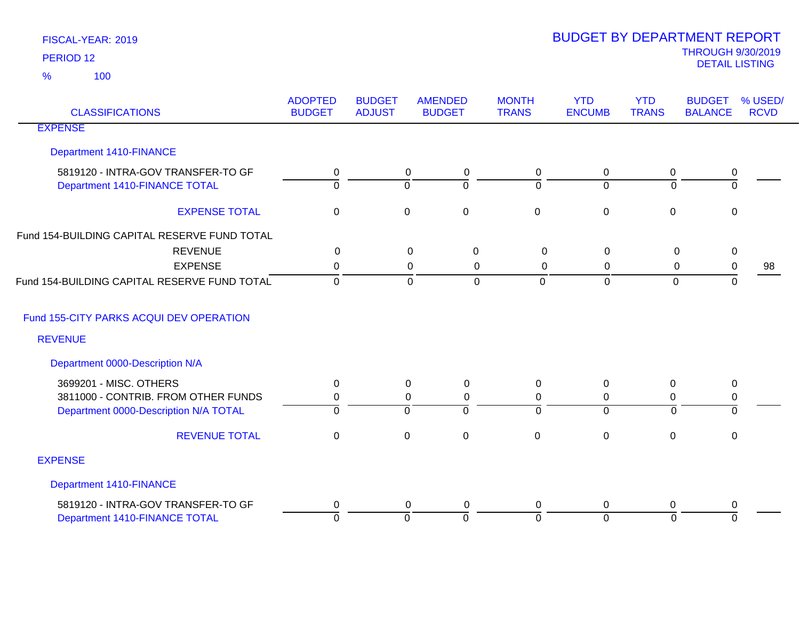| <b>CLASSIFICATIONS</b>                       | <b>ADOPTED</b><br><b>BUDGET</b> | <b>BUDGET</b><br><b>ADJUST</b> | <b>AMENDED</b><br><b>BUDGET</b> | <b>MONTH</b><br><b>TRANS</b> | <b>YTD</b><br><b>ENCUMB</b> | <b>YTD</b><br><b>TRANS</b> | <b>BUDGET</b><br><b>BALANCE</b> | % USED/<br><b>RCVD</b> |
|----------------------------------------------|---------------------------------|--------------------------------|---------------------------------|------------------------------|-----------------------------|----------------------------|---------------------------------|------------------------|
| <b>EXPENSE</b>                               |                                 |                                |                                 |                              |                             |                            |                                 |                        |
| Department 1410-FINANCE                      |                                 |                                |                                 |                              |                             |                            |                                 |                        |
| 5819120 - INTRA-GOV TRANSFER-TO GF           | 0                               |                                | 0<br>$\mathbf 0$                | 0                            | 0                           | $\mathbf 0$                | 0                               |                        |
| Department 1410-FINANCE TOTAL                | $\overline{0}$                  |                                | $\overline{0}$<br>0             | $\mathbf 0$                  | $\overline{0}$              | $\mathbf 0$                | $\overline{0}$                  |                        |
| <b>EXPENSE TOTAL</b>                         | $\mathbf 0$                     |                                | $\pmb{0}$<br>$\mathbf 0$        | $\mathbf 0$                  | $\pmb{0}$                   | $\mathbf 0$                | $\mathbf 0$                     |                        |
| Fund 154-BUILDING CAPITAL RESERVE FUND TOTAL |                                 |                                |                                 |                              |                             |                            |                                 |                        |
| <b>REVENUE</b>                               | 0                               |                                | $\mathbf 0$<br>$\mathbf 0$      | $\mathbf 0$                  | 0                           | 0                          | 0                               |                        |
| <b>EXPENSE</b>                               | 0                               |                                | $\mathbf 0$<br>0                | $\mathbf 0$                  | 0                           | 0                          | $\,0\,$                         | 98                     |
| Fund 154-BUILDING CAPITAL RESERVE FUND TOTAL | $\overline{0}$                  |                                | $\mathbf 0$<br>$\Omega$         | $\Omega$                     | $\Omega$                    | $\Omega$                   | $\mathbf 0$                     |                        |
| Fund 155-CITY PARKS ACQUI DEV OPERATION      |                                 |                                |                                 |                              |                             |                            |                                 |                        |
| <b>REVENUE</b>                               |                                 |                                |                                 |                              |                             |                            |                                 |                        |
| Department 0000-Description N/A              |                                 |                                |                                 |                              |                             |                            |                                 |                        |
| 3699201 - MISC. OTHERS                       | 0                               |                                | $\mathbf 0$<br>0                | 0                            | 0                           | 0                          | 0                               |                        |
| 3811000 - CONTRIB. FROM OTHER FUNDS          | 0                               |                                | $\pmb{0}$<br>0                  | 0                            | 0                           | 0                          | $\pmb{0}$                       |                        |
| Department 0000-Description N/A TOTAL        | $\Omega$                        |                                | $\Omega$<br>0                   | $\Omega$                     | $\mathbf 0$                 | $\Omega$                   | $\mathbf 0$                     |                        |
| <b>REVENUE TOTAL</b>                         | $\mathbf 0$                     |                                | $\mathbf 0$<br>$\mathbf 0$      | $\mathbf 0$                  | $\mathbf 0$                 | $\mathbf 0$                | $\mathbf 0$                     |                        |
| <b>EXPENSE</b>                               |                                 |                                |                                 |                              |                             |                            |                                 |                        |
| Department 1410-FINANCE                      |                                 |                                |                                 |                              |                             |                            |                                 |                        |
| 5819120 - INTRA-GOV TRANSFER-TO GF           | 0                               |                                | 0<br>0                          | 0                            | 0                           | 0                          | 0                               |                        |
| Department 1410-FINANCE TOTAL                | $\overline{0}$                  |                                | $\overline{0}$<br>$\mathbf 0$   | $\Omega$                     | $\overline{0}$              | $\overline{0}$             | $\mathbf 0$                     |                        |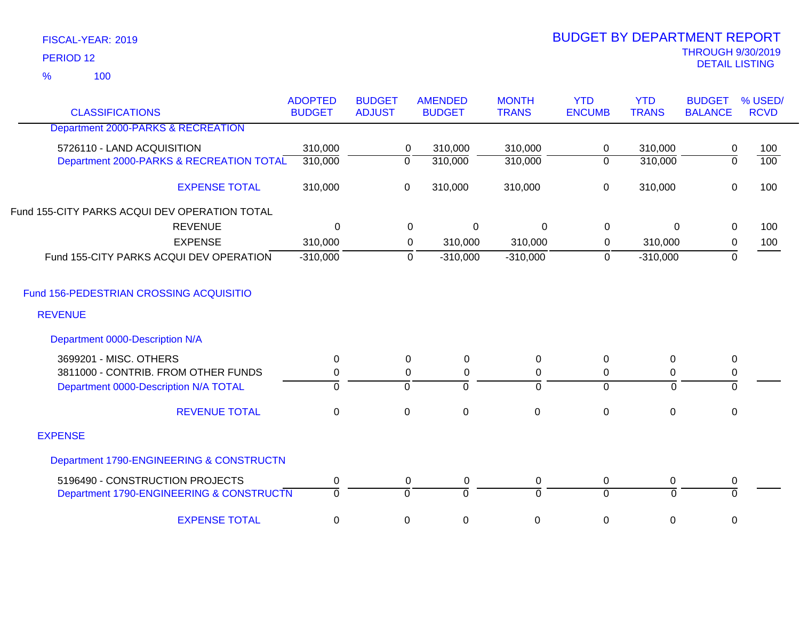100 %

|                                                              | <b>ADOPTED</b> | <b>BUDGET</b> |                | <b>AMENDED</b> | <b>MONTH</b> | <b>YTD</b>     | <b>YTD</b>     | <b>BUDGET</b>  | % USED/          |
|--------------------------------------------------------------|----------------|---------------|----------------|----------------|--------------|----------------|----------------|----------------|------------------|
| <b>CLASSIFICATIONS</b><br>Department 2000-PARKS & RECREATION | <b>BUDGET</b>  | <b>ADJUST</b> |                | <b>BUDGET</b>  | <b>TRANS</b> | <b>ENCUMB</b>  | <b>TRANS</b>   | <b>BALANCE</b> | <b>RCVD</b>      |
|                                                              |                |               |                |                |              |                |                |                |                  |
| 5726110 - LAND ACQUISITION                                   | 310,000        |               | 0              | 310,000        | 310,000      | $\mathbf 0$    | 310,000        | 0              | 100              |
| Department 2000-PARKS & RECREATION TOTAL                     | 310,000        |               | $\overline{0}$ | 310,000        | 310,000      | $\overline{0}$ | 310,000        | $\overline{0}$ | $\overline{100}$ |
| <b>EXPENSE TOTAL</b>                                         | 310,000        |               | 0              | 310,000        | 310,000      | $\pmb{0}$      | 310,000        | $\mathbf 0$    | 100              |
| Fund 155-CITY PARKS ACQUI DEV OPERATION TOTAL                |                |               |                |                |              |                |                |                |                  |
| <b>REVENUE</b>                                               | $\mathbf 0$    |               | $\mathbf 0$    | $\Omega$       | $\mathbf 0$  | $\mathbf 0$    | $\overline{0}$ | 0              | 100              |
| <b>EXPENSE</b>                                               | 310,000        |               | 0              | 310,000        | 310,000      | 0              | 310,000        | $\mathbf 0$    | 100              |
| Fund 155-CITY PARKS ACQUI DEV OPERATION                      | $-310,000$     |               | 0              | $-310,000$     | $-310,000$   | $\mathbf 0$    | $-310,000$     | 0              |                  |
| Fund 156-PEDESTRIAN CROSSING ACQUISITIO                      |                |               |                |                |              |                |                |                |                  |
| <b>REVENUE</b>                                               |                |               |                |                |              |                |                |                |                  |
| Department 0000-Description N/A                              |                |               |                |                |              |                |                |                |                  |
| 3699201 - MISC. OTHERS                                       | 0              |               | 0              | 0              | 0            | 0              | $\mathbf 0$    | $\pmb{0}$      |                  |
| 3811000 - CONTRIB. FROM OTHER FUNDS                          | 0              |               | 0              | 0              | 0            | 0              | 0              | $\pmb{0}$      |                  |
| Department 0000-Description N/A TOTAL                        | $\overline{0}$ |               | $\overline{0}$ | $\mathbf 0$    | $\Omega$     | $\overline{0}$ | $\mathbf 0$    | $\mathbf 0$    |                  |
| <b>REVENUE TOTAL</b>                                         | $\mathbf 0$    |               | $\mathbf 0$    | $\mathbf 0$    | $\mathbf 0$  | $\mathbf 0$    | $\mathbf 0$    | $\mathbf 0$    |                  |
| <b>EXPENSE</b>                                               |                |               |                |                |              |                |                |                |                  |
| Department 1790-ENGINEERING & CONSTRUCTN                     |                |               |                |                |              |                |                |                |                  |
| 5196490 - CONSTRUCTION PROJECTS                              | 0              |               | 0              | $\pmb{0}$      | 0            | $\pmb{0}$      | 0              | $\pmb{0}$      |                  |
| Department 1790-ENGINEERING & CONSTRUCTN                     | $\overline{0}$ |               | $\mathbf 0$    | $\Omega$       | $\Omega$     | $\overline{0}$ | $\Omega$       | $\Omega$       |                  |
| <b>EXPENSE TOTAL</b>                                         | 0              |               | 0              | 0              | 0            | 0              | 0              | 0              |                  |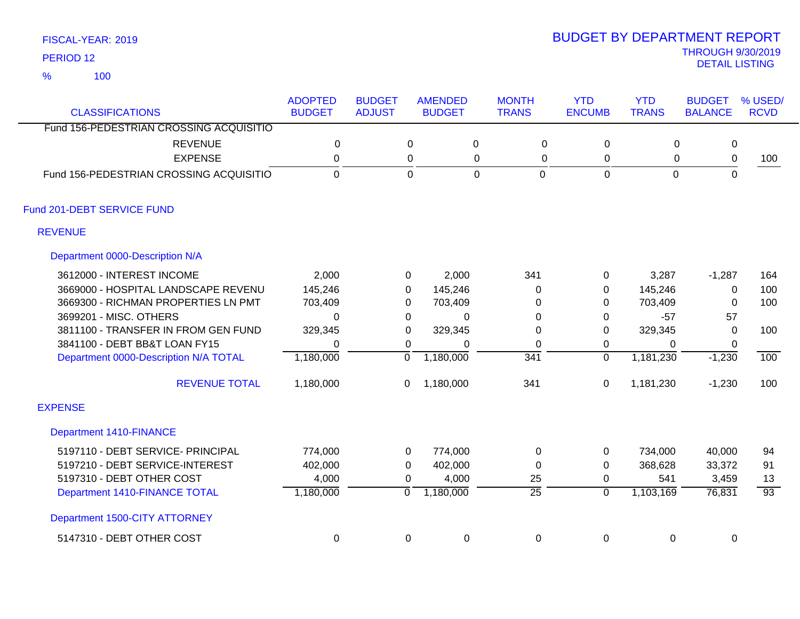100 %

| <b>CLASSIFICATIONS</b>                  | <b>ADOPTED</b><br><b>BUDGET</b> | <b>BUDGET</b><br><b>ADJUST</b> |                | <b>AMENDED</b><br><b>BUDGET</b> | <b>MONTH</b><br><b>TRANS</b> | <b>YTD</b><br><b>ENCUMB</b> | <b>YTD</b><br><b>TRANS</b> | <b>BUDGET</b><br><b>BALANCE</b> | % USED/<br><b>RCVD</b> |
|-----------------------------------------|---------------------------------|--------------------------------|----------------|---------------------------------|------------------------------|-----------------------------|----------------------------|---------------------------------|------------------------|
| Fund 156-PEDESTRIAN CROSSING ACQUISITIO |                                 |                                |                |                                 |                              |                             |                            |                                 |                        |
| <b>REVENUE</b>                          | $\mathbf 0$                     |                                | $\mathbf 0$    | $\pmb{0}$                       | $\mathbf 0$                  | 0                           | 0                          | $\mathbf 0$                     |                        |
| <b>EXPENSE</b>                          | 0                               |                                | 0              | 0                               | $\mathbf 0$                  | $\mathbf 0$                 | 0                          | $\pmb{0}$                       | 100                    |
| Fund 156-PEDESTRIAN CROSSING ACQUISITIO | $\mathbf 0$                     |                                | $\overline{0}$ | $\mathbf 0$                     | $\mathbf 0$                  | $\mathbf 0$                 | $\mathbf{0}$               | $\mathbf 0$                     |                        |
| Fund 201-DEBT SERVICE FUND              |                                 |                                |                |                                 |                              |                             |                            |                                 |                        |
| <b>REVENUE</b>                          |                                 |                                |                |                                 |                              |                             |                            |                                 |                        |
| Department 0000-Description N/A         |                                 |                                |                |                                 |                              |                             |                            |                                 |                        |
| 3612000 - INTEREST INCOME               | 2,000                           |                                | 0              | 2,000                           | 341                          | 0                           | 3,287                      | $-1,287$                        | 164                    |
| 3669000 - HOSPITAL LANDSCAPE REVENU     | 145,246                         |                                | 0              | 145,246                         | 0                            | 0                           | 145,246                    | 0                               | 100                    |
| 3669300 - RICHMAN PROPERTIES LN PMT     | 703,409                         |                                | 0              | 703,409                         | 0                            | 0                           | 703,409                    | $\mathbf{0}$                    | 100                    |
| 3699201 - MISC. OTHERS                  | $\Omega$                        |                                | 0              | 0                               | 0                            | 0                           | $-57$                      | 57                              |                        |
| 3811100 - TRANSFER IN FROM GEN FUND     | 329,345                         |                                | 0              | 329,345                         | 0                            | 0                           | 329,345                    | $\Omega$                        | 100                    |
| 3841100 - DEBT BB&T LOAN FY15           | 0                               |                                | 0              | 0                               | 0                            | 0                           | 0                          | 0                               |                        |
| Department 0000-Description N/A TOTAL   | 1,180,000                       | $\overline{0}$                 |                | 1,180,000                       | 341                          | 0                           | 1,181,230                  | $-1,230$                        | 100                    |
| <b>REVENUE TOTAL</b>                    | 1,180,000                       | 0                              |                | 1,180,000                       | 341                          | 0                           | 1,181,230                  | $-1,230$                        | 100                    |
| <b>EXPENSE</b>                          |                                 |                                |                |                                 |                              |                             |                            |                                 |                        |
| <b>Department 1410-FINANCE</b>          |                                 |                                |                |                                 |                              |                             |                            |                                 |                        |
| 5197110 - DEBT SERVICE- PRINCIPAL       | 774,000                         |                                | 0              | 774,000                         | 0                            | 0                           | 734,000                    | 40,000                          | 94                     |
| 5197210 - DEBT SERVICE-INTEREST         | 402,000                         |                                | 0              | 402,000                         | 0                            | 0                           | 368,628                    | 33,372                          | 91                     |
| 5197310 - DEBT OTHER COST               | 4,000                           |                                | 0              | 4,000                           | 25                           | 0                           | 541                        | 3,459                           | 13                     |
| Department 1410-FINANCE TOTAL           | 1,180,000                       | $\overline{0}$                 |                | 1,180,000                       | $\overline{25}$              | $\overline{0}$              | 1,103,169                  | 76,831                          | $\overline{93}$        |
| Department 1500-CITY ATTORNEY           |                                 |                                |                |                                 |                              |                             |                            |                                 |                        |
| 5147310 - DEBT OTHER COST               | 0                               |                                | $\pmb{0}$      | $\boldsymbol{0}$                | $\mathbf 0$                  | 0                           | 0                          | $\pmb{0}$                       |                        |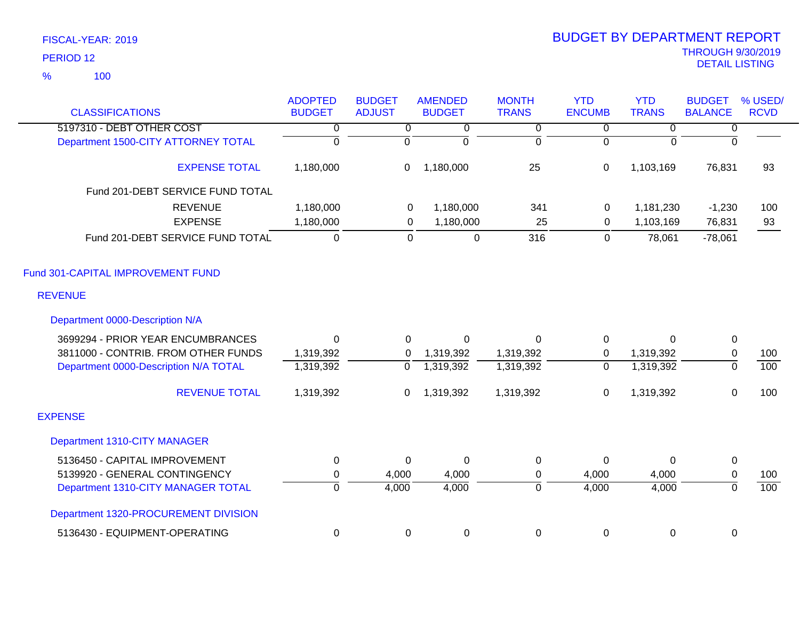| <b>CLASSIFICATIONS</b>                | <b>ADOPTED</b><br><b>BUDGET</b> | <b>BUDGET</b><br><b>ADJUST</b> | <b>AMENDED</b><br><b>BUDGET</b> | <b>MONTH</b><br><b>TRANS</b> | <b>YTD</b><br><b>ENCUMB</b> | <b>YTD</b><br><b>TRANS</b> | <b>BUDGET</b><br><b>BALANCE</b> | % USED/<br><b>RCVD</b> |
|---------------------------------------|---------------------------------|--------------------------------|---------------------------------|------------------------------|-----------------------------|----------------------------|---------------------------------|------------------------|
| 5197310 - DEBT OTHER COST             | 0                               | 0                              | 0                               | $\overline{0}$               | $\overline{0}$              | $\overline{0}$             | 0                               |                        |
| Department 1500-CITY ATTORNEY TOTAL   | $\overline{0}$                  | 0                              | 0                               | $\mathbf 0$                  | $\mathbf 0$                 | 0                          | $\Omega$                        |                        |
| <b>EXPENSE TOTAL</b>                  | 1,180,000                       | 0                              | 1,180,000                       | 25                           | $\mathbf 0$                 | 1,103,169                  | 76,831                          | 93                     |
| Fund 201-DEBT SERVICE FUND TOTAL      |                                 |                                |                                 |                              |                             |                            |                                 |                        |
| <b>REVENUE</b>                        | 1,180,000                       | 0                              | 1,180,000                       | 341                          | 0                           | 1,181,230                  | $-1,230$                        | 100                    |
| <b>EXPENSE</b>                        | 1,180,000                       | 0                              | 1,180,000                       | 25                           | $\mathbf 0$                 | 1,103,169                  | 76,831                          | 93                     |
| Fund 201-DEBT SERVICE FUND TOTAL      | $\pmb{0}$                       | 0                              | $\mathbf 0$                     | 316                          | $\mathbf 0$                 | 78,061                     | $-78,061$                       |                        |
| Fund 301-CAPITAL IMPROVEMENT FUND     |                                 |                                |                                 |                              |                             |                            |                                 |                        |
| <b>REVENUE</b>                        |                                 |                                |                                 |                              |                             |                            |                                 |                        |
| Department 0000-Description N/A       |                                 |                                |                                 |                              |                             |                            |                                 |                        |
| 3699294 - PRIOR YEAR ENCUMBRANCES     | $\Omega$                        | $\Omega$                       | $\Omega$                        | $\Omega$                     | 0                           | $\Omega$                   | $\mathbf 0$                     |                        |
| 3811000 - CONTRIB. FROM OTHER FUNDS   | 1,319,392                       | 0                              | 1,319,392                       | 1,319,392                    | 0                           | 1,319,392                  | $\pmb{0}$                       | 100                    |
| Department 0000-Description N/A TOTAL | 1,319,392                       | $\overline{0}$                 | 1,319,392                       | 1,319,392                    | $\overline{0}$              | 1,319,392                  | $\overline{0}$                  | 100                    |
| <b>REVENUE TOTAL</b>                  | 1,319,392                       | 0                              | 1,319,392                       | 1,319,392                    | 0                           | 1,319,392                  | 0                               | 100                    |
| <b>EXPENSE</b>                        |                                 |                                |                                 |                              |                             |                            |                                 |                        |
| Department 1310-CITY MANAGER          |                                 |                                |                                 |                              |                             |                            |                                 |                        |
| 5136450 - CAPITAL IMPROVEMENT         | $\mathbf 0$                     | $\Omega$                       | 0                               | $\mathbf 0$                  | $\mathbf 0$                 | $\Omega$                   | 0                               |                        |
| 5139920 - GENERAL CONTINGENCY         | $\pmb{0}$                       | 4,000                          | 4,000                           | 0                            | 4,000                       | 4,000                      | $\pmb{0}$                       | 100                    |
| Department 1310-CITY MANAGER TOTAL    | $\overline{0}$                  | 4,000                          | 4,000                           | $\overline{0}$               | 4,000                       | 4,000                      | $\overline{0}$                  | 100                    |
| Department 1320-PROCUREMENT DIVISION  |                                 |                                |                                 |                              |                             |                            |                                 |                        |
| 5136430 - EQUIPMENT-OPERATING         | $\mathbf 0$                     | 0                              | $\boldsymbol{0}$                | 0                            | 0                           | 0                          | 0                               |                        |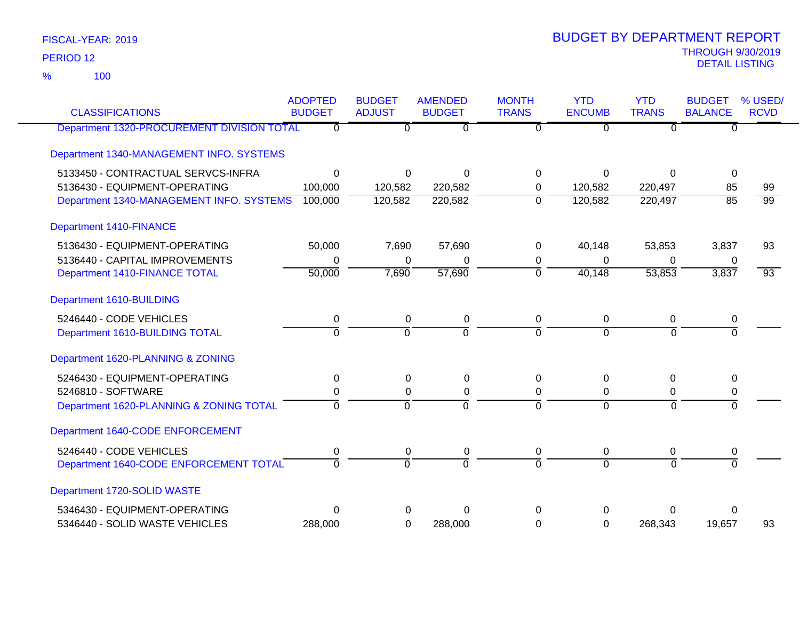100 %

| <b>CLASSIFICATIONS</b>                     | <b>ADOPTED</b><br><b>BUDGET</b> | <b>BUDGET</b><br><b>ADJUST</b> | <b>AMENDED</b><br><b>BUDGET</b> | <b>MONTH</b><br><b>TRANS</b> | <b>YTD</b><br><b>ENCUMB</b> | <b>YTD</b><br><b>TRANS</b> | <b>BUDGET</b><br><b>BALANCE</b> | % USED/<br><b>RCVD</b> |
|--------------------------------------------|---------------------------------|--------------------------------|---------------------------------|------------------------------|-----------------------------|----------------------------|---------------------------------|------------------------|
| Department 1320-PROCUREMENT DIVISION TOTAL | 0                               | 0                              | $\overline{0}$                  | 0                            | $\overline{0}$              | $\overline{0}$             | $\overline{0}$                  |                        |
| Department 1340-MANAGEMENT INFO. SYSTEMS   |                                 |                                |                                 |                              |                             |                            |                                 |                        |
| 5133450 - CONTRACTUAL SERVCS-INFRA         | $\mathbf{0}$                    | 0                              | $\Omega$                        | $\Omega$                     | $\Omega$                    | $\mathbf 0$                | $\mathbf 0$                     |                        |
| 5136430 - EQUIPMENT-OPERATING              | 100,000                         | 120,582                        | 220,582                         | 0                            | 120,582                     | 220,497                    | 85                              | 99                     |
| Department 1340-MANAGEMENT INFO. SYSTEMS   | 100,000                         | 120,582                        | 220,582                         | ō                            | 120,582                     | 220,497                    | $\overline{85}$                 | $\overline{99}$        |
| <b>Department 1410-FINANCE</b>             |                                 |                                |                                 |                              |                             |                            |                                 |                        |
| 5136430 - EQUIPMENT-OPERATING              | 50,000                          | 7,690                          | 57,690                          | 0                            | 40,148                      | 53,853                     | 3,837                           | 93                     |
| 5136440 - CAPITAL IMPROVEMENTS             | 0                               | 0                              | 0                               | 0                            | $\Omega$                    | 0                          | 0                               |                        |
| Department 1410-FINANCE TOTAL              | 50,000                          | 7,690                          | 57,690                          | $\mathbf 0$                  | 40,148                      | 53,853                     | 3,837                           | $\overline{93}$        |
| Department 1610-BUILDING                   |                                 |                                |                                 |                              |                             |                            |                                 |                        |
| 5246440 - CODE VEHICLES                    | $\mathbf 0$                     | $\mathsf 0$                    | $\pmb{0}$                       | $\mathbf 0$                  | $\mathbf 0$                 | $\mathbf 0$                | $\pmb{0}$                       |                        |
| Department 1610-BUILDING TOTAL             | $\Omega$                        | $\overline{0}$                 | $\overline{0}$                  | $\Omega$                     | $\Omega$                    | $\Omega$                   | $\Omega$                        |                        |
| Department 1620-PLANNING & ZONING          |                                 |                                |                                 |                              |                             |                            |                                 |                        |
| 5246430 - EQUIPMENT-OPERATING              | 0                               | 0                              | $\pmb{0}$                       | 0                            | $\mathbf 0$                 | $\boldsymbol{0}$           | 0                               |                        |
| 5246810 - SOFTWARE                         | 0                               | $\Omega$                       | $\pmb{0}$                       | $\Omega$                     | 0                           | 0                          | 0                               |                        |
| Department 1620-PLANNING & ZONING TOTAL    | $\Omega$                        | $\overline{0}$                 | $\overline{0}$                  | $\Omega$                     | $\Omega$                    | $\Omega$                   | $\overline{0}$                  |                        |
| Department 1640-CODE ENFORCEMENT           |                                 |                                |                                 |                              |                             |                            |                                 |                        |
| 5246440 - CODE VEHICLES                    | 0                               | 0                              | $\pmb{0}$                       | 0                            | 0                           | 0                          | 0                               |                        |
| Department 1640-CODE ENFORCEMENT TOTAL     | $\overline{0}$                  | $\overline{0}$                 | $\overline{0}$                  | $\overline{0}$               | $\Omega$                    | $\Omega$                   | $\overline{0}$                  |                        |
| Department 1720-SOLID WASTE                |                                 |                                |                                 |                              |                             |                            |                                 |                        |
| 5346430 - EQUIPMENT-OPERATING              | $\Omega$                        | 0                              | $\Omega$                        | $\Omega$                     | 0                           | 0                          | 0                               |                        |
| 5346440 - SOLID WASTE VEHICLES             | 288,000                         | 0                              | 288,000                         | 0                            | $\overline{0}$              | 268,343                    | 19,657                          | 93                     |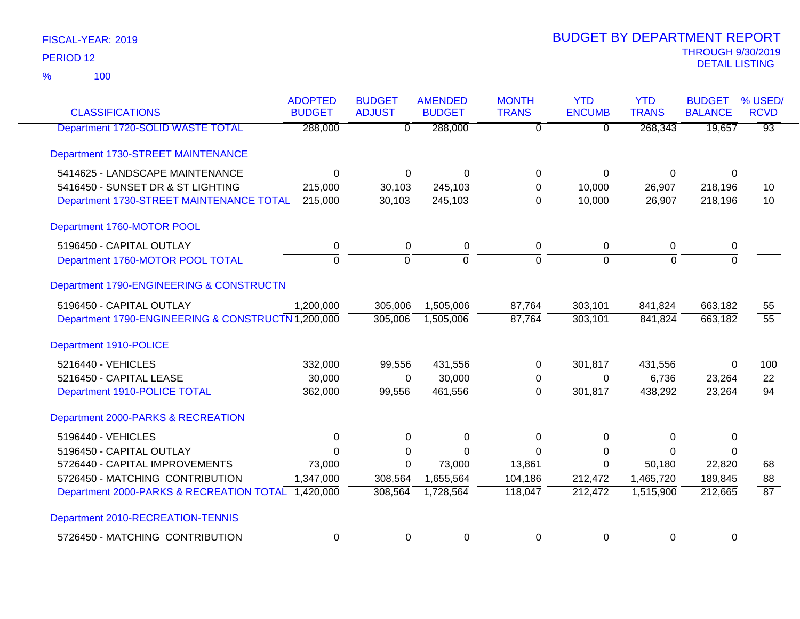100 %

| <b>CLASSIFICATIONS</b>                             | <b>ADOPTED</b><br><b>BUDGET</b> | <b>BUDGET</b><br><b>ADJUST</b> | <b>AMENDED</b><br><b>BUDGET</b> | <b>MONTH</b><br><b>TRANS</b> | <b>YTD</b><br><b>ENCUMB</b> | <b>YTD</b><br><b>TRANS</b> | <b>BUDGET</b><br><b>BALANCE</b> | % USED/<br><b>RCVD</b> |
|----------------------------------------------------|---------------------------------|--------------------------------|---------------------------------|------------------------------|-----------------------------|----------------------------|---------------------------------|------------------------|
| Department 1720-SOLID WASTE TOTAL                  | 288,000                         | $\overline{0}$                 | 288,000                         | $\overline{0}$               | $\overline{0}$              | 268,343                    | 19,657                          | $\overline{93}$        |
| Department 1730-STREET MAINTENANCE                 |                                 |                                |                                 |                              |                             |                            |                                 |                        |
| 5414625 - LANDSCAPE MAINTENANCE                    | $\Omega$                        | 0                              | $\Omega$                        | $\Omega$                     | $\Omega$                    | 0                          | $\Omega$                        |                        |
| 5416450 - SUNSET DR & ST LIGHTING                  | 215,000                         | 30,103                         | 245,103                         | 0                            | 10,000                      | 26,907                     | 218,196                         | 10                     |
| Department 1730-STREET MAINTENANCE TOTAL           | 215,000                         | 30,103                         | 245,103                         | $\overline{0}$               | 10,000                      | 26,907                     | 218,196                         | $\overline{10}$        |
| Department 1760-MOTOR POOL                         |                                 |                                |                                 |                              |                             |                            |                                 |                        |
| 5196450 - CAPITAL OUTLAY                           | 0                               | 0                              | 0                               | $\mathbf 0$                  | $\pmb{0}$                   | 0                          | 0                               |                        |
| Department 1760-MOTOR POOL TOTAL                   | $\overline{0}$                  | $\overline{0}$                 | $\overline{0}$                  | $\Omega$                     | $\overline{0}$              | $\overline{0}$             | $\overline{0}$                  |                        |
| Department 1790-ENGINEERING & CONSTRUCTN           |                                 |                                |                                 |                              |                             |                            |                                 |                        |
| 5196450 - CAPITAL OUTLAY                           | 1,200,000                       | 305,006                        | 1,505,006                       | 87,764                       | 303,101                     | 841,824                    | 663,182                         | 55                     |
| Department 1790-ENGINEERING & CONSTRUCTN 1,200,000 |                                 | 305,006                        | 1,505,006                       | 87,764                       | 303,101                     | 841,824                    | 663,182                         | $\overline{55}$        |
| Department 1910-POLICE                             |                                 |                                |                                 |                              |                             |                            |                                 |                        |
| 5216440 - VEHICLES                                 | 332,000                         | 99,556                         | 431,556                         | 0                            | 301,817                     | 431,556                    | $\Omega$                        | 100                    |
| 5216450 - CAPITAL LEASE                            | 30,000                          | $\Omega$                       | 30,000                          | 0                            | 0                           | 6,736                      | 23,264                          | 22                     |
| Department 1910-POLICE TOTAL                       | 362,000                         | 99,556                         | 461,556                         | $\overline{0}$               | 301,817                     | 438,292                    | 23,264                          | $\overline{94}$        |
| Department 2000-PARKS & RECREATION                 |                                 |                                |                                 |                              |                             |                            |                                 |                        |
| 5196440 - VEHICLES                                 | 0                               | $\mathbf 0$                    | $\Omega$                        | $\Omega$                     | 0                           | 0                          | $\Omega$                        |                        |
| 5196450 - CAPITAL OUTLAY                           | $\Omega$                        | 0                              | $\Omega$                        | $\Omega$                     | 0                           | $\Omega$                   | 0                               |                        |
| 5726440 - CAPITAL IMPROVEMENTS                     | 73,000                          | 0                              | 73,000                          | 13,861                       | 0                           | 50,180                     | 22,820                          | 68                     |
| 5726450 - MATCHING CONTRIBUTION                    | 1,347,000                       | 308,564                        | 1,655,564                       | 104,186                      | 212,472                     | 1,465,720                  | 189,845                         | 88                     |
| Department 2000-PARKS & RECREATION TOTAL 1,420,000 |                                 | 308,564                        | 1,728,564                       | 118,047                      | 212,472                     | 1,515,900                  | 212,665                         | $\overline{87}$        |
| Department 2010-RECREATION-TENNIS                  |                                 |                                |                                 |                              |                             |                            |                                 |                        |
| 5726450 - MATCHING CONTRIBUTION                    | 0                               | 0                              | $\mathbf 0$                     | 0                            | 0                           | 0                          | 0                               |                        |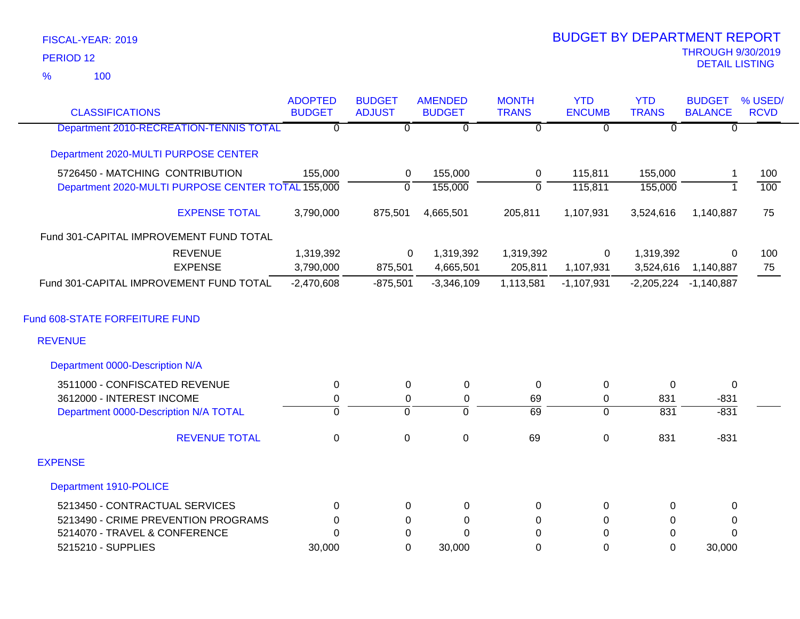100 %

|                                                    | <b>ADOPTED</b> | <b>BUDGET</b>  | <b>AMENDED</b>   | <b>MONTH</b>    | <b>YTD</b>     | <b>YTD</b>   | <b>BUDGET</b>             | % USED/     |
|----------------------------------------------------|----------------|----------------|------------------|-----------------|----------------|--------------|---------------------------|-------------|
| <b>CLASSIFICATIONS</b>                             | <b>BUDGET</b>  | <b>ADJUST</b>  | <b>BUDGET</b>    | <b>TRANS</b>    | <b>ENCUMB</b>  | <b>TRANS</b> | <b>BALANCE</b>            | <b>RCVD</b> |
| Department 2010-RECREATION-TENNIS TOTAL            | $\overline{0}$ | $\overline{0}$ | $\Omega$         | $\overline{0}$  | $\overline{0}$ | $\Omega$     | $\Omega$                  |             |
| Department 2020-MULTI PURPOSE CENTER               |                |                |                  |                 |                |              |                           |             |
| 5726450 - MATCHING CONTRIBUTION                    | 155,000        | 0              | 155,000          | $\mathbf 0$     | 115,811        | 155,000      |                           | 100         |
| Department 2020-MULTI PURPOSE CENTER TOTAL 155,000 |                | $\mathbf 0$    | 155,000          | $\overline{0}$  | 115,811        | 155,000      |                           | 100         |
| <b>EXPENSE TOTAL</b>                               | 3,790,000      | 875,501        | 4,665,501        | 205,811         | 1,107,931      | 3,524,616    | 1,140,887                 | 75          |
| Fund 301-CAPITAL IMPROVEMENT FUND TOTAL            |                |                |                  |                 |                |              |                           |             |
| <b>REVENUE</b>                                     | 1,319,392      | 0              | 1,319,392        | 1,319,392       | $\mathbf 0$    | 1,319,392    | $\Omega$                  | 100         |
| <b>EXPENSE</b>                                     | 3,790,000      | 875,501        | 4,665,501        | 205,811         | 1,107,931      | 3,524,616    | 1,140,887                 | 75          |
| Fund 301-CAPITAL IMPROVEMENT FUND TOTAL            | $-2,470,608$   | $-875,501$     | $-3,346,109$     | 1,113,581       | $-1,107,931$   |              | $-2,205,224$ $-1,140,887$ |             |
| Fund 608-STATE FORFEITURE FUND                     |                |                |                  |                 |                |              |                           |             |
| <b>REVENUE</b>                                     |                |                |                  |                 |                |              |                           |             |
| Department 0000-Description N/A                    |                |                |                  |                 |                |              |                           |             |
| 3511000 - CONFISCATED REVENUE                      | 0              | 0              | 0                | 0               | 0              | 0            | 0                         |             |
| 3612000 - INTEREST INCOME                          | 0              | 0              | $\pmb{0}$        | 69              | 0              | 831          | $-831$                    |             |
| Department 0000-Description N/A TOTAL              | $\overline{0}$ | $\overline{0}$ | $\overline{0}$   | $\overline{69}$ | $\overline{0}$ | 831          | $-831$                    |             |
| <b>REVENUE TOTAL</b>                               | $\mathbf 0$    | $\mathsf 0$    | $\boldsymbol{0}$ | 69              | $\pmb{0}$      | 831          | $-831$                    |             |
| <b>EXPENSE</b>                                     |                |                |                  |                 |                |              |                           |             |
| Department 1910-POLICE                             |                |                |                  |                 |                |              |                           |             |
| 5213450 - CONTRACTUAL SERVICES                     | $\Omega$       | $\Omega$       | 0                | 0               | 0              | $\Omega$     | 0                         |             |
| 5213490 - CRIME PREVENTION PROGRAMS                | 0              | 0              | 0                | 0               | 0              | 0            | 0                         |             |
| 5214070 - TRAVEL & CONFERENCE                      | $\Omega$       | $\mathbf 0$    | $\Omega$         | $\Omega$        | $\Omega$       | $\mathbf 0$  | $\Omega$                  |             |
| 5215210 - SUPPLIES                                 | 30,000         | $\Omega$       | 30,000           | 0               | $\overline{0}$ | $\Omega$     | 30,000                    |             |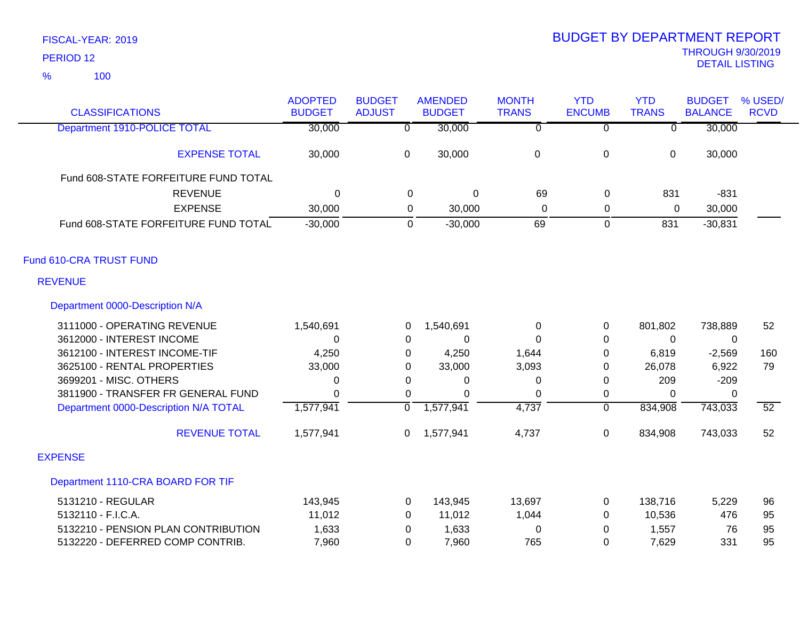| <b>CLASSIFICATIONS</b>                | <b>ADOPTED</b><br><b>BUDGET</b> | <b>BUDGET</b><br><b>ADJUST</b> | <b>AMENDED</b><br><b>BUDGET</b> | <b>MONTH</b><br><b>TRANS</b> | <b>YTD</b><br><b>ENCUMB</b> | <b>YTD</b><br><b>TRANS</b> | <b>BUDGET</b><br><b>BALANCE</b> | % USED/<br><b>RCVD</b> |
|---------------------------------------|---------------------------------|--------------------------------|---------------------------------|------------------------------|-----------------------------|----------------------------|---------------------------------|------------------------|
| <b>Department 1910-POLICE TOTAL</b>   | 30,000                          | $\overline{0}$                 | 30,000                          | $\overline{0}$               | $\overline{0}$              | ᠊ᠦ                         | 30,000                          |                        |
| <b>EXPENSE TOTAL</b>                  | 30,000                          | $\mathbf 0$                    | 30,000                          | $\pmb{0}$                    | $\boldsymbol{0}$            | $\mathbf 0$                | 30,000                          |                        |
| Fund 608-STATE FORFEITURE FUND TOTAL  |                                 |                                |                                 |                              |                             |                            |                                 |                        |
| <b>REVENUE</b>                        | 0                               | 0                              | 0                               | 69                           | 0                           | 831                        | $-831$                          |                        |
| <b>EXPENSE</b>                        | 30,000                          | 0                              | 30,000                          | $\mathbf 0$                  | $\pmb{0}$                   | 0                          | 30,000                          |                        |
| Fund 608-STATE FORFEITURE FUND TOTAL  | $-30,000$                       | 0                              | $-30,000$                       | 69                           | $\mathbf 0$                 | 831                        | $-30,831$                       |                        |
| Fund 610-CRA TRUST FUND               |                                 |                                |                                 |                              |                             |                            |                                 |                        |
| <b>REVENUE</b>                        |                                 |                                |                                 |                              |                             |                            |                                 |                        |
| Department 0000-Description N/A       |                                 |                                |                                 |                              |                             |                            |                                 |                        |
| 3111000 - OPERATING REVENUE           | 1,540,691                       | 0                              | 1,540,691                       | 0                            | 0                           | 801,802                    | 738,889                         | 52                     |
| 3612000 - INTEREST INCOME             | 0                               | 0                              | $\Omega$                        | $\Omega$                     | 0                           | 0                          | 0                               |                        |
| 3612100 - INTEREST INCOME-TIF         | 4,250                           | 0                              | 4,250                           | 1,644                        | 0                           | 6,819                      | $-2,569$                        | 160                    |
| 3625100 - RENTAL PROPERTIES           | 33,000                          | 0                              | 33,000                          | 3,093                        | 0                           | 26,078                     | 6,922                           | 79                     |
| 3699201 - MISC. OTHERS                | 0                               | 0                              | 0                               | 0                            | 0                           | 209                        | $-209$                          |                        |
| 3811900 - TRANSFER FR GENERAL FUND    | $\Omega$                        | 0                              | $\Omega$                        | $\Omega$                     | 0                           | $\Omega$                   | $\Omega$                        |                        |
| Department 0000-Description N/A TOTAL | 1,577,941                       | $\mathbf 0$                    | 1,577,941                       | 4,737                        | $\overline{0}$              | 834,908                    | 743,033                         | $\overline{52}$        |
| <b>REVENUE TOTAL</b>                  | 1,577,941                       | 0                              | 1,577,941                       | 4,737                        | $\boldsymbol{0}$            | 834,908                    | 743,033                         | 52                     |
| <b>EXPENSE</b>                        |                                 |                                |                                 |                              |                             |                            |                                 |                        |
| Department 1110-CRA BOARD FOR TIF     |                                 |                                |                                 |                              |                             |                            |                                 |                        |
| 5131210 - REGULAR                     | 143,945                         | 0                              | 143,945                         | 13,697                       | 0                           | 138,716                    | 5,229                           | 96                     |
| 5132110 - F.I.C.A.                    | 11,012                          | 0                              | 11,012                          | 1,044                        | 0                           | 10,536                     | 476                             | 95                     |
| 5132210 - PENSION PLAN CONTRIBUTION   | 1,633                           | 0                              | 1,633                           | 0                            | 0                           | 1,557                      | 76                              | 95                     |
| 5132220 - DEFERRED COMP CONTRIB.      | 7,960                           | 0                              | 7,960                           | 765                          | 0                           | 7,629                      | 331                             | 95                     |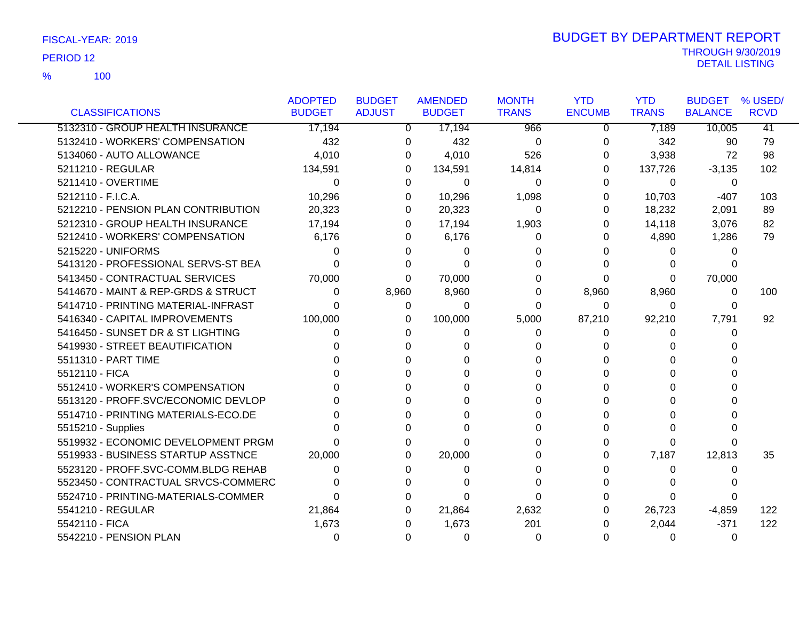100 %

|                                     | <b>ADOPTED</b> | <b>BUDGET</b> | <b>AMENDED</b> | <b>MONTH</b> | <b>YTD</b>    | <b>YTD</b>   | <b>BUDGET</b>  | % USED/     |
|-------------------------------------|----------------|---------------|----------------|--------------|---------------|--------------|----------------|-------------|
| <b>CLASSIFICATIONS</b>              | <b>BUDGET</b>  | <b>ADJUST</b> | <b>BUDGET</b>  | <b>TRANS</b> | <b>ENCUMB</b> | <b>TRANS</b> | <b>BALANCE</b> | <b>RCVD</b> |
| 5132310 - GROUP HEALTH INSURANCE    | 17,194         | 0             | 17,194         | 966          | 0             | 7,189        | 10,005         | 41          |
| 5132410 - WORKERS' COMPENSATION     | 432            | 0             | 432            | $\Omega$     | 0             | 342          | 90             | 79          |
| 5134060 - AUTO ALLOWANCE            | 4,010          | 0             | 4,010          | 526          | 0             | 3,938        | 72             | 98          |
| 5211210 - REGULAR                   | 134,591        | 0             | 134,591        | 14,814       | 0             | 137,726      | $-3,135$       | 102         |
| 5211410 - OVERTIME                  | $\Omega$       | 0             | 0              | $\Omega$     | $\Omega$      | $\Omega$     | 0              |             |
| 5212110 - F.I.C.A.                  | 10,296         | 0             | 10,296         | 1,098        | 0             | 10,703       | $-407$         | 103         |
| 5212210 - PENSION PLAN CONTRIBUTION | 20,323         | 0             | 20,323         | 0            | 0             | 18,232       | 2,091          | 89          |
| 5212310 - GROUP HEALTH INSURANCE    | 17,194         | 0             | 17,194         | 1,903        | 0             | 14,118       | 3,076          | 82          |
| 5212410 - WORKERS' COMPENSATION     | 6,176          | 0             | 6,176          | 0            | 0             | 4,890        | 1,286          | 79          |
| 5215220 - UNIFORMS                  | 0              |               | 0              |              |               | 0            | 0              |             |
| 5413120 - PROFESSIONAL SERVS-ST BEA | U              |               | $\Omega$       | 0            | U             | 0            |                |             |
| 5413450 - CONTRACTUAL SERVICES      | 70,000         | 0             | 70,000         | 0            | 0             | 0            | 70,000         |             |
| 5414670 - MAINT & REP-GRDS & STRUCT | 0              | 8,960         | 8,960          | 0            | 8,960         | 8,960        | 0              | 100         |
| 5414710 - PRINTING MATERIAL-INFRAST | U              | 0             | $\Omega$       | $\Omega$     | $\Omega$      | $\Omega$     | $\Omega$       |             |
| 5416340 - CAPITAL IMPROVEMENTS      | 100,000        | 0             | 100,000        | 5,000        | 87,210        | 92,210       | 7,791          | 92          |
| 5416450 - SUNSET DR & ST LIGHTING   | 0              | 0             | 0              | 0            | 0             | 0            | 0              |             |
| 5419930 - STREET BEAUTIFICATION     |                |               | ∩              | 0            | 0             | 0            |                |             |
| 5511310 - PART TIME                 |                |               | ∩              |              | 0             | U            |                |             |
| 5512110 - FICA                      |                |               | ∩              |              | 0             | ∩            |                |             |
| 5512410 - WORKER'S COMPENSATION     |                |               | 0              |              | 0             | 0            |                |             |
| 5513120 - PROFF.SVC/ECONOMIC DEVLOP |                |               | 0              |              | 0             | 0            |                |             |
| 5514710 - PRINTING MATERIALS-ECO.DE |                |               | 0              |              | 0             | ი            |                |             |
| 5515210 - Supplies                  |                |               | $\Omega$       | 0            | 0             | $\Omega$     |                |             |
| 5519932 - ECONOMIC DEVELOPMENT PRGM |                | O             | 0              |              | 0             | 0            |                |             |
| 5519933 - BUSINESS STARTUP ASSTNCE  | 20,000         | 0             | 20,000         | 0            | 0             | 7,187        | 12,813         | 35          |
| 5523120 - PROFF.SVC-COMM.BLDG REHAB | 0              |               | 0              |              | 0             | $\Omega$     | 0              |             |
| 5523450 - CONTRACTUAL SRVCS-COMMERC |                |               |                | 0            | 0             |              |                |             |
| 5524710 - PRINTING-MATERIALS-COMMER | 0              | 0             | 0              | 0            | 0             | 0            | 0              |             |
| 5541210 - REGULAR                   | 21,864         | 0             | 21,864         | 2,632        | 0             | 26,723       | $-4,859$       | 122         |
| 5542110 - FICA                      | 1,673          | 0             | 1,673          | 201          | 0             | 2,044        | $-371$         | 122         |
| 5542210 - PENSION PLAN              | 0              | 0             | 0              | 0            | 0             | 0            | 0              |             |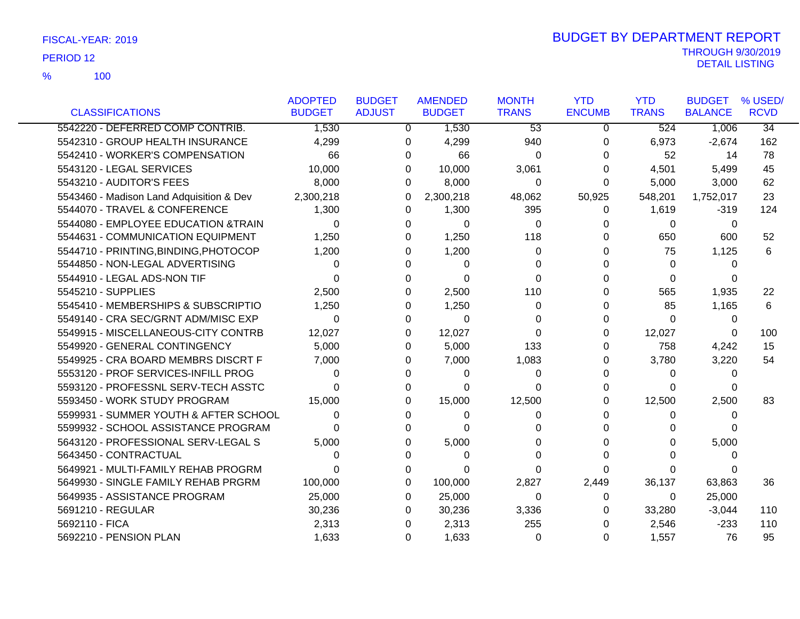|                                          | <b>ADOPTED</b> | <b>BUDGET</b> | <b>AMENDED</b> | <b>MONTH</b>    | <b>YTD</b>    | <b>YTD</b>   | <b>BUDGET</b>  | % USED/         |
|------------------------------------------|----------------|---------------|----------------|-----------------|---------------|--------------|----------------|-----------------|
| <b>CLASSIFICATIONS</b>                   | <b>BUDGET</b>  | <b>ADJUST</b> | <b>BUDGET</b>  | <b>TRANS</b>    | <b>ENCUMB</b> | <b>TRANS</b> | <b>BALANCE</b> | <b>RCVD</b>     |
| 5542220 - DEFERRED COMP CONTRIB.         | 1,530          | 0             | 1,530          | $\overline{53}$ | $\mathbf 0$   | 524          | 1,006          | $\overline{34}$ |
| 5542310 - GROUP HEALTH INSURANCE         | 4,299          | 0             | 4,299          | 940             | 0             | 6,973        | $-2,674$       | 162             |
| 5542410 - WORKER'S COMPENSATION          | 66             | 0             | 66             | 0               | 0             | 52           | 14             | 78              |
| 5543120 - LEGAL SERVICES                 | 10,000         | 0             | 10,000         | 3,061           | 0             | 4,501        | 5,499          | 45              |
| 5543210 - AUDITOR'S FEES                 | 8,000          | 0             | 8,000          | 0               | 0             | 5,000        | 3,000          | 62              |
| 5543460 - Madison Land Adquisition & Dev | 2,300,218      | 0             | 2,300,218      | 48,062          | 50,925        | 548,201      | 1,752,017      | 23              |
| 5544070 - TRAVEL & CONFERENCE            | 1,300          | 0             | 1,300          | 395             | 0             | 1,619        | $-319$         | 124             |
| 5544080 - EMPLOYEE EDUCATION &TRAIN      | 0              | 0             | 0              | 0               | O             | 0            | 0              |                 |
| 5544631 - COMMUNICATION EQUIPMENT        | 1,250          | 0             | 1,250          | 118             | O             | 650          | 600            | 52              |
| 5544710 - PRINTING, BINDING, PHOTOCOP    | 1,200          | 0             | 1,200          | $\Omega$        |               | 75           | 1,125          | 6               |
| 5544850 - NON-LEGAL ADVERTISING          | $\Omega$       | 0             | $\Omega$       | $\Omega$        |               | $\Omega$     | 0              |                 |
| 5544910 - LEGAL ADS-NON TIF              | 0              | 0             | $\Omega$       | $\Omega$        |               | $\Omega$     | 0              |                 |
| 5545210 - SUPPLIES                       | 2,500          | 0             | 2,500          | 110             | O             | 565          | 1,935          | 22              |
| 5545410 - MEMBERSHIPS & SUBSCRIPTIO      | 1,250          | 0             | 1,250          | $\Omega$        | O             | 85           | 1,165          | 6               |
| 5549140 - CRA SEC/GRNT ADM/MISC EXP      | $\Omega$       | 0             | $\Omega$       | 0               | 0             | $\Omega$     | 0              |                 |
| 5549915 - MISCELLANEOUS-CITY CONTRB      | 12,027         | 0             | 12,027         | 0               | 0             | 12,027       | 0              | 100             |
| 5549920 - GENERAL CONTINGENCY            | 5,000          | 0             | 5,000          | 133             | 0             | 758          | 4,242          | 15              |
| 5549925 - CRA BOARD MEMBRS DISCRT F      | 7,000          | 0             | 7,000          | 1,083           | O             | 3,780        | 3,220          | 54              |
| 5553120 - PROF SERVICES-INFILL PROG      | 0              | 0             | 0              | 0               | 0             | 0            | 0              |                 |
| 5593120 - PROFESSNL SERV-TECH ASSTC      | 0              | 0             | 0              | 0               | 0             | 0            | 0              |                 |
| 5593450 - WORK STUDY PROGRAM             | 15,000         | 0             | 15,000         | 12,500          | O             | 12,500       | 2,500          | 83              |
| 5599931 - SUMMER YOUTH & AFTER SCHOOL    | 0              | 0             | 0              | 0               | U             | 0            | 0              |                 |
| 5599932 - SCHOOL ASSISTANCE PROGRAM      | <sup>0</sup>   | 0             | $\Omega$       | 0               |               | 0            | 0              |                 |
| 5643120 - PROFESSIONAL SERV-LEGAL S      | 5,000          | 0             | 5,000          | 0               |               | 0            | 5,000          |                 |
| 5643450 - CONTRACTUAL                    | 0              | 0             | 0              | 0               | U             | 0            | 0              |                 |
| 5649921 - MULTI-FAMILY REHAB PROGRM      | 0              | 0             | 0              | $\Omega$        | O             | 0            |                |                 |
| 5649930 - SINGLE FAMILY REHAB PRGRM      | 100,000        | 0             | 100,000        | 2,827           | 2,449         | 36,137       | 63,863         | 36              |
| 5649935 - ASSISTANCE PROGRAM             | 25,000         | 0             | 25,000         | 0               | 0             | $\Omega$     | 25,000         |                 |
| 5691210 - REGULAR                        | 30,236         | 0             | 30,236         | 3,336           | 0             | 33,280       | $-3,044$       | 110             |
| 5692110 - FICA                           | 2,313          | 0             | 2,313          | 255             | 0             | 2,546        | $-233$         | 110             |
| 5692210 - PENSION PLAN                   | 1,633          | 0             | 1,633          | 0               | 0             | 1,557        | 76             | 95              |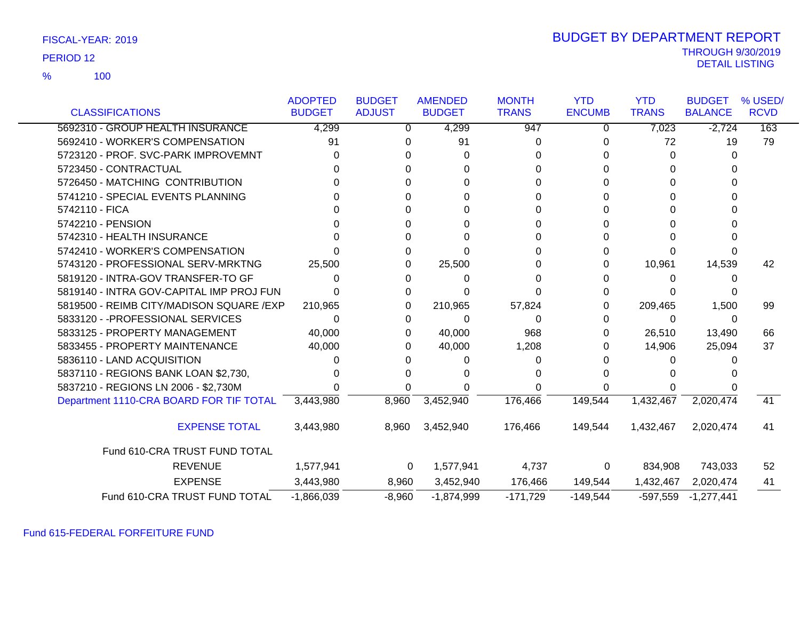100 %

### THROUGH 9/30/2019<br>DETAIL LISTING DETAIL LISTING PERIOD <sup>12</sup> BUDGET BY DEPARTMENT REPORT

|                                          | <b>ADOPTED</b> | <b>BUDGET</b> | <b>AMENDED</b> | <b>MONTH</b> | <b>YTD</b>    | <b>YTD</b>   | <b>BUDGET</b>  | % USED/     |
|------------------------------------------|----------------|---------------|----------------|--------------|---------------|--------------|----------------|-------------|
| <b>CLASSIFICATIONS</b>                   | <b>BUDGET</b>  | <b>ADJUST</b> | <b>BUDGET</b>  | <b>TRANS</b> | <b>ENCUMB</b> | <b>TRANS</b> | <b>BALANCE</b> | <b>RCVD</b> |
| 5692310 - GROUP HEALTH INSURANCE         | 4,299          | 0             | 4,299          | 947          | 0             | 7,023        | $-2,724$       | 163         |
| 5692410 - WORKER'S COMPENSATION          | 91             |               | 91             | 0            |               | 72           | 19             | 79          |
| 5723120 - PROF. SVC-PARK IMPROVEMNT      |                |               |                |              |               | 0            | U              |             |
| 5723450 - CONTRACTUAL                    |                |               |                |              |               |              |                |             |
| 5726450 - MATCHING CONTRIBUTION          |                |               |                |              |               |              |                |             |
| 5741210 - SPECIAL EVENTS PLANNING        |                |               |                |              |               |              |                |             |
| 5742110 - FICA                           |                |               |                |              |               |              |                |             |
| 5742210 - PENSION                        |                |               |                |              |               |              |                |             |
| 5742310 - HEALTH INSURANCE               |                |               |                |              |               |              |                |             |
| 5742410 - WORKER'S COMPENSATION          |                |               |                |              |               |              |                |             |
| 5743120 - PROFESSIONAL SERV-MRKTNG       | 25,500         |               | 25,500         |              |               | 10,961       | 14,539         | 42          |
| 5819120 - INTRA-GOV TRANSFER-TO GF       |                |               |                |              |               | $\mathbf{0}$ |                |             |
| 5819140 - INTRA GOV-CAPITAL IMP PROJ FUN |                |               |                |              |               |              |                |             |
| 5819500 - REIMB CITY/MADISON SQUARE /EXP | 210,965        | O             | 210,965        | 57,824       |               | 209,465      | 1,500          | 99          |
| 5833120 - - PROFESSIONAL SERVICES        | 0              | O             | 0              | 0            | 0             | 0            | 0              |             |
| 5833125 - PROPERTY MANAGEMENT            | 40,000         | O             | 40,000         | 968          |               | 26,510       | 13,490         | 66          |
| 5833455 - PROPERTY MAINTENANCE           | 40,000         |               | 40,000         | 1,208        |               | 14,906       | 25,094         | 37          |
| 5836110 - LAND ACQUISITION               |                |               |                |              |               |              |                |             |
| 5837110 - REGIONS BANK LOAN \$2,730,     |                |               |                |              |               |              |                |             |
| 5837210 - REGIONS LN 2006 - \$2,730M     |                |               |                |              |               |              |                |             |
| Department 1110-CRA BOARD FOR TIF TOTAL  | 3,443,980      | 8,960         | 3,452,940      | 176,466      | 149,544       | 1,432,467    | 2,020,474      | 41          |
| <b>EXPENSE TOTAL</b>                     | 3,443,980      | 8,960         | 3,452,940      | 176,466      | 149,544       | 1,432,467    | 2,020,474      | 41          |
| Fund 610-CRA TRUST FUND TOTAL            |                |               |                |              |               |              |                |             |
| <b>REVENUE</b>                           | 1,577,941      | 0             | 1,577,941      | 4,737        | 0             | 834,908      | 743,033        | 52          |
| <b>EXPENSE</b>                           | 3,443,980      | 8,960         | 3,452,940      | 176,466      | 149,544       | 1,432,467    | 2,020,474      | 41          |
| Fund 610-CRA TRUST FUND TOTAL            | $-1,866,039$   | $-8,960$      | $-1,874,999$   | $-171,729$   | $-149,544$    | $-597,559$   | $-1,277,441$   |             |

Fund 615-FEDERAL FORFEITURE FUND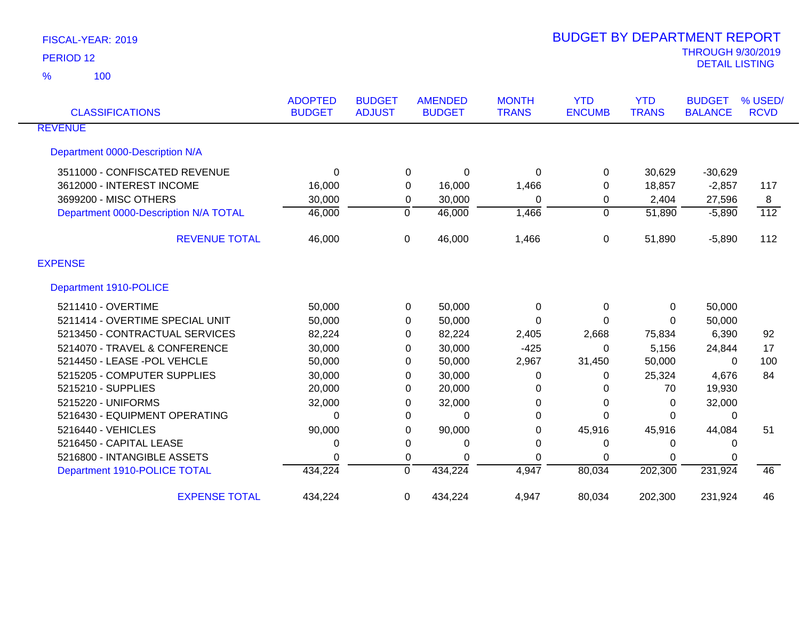| <b>CLASSIFICATIONS</b>                | <b>ADOPTED</b><br><b>BUDGET</b> | <b>BUDGET</b><br><b>AMENDED</b><br><b>ADJUST</b><br><b>BUDGET</b> |               | <b>MONTH</b><br><b>TRANS</b> | <b>YTD</b><br><b>ENCUMB</b> | <b>YTD</b><br><b>TRANS</b> | <b>BUDGET</b><br><b>BALANCE</b> | % USED/<br><b>RCVD</b> |
|---------------------------------------|---------------------------------|-------------------------------------------------------------------|---------------|------------------------------|-----------------------------|----------------------------|---------------------------------|------------------------|
| <b>REVENUE</b>                        |                                 |                                                                   |               |                              |                             |                            |                                 |                        |
|                                       |                                 |                                                                   |               |                              |                             |                            |                                 |                        |
| Department 0000-Description N/A       |                                 |                                                                   |               |                              |                             |                            |                                 |                        |
| 3511000 - CONFISCATED REVENUE         | $\Omega$                        |                                                                   | 0<br>$\Omega$ | 0                            | 0                           | 30,629                     | $-30,629$                       |                        |
| 3612000 - INTEREST INCOME             | 16,000                          |                                                                   | 16,000<br>0   | 1,466                        | 0                           | 18,857                     | $-2,857$                        | 117                    |
| 3699200 - MISC OTHERS                 | 30,000                          |                                                                   | 30,000<br>0   | $\Omega$                     | 0                           | 2,404                      | 27,596                          | 8                      |
| Department 0000-Description N/A TOTAL | 46,000                          | 0                                                                 | 46,000        | 1,466                        | $\mathbf 0$                 | 51,890                     | $-5,890$                        | $\overline{112}$       |
| <b>REVENUE TOTAL</b>                  | 46,000                          | $\Omega$                                                          | 46,000        | 1,466                        | 0                           | 51,890                     | $-5,890$                        | 112                    |
| <b>EXPENSE</b>                        |                                 |                                                                   |               |                              |                             |                            |                                 |                        |
| Department 1910-POLICE                |                                 |                                                                   |               |                              |                             |                            |                                 |                        |
| 5211410 - OVERTIME                    | 50,000                          |                                                                   | 50,000<br>0   | 0                            | $\mathbf{0}$                | $\Omega$                   | 50,000                          |                        |
| 5211414 - OVERTIME SPECIAL UNIT       | 50,000                          |                                                                   | 50,000<br>0   | $\Omega$                     | 0                           | $\Omega$                   | 50,000                          |                        |
| 5213450 - CONTRACTUAL SERVICES        | 82,224                          |                                                                   | 82,224<br>0   | 2,405                        | 2,668                       | 75,834                     | 6,390                           | 92                     |
| 5214070 - TRAVEL & CONFERENCE         | 30,000                          |                                                                   | 30,000<br>0   | $-425$                       | $\Omega$                    | 5,156                      | 24,844                          | 17                     |
| 5214450 - LEASE -POL VEHCLE           | 50,000                          |                                                                   | 50,000<br>0   | 2,967                        | 31,450                      | 50,000                     | $\Omega$                        | 100                    |
| 5215205 - COMPUTER SUPPLIES           | 30,000                          |                                                                   | 30,000<br>0   | 0                            | 0                           | 25,324                     | 4,676                           | 84                     |
| 5215210 - SUPPLIES                    | 20,000                          |                                                                   | 20,000<br>0   | 0                            | 0                           | 70                         | 19,930                          |                        |
| 5215220 - UNIFORMS                    | 32,000                          |                                                                   | 32,000<br>0   | 0                            | 0                           | $\Omega$                   | 32,000                          |                        |
| 5216430 - EQUIPMENT OPERATING         | 0                               |                                                                   | 0<br>$\Omega$ | $\Omega$                     | 0                           | $\Omega$                   | $\Omega$                        |                        |
| 5216440 - VEHICLES                    | 90,000                          |                                                                   | 90,000<br>0   | 0                            | 45,916                      | 45,916                     | 44,084                          | 51                     |
| 5216450 - CAPITAL LEASE               | 0                               | 0                                                                 | 0             | 0                            | 0                           | 0                          | 0                               |                        |
| 5216800 - INTANGIBLE ASSETS           | $\Omega$                        |                                                                   | 0<br>$\Omega$ | 0                            | 0                           | $\Omega$                   | 0                               |                        |
| Department 1910-POLICE TOTAL          | 434,224                         | $\Omega$                                                          | 434,224       | 4,947                        | 80,034                      | 202,300                    | 231,924                         | 46                     |
| <b>EXPENSE TOTAL</b>                  | 434,224                         | 0                                                                 | 434,224       | 4,947                        | 80,034                      | 202,300                    | 231,924                         | 46                     |